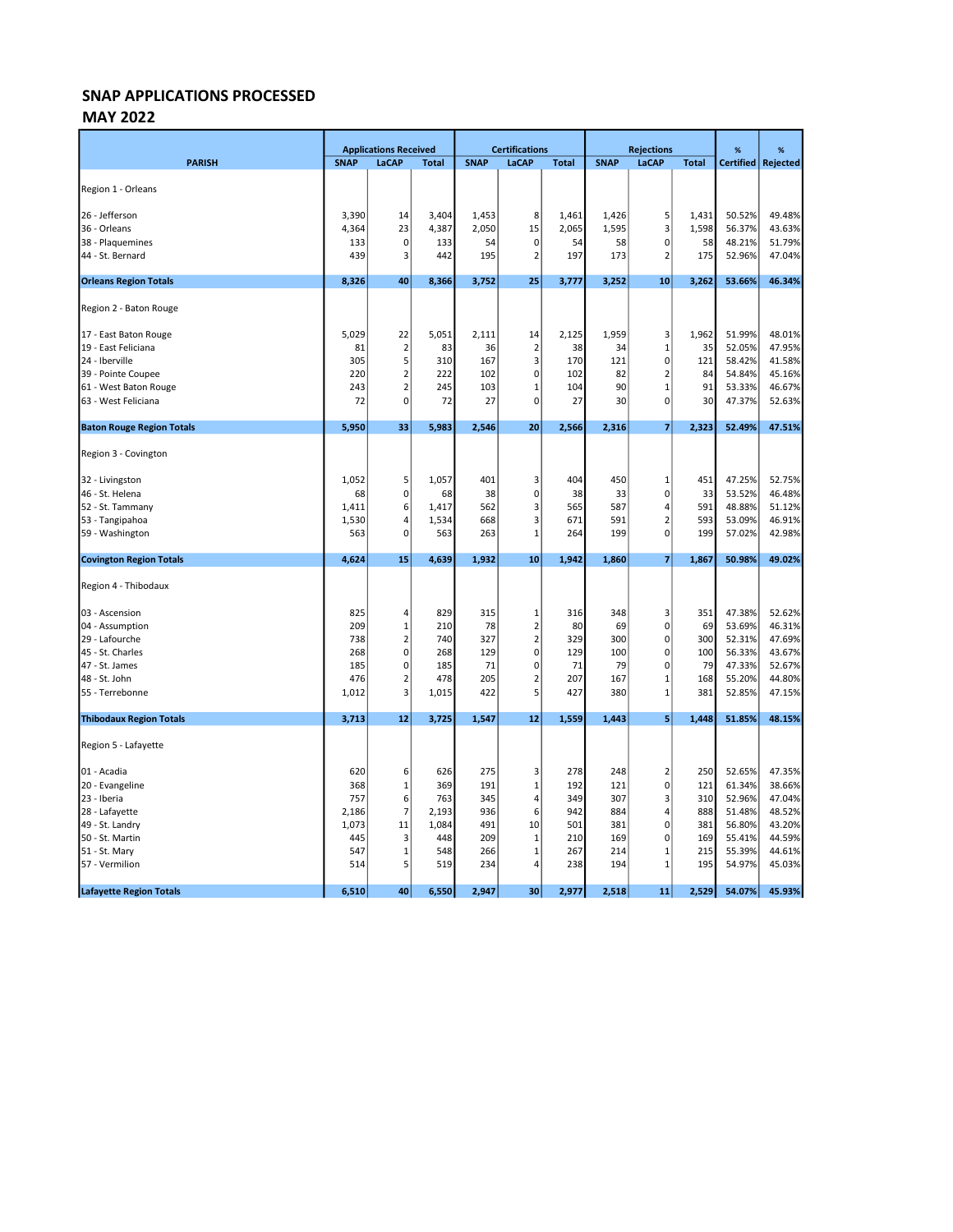#### MAY 2022

|                                  |             | <b>Applications Received</b> |              |             | <b>Certifications</b>   |              | <b>Rejections</b> |                |              | %                | %               |
|----------------------------------|-------------|------------------------------|--------------|-------------|-------------------------|--------------|-------------------|----------------|--------------|------------------|-----------------|
| <b>PARISH</b>                    | <b>SNAP</b> | LaCAP                        | <b>Total</b> | <b>SNAP</b> | LaCAP                   | <b>Total</b> | <b>SNAP</b>       | LaCAP          | <b>Total</b> | <b>Certified</b> | <b>Rejected</b> |
|                                  |             |                              |              |             |                         |              |                   |                |              |                  |                 |
| Region 1 - Orleans               |             |                              |              |             |                         |              |                   |                |              |                  |                 |
| 26 - Jefferson                   | 3,390       | 14                           | 3,404        | 1,453       | 8                       | 1,461        | 1,426             | 5              | 1,431        | 50.52%           | 49.48%          |
| 36 - Orleans                     | 4,364       | 23                           | 4,387        | 2,050       | 15                      | 2,065        | 1,595             | 3              | 1,598        | 56.37%           | 43.63%          |
| 38 - Plaquemines                 | 133         | $\mathbf 0$                  | 133          | 54          | $\mathbf 0$             | 54           | 58                | 0              | 58           | 48.21%           | 51.79%          |
| 44 - St. Bernard                 | 439         | 3                            | 442          | 195         | $\overline{2}$          | 197          | 173               | $\overline{2}$ | 175          | 52.96%           | 47.04%          |
| <b>Orleans Region Totals</b>     | 8,326       | 40                           | 8,366        | 3,752       | 25                      | 3,777        | 3,252             | 10             | 3,262        | 53.66%           | 46.34%          |
| Region 2 - Baton Rouge           |             |                              |              |             |                         |              |                   |                |              |                  |                 |
| 17 - East Baton Rouge            | 5,029       | 22                           | 5,051        | 2,111       | 14                      | 2,125        | 1,959             | 3              | 1,962        | 51.99%           | 48.01%          |
| 19 - East Feliciana              | 81          | $\overline{\mathbf{c}}$      | 83           | 36          | $\overline{2}$          | 38           | 34                | $\mathbf 1$    | 35           | 52.05%           | 47.95%          |
| 24 - Iberville                   | 305         | 5                            | 310          | 167         | $\overline{\mathbf{3}}$ | 170          | 121               | $\mathbf 0$    | 121          | 58.42%           | 41.58%          |
| 39 - Pointe Coupee               | 220         | $\overline{2}$               | 222          | 102         | $\mathbf 0$             | 102          | 82                | $\overline{2}$ | 84           | 54.84%           | 45.16%          |
| 61 - West Baton Rouge            | 243         | $\overline{2}$               | 245          | 103         | $\mathbf 1$             | 104          | 90                | $\mathbf{1}$   | 91           | 53.33%           | 46.67%          |
| 63 - West Feliciana              | 72          | 0                            | 72           | 27          | $\mathbf 0$             | 27           | 30                | $\mathbf 0$    | 30           | 47.37%           | 52.63%          |
| <b>Baton Rouge Region Totals</b> | 5,950       | 33                           | 5,983        | 2,546       | 20                      | 2,566        | 2,316             | $\overline{7}$ | 2,323        | 52.49%           | 47.51%          |
| Region 3 - Covington             |             |                              |              |             |                         |              |                   |                |              |                  |                 |
| 32 - Livingston                  | 1,052       | 5                            | 1,057        | 401         | 3                       | 404          | 450               | $\mathbf 1$    | 451          | 47.25%           | 52.75%          |
| 46 - St. Helena                  | 68          | 0                            | 68           | 38          | $\mathbf 0$             | 38           | 33                | $\mathbf 0$    | 33           | 53.52%           | 46.48%          |
| 52 - St. Tammany                 | 1,411       | 6                            | 1,417        | 562         | 3                       | 565          | 587               | 4              | 591          | 48.88%           | 51.12%          |
| 53 - Tangipahoa                  | 1,530       | 4                            | 1,534        | 668         | 3                       | 671          | 591               | $\overline{2}$ | 593          | 53.09%           | 46.91%          |
| 59 - Washington                  | 563         | 0                            | 563          | 263         | $\mathbf{1}$            | 264          | 199               | $\mathbf 0$    | 199          | 57.02%           | 42.98%          |
| <b>Covington Region Totals</b>   | 4,624       | 15                           | 4,639        | 1,932       | 10                      | 1,942        | 1,860             | 7              | 1,867        | 50.98%           | 49.02%          |
| Region 4 - Thibodaux             |             |                              |              |             |                         |              |                   |                |              |                  |                 |
| 03 - Ascension                   | 825         | 4                            | 829          | 315         | 1                       | 316          | 348               | 3              | 351          | 47.38%           | 52.62%          |
| 04 - Assumption                  | 209         | 1                            | 210          | 78          | $\overline{2}$          | 80           | 69                | $\mathbf 0$    | 69           | 53.69%           | 46.31%          |
| 29 - Lafourche                   | 738         | $\overline{2}$               | 740          | 327         | $\overline{2}$          | 329          | 300               | $\mathbf 0$    | 300          | 52.31%           | 47.69%          |
| 45 - St. Charles                 | 268         | 0                            | 268          | 129         | $\mathbf 0$             | 129          | 100               | $\pmb{0}$      | 100          | 56.33%           | 43.67%          |
| 47 - St. James                   | 185         | 0                            | 185          | 71          | 0                       | 71           | 79                | $\pmb{0}$      | 79           | 47.33%           | 52.67%          |
| 48 - St. John                    | 476         | $\overline{2}$               | 478          | 205         | $\overline{2}$          | 207          | 167               | $\mathbf{1}$   | 168          | 55.20%           | 44.80%          |
| 55 - Terrebonne                  | 1,012       | 3                            | 1,015        | 422         | 5                       | 427          | 380               | $\mathbf{1}$   | 381          | 52.85%           | 47.15%          |
| <b>Thibodaux Region Totals</b>   | 3,713       | 12                           | 3,725        | 1,547       | 12                      | 1,559        | 1,443             | 5              | 1,448        | 51.85%           | 48.15%          |
| Region 5 - Lafayette             |             |                              |              |             |                         |              |                   |                |              |                  |                 |
| 01 - Acadia                      | 620         | 6                            | 626          | 275         | 3                       | 278          | 248               | $\overline{2}$ | 250          | 52.65%           | 47.35%          |
| 20 - Evangeline                  | 368         | 1                            | 369          | 191         | $\mathbf{1}$            | 192          | 121               | $\pmb{0}$      | 121          | 61.34%           | 38.66%          |
| 23 - Iberia                      | 757         | 6                            | 763          | 345         | 4                       | 349          | 307               | 3              | 310          | 52.96%           | 47.04%          |
| 28 - Lafayette                   | 2,186       | 7                            | 2,193        | 936         | 6                       | 942          | 884               | 4              | 888          | 51.48%           | 48.52%          |
| 49 - St. Landry                  | 1,073       | 11                           | 1,084        | 491         | 10                      | 501          | 381               | $\pmb{0}$      | 381          | 56.80%           | 43.20%          |
| 50 - St. Martin                  | 445         | 3                            | 448          | 209         | 1                       | 210          | 169               | $\pmb{0}$      | 169          | 55.41%           | 44.59%          |
| 51 - St. Mary                    | 547         | 1                            | 548          | 266         | $\mathbf{1}$            | 267          | 214               | $\mathbf{1}$   | 215          | 55.39%           | 44.61%          |
| 57 - Vermilion                   | 514         | 5                            | 519          | 234         | 4                       | 238          | 194               | $\mathbf{1}$   | 195          | 54.97%           | 45.03%          |
| <b>Lafayette Region Totals</b>   | 6,510       | 40                           | 6,550        | 2,947       | 30                      | 2,977        | 2,518             | 11             | 2,529        | 54.07%           | 45.93%          |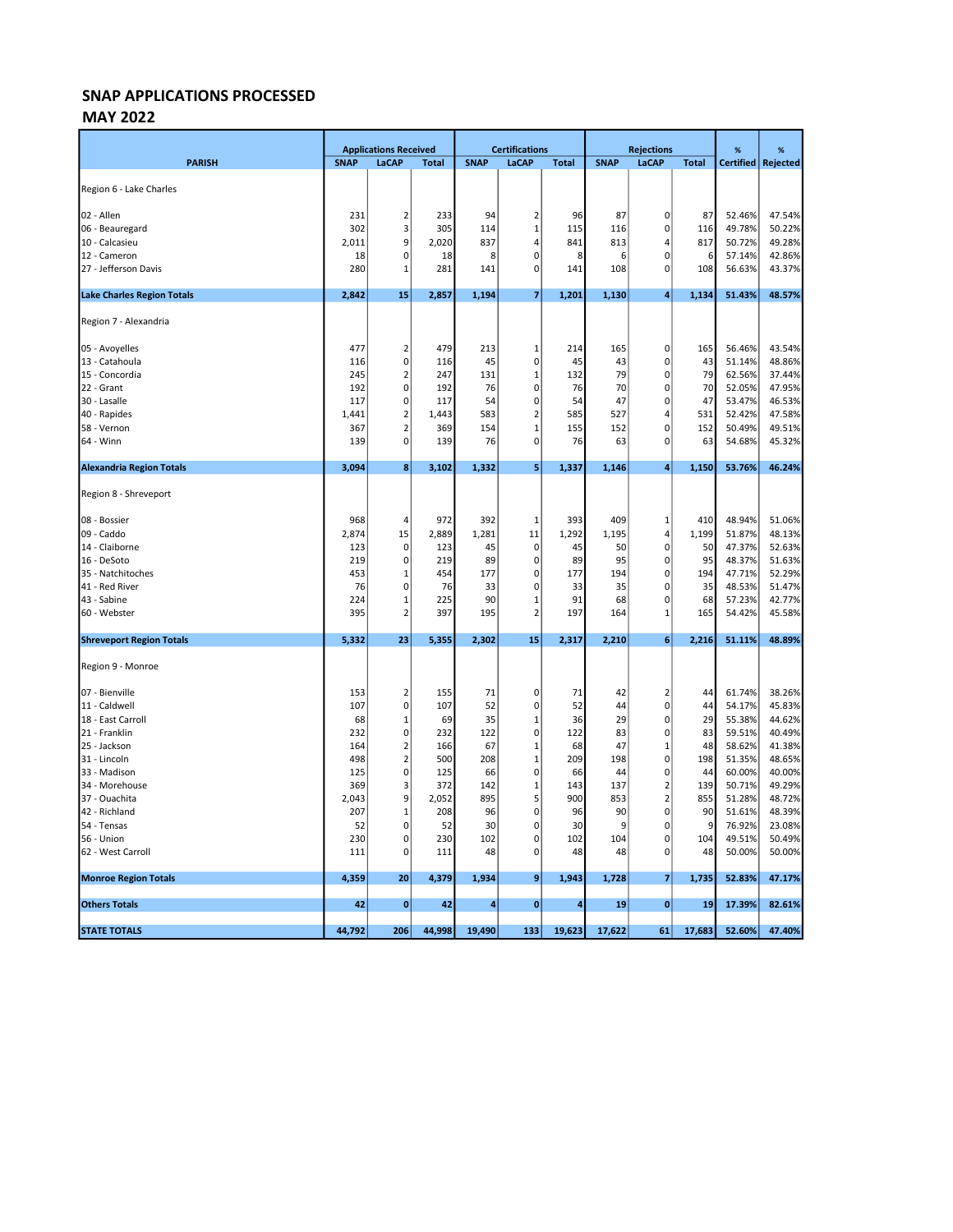#### MAY 2022

|                                   |             | <b>Applications Received</b> |              | <b>Certifications</b> |                  |              | <b>Rejections</b> |                             |              | $\%$             | %                |
|-----------------------------------|-------------|------------------------------|--------------|-----------------------|------------------|--------------|-------------------|-----------------------------|--------------|------------------|------------------|
| <b>PARISH</b>                     | <b>SNAP</b> | LaCAP                        | <b>Total</b> | <b>SNAP</b>           | LaCAP            | <b>Total</b> | <b>SNAP</b>       | LaCAP                       | <b>Total</b> | <b>Certified</b> | Rejected         |
|                                   |             |                              |              |                       |                  |              |                   |                             |              |                  |                  |
| Region 6 - Lake Charles           |             |                              |              |                       |                  |              |                   |                             |              |                  |                  |
| 02 - Allen                        | 231         | $\overline{2}$               | 233          | 94                    | $\overline{2}$   | 96           | 87                | $\mathbf 0$                 | 87           | 52.46%           | 47.54%           |
| 06 - Beauregard                   | 302         | 3                            | 305          | 114                   | 1                | 115          | 116               | $\pmb{0}$                   | 116          | 49.78%           | 50.22%           |
| 10 - Calcasieu                    | 2,011       | 9                            | 2,020        | 837                   | 4                | 841          | 813               | $\overline{4}$              | 817          | 50.72%           | 49.28%           |
| 12 - Cameron                      | 18          | 0                            | 18           | 8                     | $\Omega$         | 8            | 6                 | $\pmb{0}$                   | 6            | 57.14%           | 42.86%           |
| 27 - Jefferson Davis              | 280         | 1                            | 281          | 141                   | 0                | 141          | 108               | $\pmb{0}$                   | 108          | 56.63%           | 43.37%           |
|                                   |             |                              |              |                       |                  |              |                   |                             |              |                  |                  |
| <b>Lake Charles Region Totals</b> | 2,842       | 15                           | 2,857        | 1,194                 | 7                | 1,201        | 1,130             | $\overline{4}$              | 1,134        | 51.43%           | 48.57%           |
| Region 7 - Alexandria             |             |                              |              |                       |                  |              |                   |                             |              |                  |                  |
| 05 - Avoyelles                    | 477         | 2                            | 479          | 213                   | 1                | 214          | 165               | 0                           | 165          | 56.46%           | 43.54%           |
| 13 - Catahoula                    | 116         | 0                            | 116          | 45                    | 0                | 45           | 43                | $\mathbf 0$                 | 43           | 51.14%           | 48.86%           |
| 15 - Concordia                    | 245         | 2                            | 247          | 131                   | $\mathbf{1}$     | 132          | 79                | $\pmb{0}$                   | 79           | 62.56%           | 37.44%           |
| 22 - Grant                        | 192         | $\pmb{0}$                    | 192          | 76                    | $\mathbf 0$      | 76           | 70                | $\pmb{0}$                   | 70           | 52.05%           | 47.95%           |
| 30 - Lasalle                      | 117         | 0                            | 117          | 54                    | $\mathbf 0$      | 54           | 47                | $\pmb{0}$                   | 47           | 53.47%           | 46.53%           |
| 40 - Rapides                      | 1,441       | $\overline{\mathbf{c}}$      | 1,443        | 583                   | $\overline{2}$   | 585          | 527               | $\overline{4}$              | 531          | 52.42%           | 47.58%           |
| 58 - Vernon                       | 367         | $\overline{2}$               | 369          | 154                   | $\mathbf{1}$     | 155          | 152               | $\mathbf 0$                 | 152          | 50.49%           | 49.51%           |
| 64 - Winn                         | 139         | 0                            | 139          | 76                    | 0                | 76           | 63                | $\mathbf 0$                 | 63           | 54.68%           | 45.32%           |
| <b>Alexandria Region Totals</b>   | 3,094       | 8                            | 3,102        | 1,332                 | 5                | 1,337        | 1,146             | 4                           | 1,150        | 53.76%           | 46.24%           |
|                                   |             |                              |              |                       |                  |              |                   |                             |              |                  |                  |
| Region 8 - Shreveport             |             |                              |              |                       |                  |              |                   |                             |              |                  |                  |
| 08 - Bossier                      | 968         | 4                            | 972          | 392                   | $\mathbf{1}$     | 393          | 409               | $\mathbf 1$                 | 410          | 48.94%           | 51.06%           |
| 09 - Caddo                        | 2,874       | 15                           | 2,889        | 1,281                 | 11               | 1,292        | 1,195             | 4                           | 1,199        | 51.87%           | 48.13%           |
| 14 - Claiborne                    | 123         | $\mathbf 0$                  | 123          | 45                    | 0                | 45           | 50                | $\pmb{0}$                   | 50           | 47.37%           | 52.63%           |
| 16 - DeSoto                       | 219         | 0                            | 219          | 89                    | 0                | 89           | 95                | $\mathbf 0$                 | 95           | 48.37%           | 51.63%           |
| 35 - Natchitoches                 | 453         | 1                            | 454          | 177                   | 0                | 177          | 194               | $\mathbf 0$                 | 194          | 47.71%           | 52.29%           |
| 41 - Red River                    | 76          | 0                            | 76           | 33                    | 0                | 33           | 35                | $\mathbf 0$                 | 35           | 48.53%           | 51.47%           |
| 43 - Sabine                       | 224         | $\mathbf 1$                  | 225          | 90                    | 1                | 91           | 68                | $\mathbf 0$                 | 68           | 57.23%           | 42.77%           |
| 60 - Webster                      | 395         | 2                            | 397          | 195                   | $\overline{2}$   | 197          | 164               | 1                           | 165          | 54.42%           | 45.58%           |
| <b>Shreveport Region Totals</b>   | 5,332       | 23                           | 5,355        | 2,302                 | 15               | 2,317        | 2,210             | $\boldsymbol{6}$            | 2,216        | 51.11%           | 48.89%           |
| Region 9 - Monroe                 |             |                              |              |                       |                  |              |                   |                             |              |                  |                  |
|                                   |             |                              |              |                       |                  |              |                   |                             |              |                  |                  |
| 07 - Bienville<br>11 - Caldwell   | 153<br>107  | $\overline{2}$<br>0          | 155<br>107   | 71<br>52              | 0<br>$\mathbf 0$ | 71<br>52     | 42<br>44          | $\overline{2}$<br>$\pmb{0}$ | 44<br>44     | 61.74%<br>54.17% | 38.26%<br>45.83% |
| 18 - East Carroll                 | 68          | 1                            | 69           | 35                    | 1                | 36           | 29                | $\pmb{0}$                   | 29           | 55.38%           | 44.62%           |
| 21 - Franklin                     | 232         | 0                            | 232          | 122                   | 0                | 122          | 83                | $\pmb{0}$                   | 83           | 59.51%           | 40.49%           |
| 25 - Jackson                      | 164         | 2                            | 166          | 67                    | $\mathbf{1}$     | 68           | 47                | $\mathbf 1$                 | 48           | 58.62%           | 41.38%           |
| 31 - Lincoln                      | 498         | $\overline{\mathbf{c}}$      | 500          | 208                   | $\mathbf{1}$     | 209          | 198               | $\pmb{0}$                   | 198          | 51.35%           | 48.65%           |
| 33 - Madison                      | 125         | 0                            | 125          | 66                    | $\mathbf 0$      | 66           | 44                | $\pmb{0}$                   | 44           | 60.00%           | 40.00%           |
| 34 - Morehouse                    | 369         | 3                            | 372          | 142                   | $\mathbf{1}$     | 143          | 137               | $\mathbf 2$                 | 139          | 50.71%           | 49.29%           |
| 37 - Ouachita                     | 2,043       | 9                            | 2,052        | 895                   | 5                | 900          | 853               | $\mathbf 2$                 | 855          | 51.28%           | 48.72%           |
| 42 - Richland                     | 207         | $\mathbf{1}$                 | 208          | 96                    | 0                | 96           | 90                | $\mathbf 0$                 | 90           | 51.61%           | 48.39%           |
| 54 - Tensas                       | 52          | 0                            | 52           | 30                    | 0                | 30           | 9                 | $\mathbf 0$                 | 9            | 76.92%           | 23.08%           |
| 56 - Union                        | 230         | 0                            | 230          | 102                   | 0                | 102          | 104               | $\mathbf 0$                 | 104          | 49.51%           | 50.49%           |
| 62 - West Carroll                 | 111         | 0                            | 111          | 48                    | $\Omega$         | 48           | 48                | $\pmb{0}$                   | 48           | 50.00%           | 50.00%           |
| <b>Monroe Region Totals</b>       | 4,359       | 20                           | 4,379        | 1,934                 | 9                | 1,943        | 1,728             | $\overline{\mathbf{z}}$     | 1,735        | 52.83%           | 47.17%           |
| <b>Others Totals</b>              | 42          |                              | 42           | $\Delta$              |                  | $\Delta$     | 19                | $\bf{0}$                    | 19           |                  | 82.61%           |
|                                   |             | 0                            |              |                       | $\bf{0}$         |              |                   |                             |              | 17.39%           |                  |
| <b>STATE TOTALS</b>               | 44,792      | 206                          | 44,998       | 19,490                | 133              | 19,623       | 17,622            | 61                          | 17,683       | 52.60%           | 47.40%           |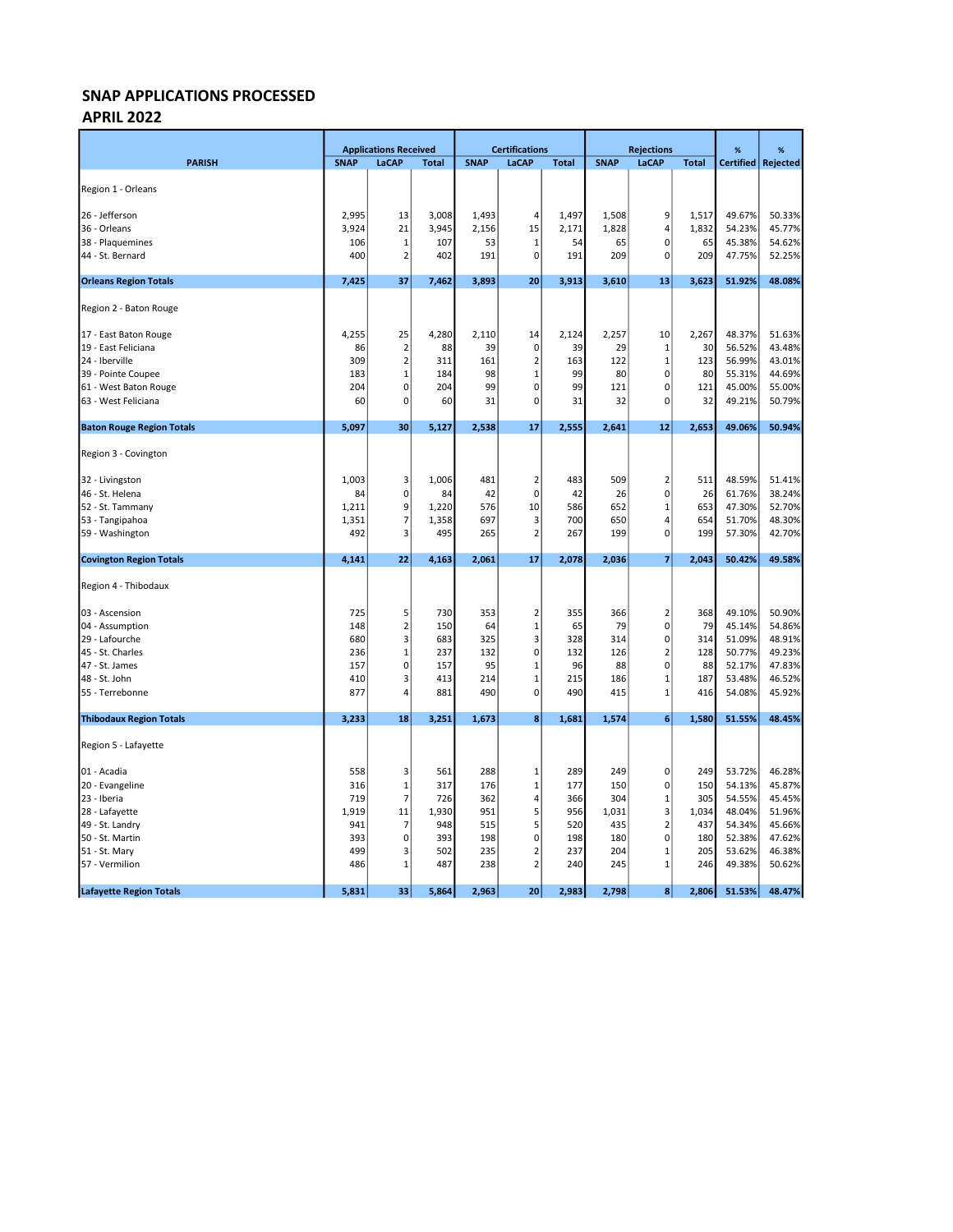#### APRIL 2022

|                                  |             | <b>Applications Received</b> |              |             | <b>Certifications</b>   |              |             | <b>Rejections</b>       |              | %                | %        |
|----------------------------------|-------------|------------------------------|--------------|-------------|-------------------------|--------------|-------------|-------------------------|--------------|------------------|----------|
| <b>PARISH</b>                    | <b>SNAP</b> | LaCAP                        | <b>Total</b> | <b>SNAP</b> | LaCAP                   | <b>Total</b> | <b>SNAP</b> | LaCAP                   | <b>Total</b> | <b>Certified</b> | Rejected |
|                                  |             |                              |              |             |                         |              |             |                         |              |                  |          |
| Region 1 - Orleans               |             |                              |              |             |                         |              |             |                         |              |                  |          |
| 26 - Jefferson                   | 2,995       | 13                           | 3,008        | 1,493       | 4                       | 1,497        | 1,508       | 9                       | 1,517        | 49.67%           | 50.33%   |
| 36 - Orleans                     | 3,924       | 21                           | 3,945        | 2,156       | 15                      | 2,171        | 1,828       | 4                       | 1,832        | 54.23%           | 45.77%   |
| 38 - Plaquemines                 | 106         | 1                            | 107          | 53          | $\mathbf{1}$            | 54           | 65          | $\pmb{0}$               | 65           | 45.38%           | 54.62%   |
| 44 - St. Bernard                 | 400         | $\overline{2}$               | 402          | 191         | $\mathbf 0$             | 191          | 209         | $\pmb{0}$               | 209          | 47.75%           | 52.25%   |
| <b>Orleans Region Totals</b>     | 7,425       | 37                           | 7,462        | 3,893       | 20                      | 3,913        | 3,610       | 13                      | 3,623        | 51.92%           | 48.08%   |
| Region 2 - Baton Rouge           |             |                              |              |             |                         |              |             |                         |              |                  |          |
|                                  |             |                              |              |             |                         |              |             |                         |              |                  |          |
| 17 - East Baton Rouge            | 4,255       | 25                           | 4,280        | 2,110       | 14                      | 2,124        | 2,257       | 10                      | 2,267        | 48.37%           | 51.63%   |
| 19 - East Feliciana              | 86          | $\overline{2}$               | 88           | 39          | 0                       | 39           | 29          | $\mathbf 1$             | 30           | 56.52%           | 43.48%   |
| 24 - Iberville                   | 309         | $\overline{\mathbf{c}}$      | 311          | 161         | $\overline{2}$          | 163          | 122         | $\mathbf 1$             | 123          | 56.99%           | 43.01%   |
| 39 - Pointe Coupee               | 183         | $\mathbf{1}$                 | 184          | 98          | $\mathbf{1}$            | 99           | 80          | $\pmb{0}$               | 80           | 55.31%           | 44.69%   |
| 61 - West Baton Rouge            | 204         | $\overline{0}$               | 204          | 99          | $\mathbf 0$             | 99           | 121         | $\pmb{0}$               | 121          | 45.00%           | 55.00%   |
| 63 - West Feliciana              | 60          | 0                            | 60           | 31          | 0                       | 31           | 32          | $\mathbf 0$             | 32           | 49.21%           | 50.79%   |
| <b>Baton Rouge Region Totals</b> | 5,097       | 30                           | 5,127        | 2,538       | 17                      | 2,555        | 2,641       | 12                      | 2,653        | 49.06%           | 50.94%   |
| Region 3 - Covington             |             |                              |              |             |                         |              |             |                         |              |                  |          |
| 32 - Livingston                  | 1,003       | 3                            | 1,006        | 481         | $\overline{2}$          | 483          | 509         | $\overline{2}$          | 511          | 48.59%           | 51.41%   |
| 46 - St. Helena                  | 84          | $\mathbf{0}$                 | 84           | 42          | $\mathbf 0$             | 42           | 26          | $\pmb{0}$               | 26           | 61.76%           | 38.24%   |
| 52 - St. Tammany                 | 1,211       | 9                            | 1,220        | 576         | 10                      | 586          | 652         | $\mathbf 1$             | 653          | 47.30%           | 52.70%   |
| 53 - Tangipahoa                  | 1,351       | 7                            | 1,358        | 697         | 3                       | 700          | 650         | 4                       | 654          | 51.70%           | 48.30%   |
| 59 - Washington                  | 492         | 3                            | 495          | 265         | $\overline{2}$          | 267          | 199         | $\mathbf 0$             | 199          | 57.30%           | 42.70%   |
| <b>Covington Region Totals</b>   | 4,141       | 22                           | 4,163        | 2,061       | 17                      | 2,078        | 2,036       | $\overline{7}$          | 2,043        | 50.42%           | 49.58%   |
| Region 4 - Thibodaux             |             |                              |              |             |                         |              |             |                         |              |                  |          |
| 03 - Ascension                   | 725         | 5                            | 730          | 353         | 2                       | 355          | 366         | $\overline{2}$          | 368          | 49.10%           | 50.90%   |
| 04 - Assumption                  | 148         | $\overline{2}$               | 150          | 64          | $\mathbf{1}$            | 65           | 79          | $\mathbf 0$             | 79           | 45.14%           | 54.86%   |
| 29 - Lafourche                   | 680         | 3                            | 683          | 325         | 3                       | 328          | 314         | $\pmb{0}$               | 314          | 51.09%           | 48.91%   |
| 45 - St. Charles                 | 236         | $\mathbf 1$                  | 237          | 132         | $\mathbf 0$             | 132          | 126         | $\overline{2}$          | 128          | 50.77%           | 49.23%   |
| 47 - St. James                   | 157         | $\mathbf{0}$                 | 157          | 95          | $\mathbf{1}$            | 96           | 88          | $\pmb{0}$               | 88           | 52.17%           | 47.83%   |
| 48 - St. John                    | 410         | 3                            | 413          | 214         | $\overline{1}$          | 215          | 186         | $\mathbf{1}$            | 187          | 53.48%           | 46.52%   |
| 55 - Terrebonne                  | 877         | 4                            | 881          | 490         | 0                       | 490          | 415         | $\mathbf{1}$            | 416          | 54.08%           | 45.92%   |
| <b>Thibodaux Region Totals</b>   | 3,233       | 18                           | 3,251        | 1,673       | 8                       | 1,681        | 1,574       | 6                       | 1,580        | 51.55%           | 48.45%   |
| Region 5 - Lafayette             |             |                              |              |             |                         |              |             |                         |              |                  |          |
| 01 - Acadia                      | 558         | 3                            | 561          | 288         | $\mathbf{1}$            | 289          | 249         | 0                       | 249          | 53.72%           | 46.28%   |
| 20 - Evangeline                  | 316         | $\mathbf 1$                  | 317          | 176         | $\mathbf{1}$            | 177          | 150         | $\pmb{0}$               | 150          | 54.13%           | 45.87%   |
| 23 - Iberia                      | 719         | $\overline{7}$               | 726          | 362         | 4                       | 366          | 304         | $\mathbf 1$             | 305          | 54.55%           | 45.45%   |
| 28 - Lafayette                   | 1,919       | 11                           | 1,930        | 951         | 5                       | 956          | 1,031       | 3                       | 1,034        | 48.04%           | 51.96%   |
| 49 - St. Landry                  | 941         | $\overline{7}$               | 948          | 515         | 5                       | 520          | 435         | $\overline{\mathbf{c}}$ | 437          | 54.34%           | 45.66%   |
| 50 - St. Martin                  | 393         | $\overline{0}$               | 393          | 198         | 0                       | 198          | 180         | $\pmb{0}$               | 180          | 52.38%           | 47.62%   |
| 51 - St. Mary                    | 499         | 3                            | 502          | 235         | $\overline{\mathbf{z}}$ | 237          | 204         | $\mathbf{1}$            | 205          | 53.62%           | 46.38%   |
| 57 - Vermilion                   | 486         | $\mathbf 1$                  | 487          | 238         | $\overline{2}$          | 240          | 245         | $\mathbf 1$             | 246          | 49.38%           | 50.62%   |
| <b>Lafayette Region Totals</b>   | 5,831       | 33                           | 5,864        | 2,963       | 20                      | 2,983        | 2,798       | 8                       | 2,806        | 51.53%           | 48.47%   |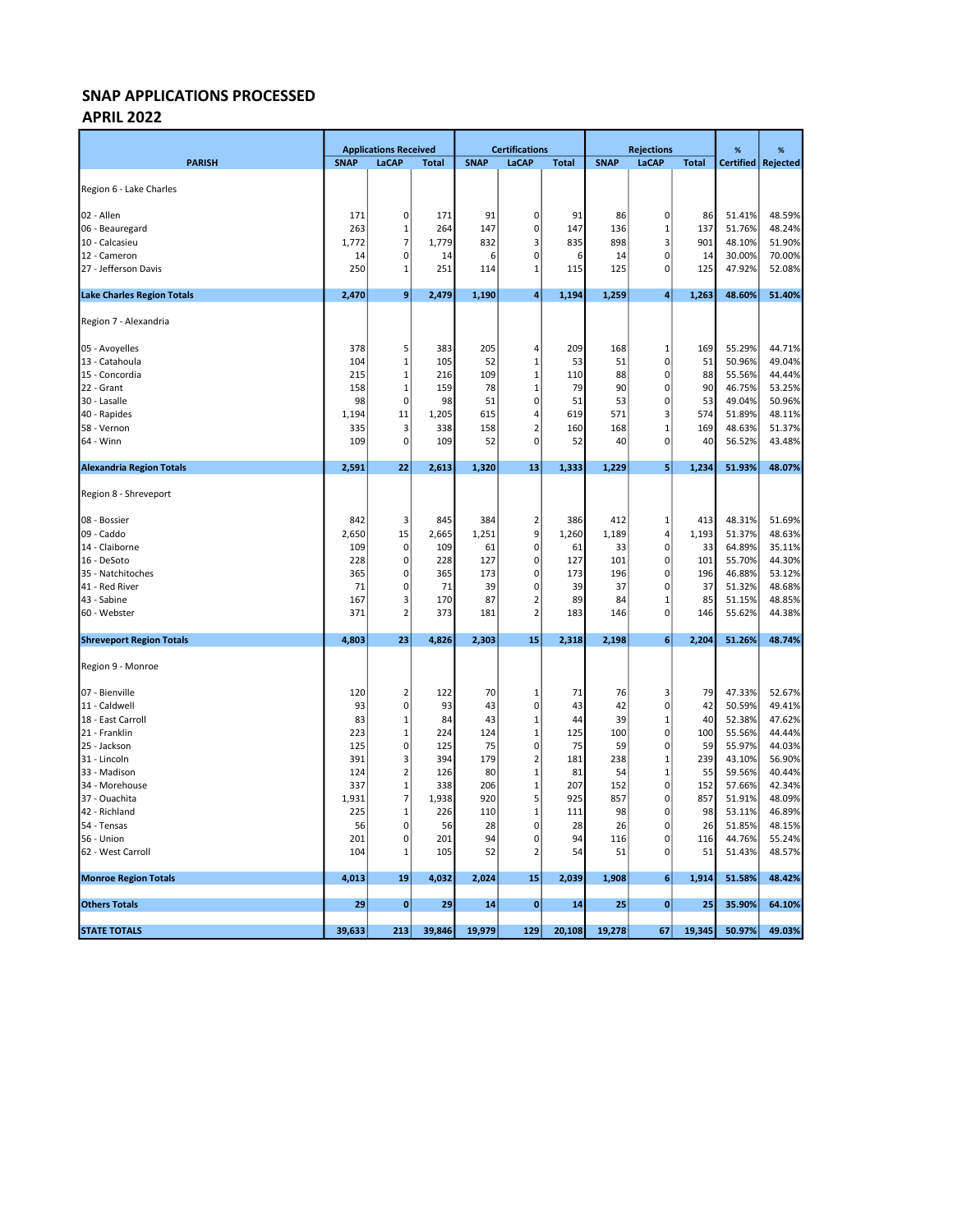#### APRIL 2022

|                                   |             | <b>Applications Received</b> |              | <b>Certifications</b> |                |              | <b>Rejections</b> |              |              | %      | %                    |
|-----------------------------------|-------------|------------------------------|--------------|-----------------------|----------------|--------------|-------------------|--------------|--------------|--------|----------------------|
| <b>PARISH</b>                     | <b>SNAP</b> | LaCAP                        | <b>Total</b> | <b>SNAP</b>           | <b>LaCAP</b>   | <b>Total</b> | <b>SNAP</b>       | LaCAP        | <b>Total</b> |        | Certified   Rejected |
|                                   |             |                              |              |                       |                |              |                   |              |              |        |                      |
| Region 6 - Lake Charles           |             |                              |              |                       |                |              |                   |              |              |        |                      |
| 02 - Allen                        | 171         | 0                            | 171          | 91                    | 0              | 91           | 86                | $\pmb{0}$    | 86           | 51.41% | 48.59%               |
| 06 - Beauregard                   | 263         | 1                            | 264          | 147                   | 0              | 147          | 136               | $\mathbf 1$  | 137          | 51.76% | 48.24%               |
| 10 - Calcasieu                    | 1,772       | 7                            | 1,779        | 832                   | 3              | 835          | 898               | $\mathsf 3$  | 901          | 48.10% | 51.90%               |
| 12 - Cameron                      | 14          | 0                            | 14           | 6                     | $\mathbf 0$    | 6            | 14                | $\pmb{0}$    | 14           | 30.00% | 70.00%               |
| 27 - Jefferson Davis              | 250         | $\mathbf 1$                  | 251          | 114                   | $\mathbf{1}$   | 115          | 125               | $\mathbf 0$  | 125          | 47.92% | 52.08%               |
| <b>Lake Charles Region Totals</b> | 2,470       | 9                            | 2,479        | 1,190                 | 4              | 1,194        | 1,259             | 4            | 1,263        | 48.60% | 51.40%               |
|                                   |             |                              |              |                       |                |              |                   |              |              |        |                      |
| Region 7 - Alexandria             |             |                              |              |                       |                |              |                   |              |              |        |                      |
| 05 - Avoyelles                    | 378         | 5                            | 383          | 205                   | 4              | 209          | 168               | 1            | 169          | 55.29% | 44.71%               |
| 13 - Catahoula                    | 104         | $\mathbf 1$                  | 105          | 52                    | $\mathbf{1}$   | 53           | 51                | $\pmb{0}$    | 51           | 50.96% | 49.04%               |
| 15 - Concordia                    | 215         | $\mathbf{1}$                 | 216          | 109                   | $\mathbf{1}$   | 110          | 88                | $\pmb{0}$    | 88           | 55.56% | 44.44%               |
| 22 - Grant                        | 158         | 1                            | 159          | 78                    | $\mathbf{1}$   | 79           | 90                | $\mathbf 0$  | 90           | 46.75% | 53.25%               |
| 30 - Lasalle                      | 98          | 0                            | 98           | 51                    | 0              | 51           | 53                | $\mathbf 0$  | 53           | 49.04% | 50.96%               |
| 40 - Rapides                      | 1,194       | 11                           | 1,205        | 615                   | 4              | 619          | 571               | 3            | 574          | 51.89% | 48.11%               |
| 58 - Vernon                       | 335         | 3                            | 338          | 158                   | $\overline{2}$ | 160          | 168               | $\mathbf{1}$ | 169          | 48.63% | 51.37%               |
| 64 - Winn                         | 109         | 0                            | 109          | 52                    | $\mathbf 0$    | 52           | 40                | $\mathbf 0$  | 40           | 56.52% | 43.48%               |
| <b>Alexandria Region Totals</b>   | 2,591       | 22                           | 2,613        | 1,320                 | 13             | 1,333        | 1,229             | 5            | 1,234        | 51.93% | 48.07%               |
|                                   |             |                              |              |                       |                |              |                   |              |              |        |                      |
| Region 8 - Shreveport             |             |                              |              |                       |                |              |                   |              |              |        |                      |
| 08 - Bossier                      | 842         | 3                            | 845          | 384                   | $\overline{2}$ | 386          | 412               | 1            | 413          | 48.31% | 51.69%               |
| 09 - Caddo                        | 2,650       | 15                           | 2,665        | 1,251                 | 9              | 1,260        | 1,189             | $\sqrt{4}$   | 1,193        | 51.37% | 48.63%               |
| 14 - Claiborne                    | 109         | 0                            | 109          | 61                    | $\mathbf 0$    | 61           | 33                | $\pmb{0}$    | 33           | 64.89% | 35.11%               |
| 16 - DeSoto                       | 228         | 0                            | 228          | 127                   | 0              | 127          | 101               | $\pmb{0}$    | 101          | 55.70% | 44.30%               |
| 35 - Natchitoches                 | 365         | 0                            | 365          | 173                   | $\mathbf 0$    | 173          | 196               | $\pmb{0}$    | 196          | 46.88% | 53.12%               |
| 41 - Red River                    | 71          | 0                            | 71           | 39                    | $\mathbf 0$    | 39           | 37                | $\pmb{0}$    | 37           | 51.32% | 48.68%               |
| 43 - Sabine                       | 167         | 3                            | 170          | 87                    | $\overline{a}$ | 89           | 84                | 1            | 85           | 51.15% | 48.85%               |
| 60 - Webster                      | 371         | $\overline{2}$               | 373          | 181                   | $\overline{2}$ | 183          | 146               | $\mathbf 0$  | 146          | 55.62% | 44.38%               |
| <b>Shreveport Region Totals</b>   | 4,803       | 23                           | 4,826        | 2,303                 | 15             | 2,318        | 2,198             | 6            | 2,204        | 51.26% | 48.74%               |
| Region 9 - Monroe                 |             |                              |              |                       |                |              |                   |              |              |        |                      |
| 07 - Bienville                    | 120         | $\overline{2}$               | 122          | 70                    | -1             | 71           | 76                | 3            | 79           | 47.33% | 52.67%               |
| 11 - Caldwell                     | 93          | 0                            | 93           | 43                    | 0              | 43           | 42                | $\pmb{0}$    | 42           | 50.59% | 49.41%               |
| 18 - East Carroll                 | 83          | 1                            | 84           | 43                    | 1              | 44           | 39                | $\mathbf{1}$ | 40           | 52.38% | 47.62%               |
| 21 - Franklin                     | 223         | $\mathbf{1}$                 | 224          | 124                   | $\mathbf{1}$   | 125          | 100               | $\pmb{0}$    | 100          | 55.56% | 44.44%               |
| 25 - Jackson                      | 125         | 0                            | 125          | 75                    | $\mathbf 0$    | 75           | 59                | $\pmb{0}$    | 59           | 55.97% | 44.03%               |
| 31 - Lincoln                      | 391         | 3                            | 394          | 179                   | $\overline{2}$ | 181          | 238               | $\mathbf 1$  | 239          | 43.10% | 56.90%               |
| 33 - Madison                      | 124         | $\overline{\mathbf{c}}$      | 126          | 80                    | $\mathbf{1}$   | 81           | 54                | $\mathbf{1}$ | 55           | 59.56% | 40.44%               |
| 34 - Morehouse                    | 337         | $\mathbf 1$                  | 338          | 206                   | $\mathbf{1}$   | 207          | 152               | $\mathbf 0$  | 152          | 57.66% | 42.34%               |
| 37 - Ouachita                     | 1,931       | 7                            | 1,938        | 920                   | 5              | 925          | 857               | $\mathbf 0$  | 857          | 51.91% | 48.09%               |
| 42 - Richland                     | 225         | $\mathbf{1}$                 | 226          | 110                   | 1              | 111          | 98                | $\mathbf 0$  | 98           | 53.11% | 46.89%               |
| 54 - Tensas                       | 56          | 0                            | 56           | 28                    | 0              | 28           | 26                | $\mathbf 0$  | 26           | 51.85% | 48.15%               |
| 56 - Union                        | 201         | 0                            | 201          | 94                    | $\mathbf 0$    | 94           | 116               | $\mathbf 0$  | 116          | 44.76% | 55.24%               |
| 62 - West Carroll                 | 104         | 1                            | 105          | 52                    | $\overline{2}$ | 54           | 51                | $\pmb{0}$    | 51           | 51.43% | 48.57%               |
| <b>Monroe Region Totals</b>       | 4,013       | 19                           | 4,032        | 2,024                 | 15             | 2,039        | 1,908             | 6            | 1,914        | 51.58% | 48.42%               |
| <b>Others Totals</b>              | 29          | 0                            | 29           | 14                    | $\bf{0}$       | 14           | 25                | $\bf{0}$     | 25           | 35.90% | 64.10%               |
|                                   |             |                              |              |                       |                |              |                   |              |              |        |                      |
| <b>STATE TOTALS</b>               | 39,633      | 213                          | 39,846       | 19,979                | 129            | 20,108       | 19,278            | 67           | 19,345       | 50.97% | 49.03%               |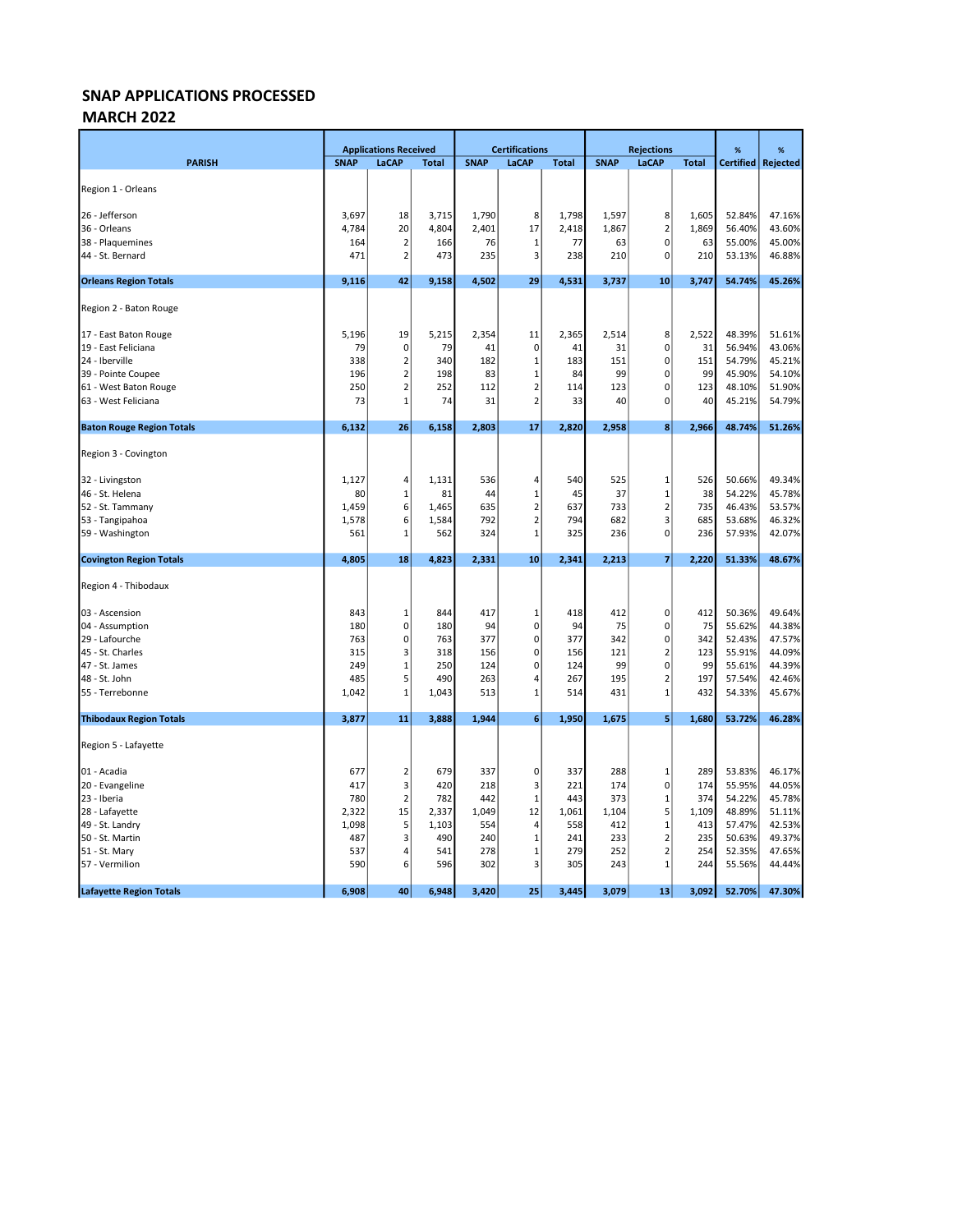### MARCH 2022

|                                  |             | <b>Applications Received</b> |              |             | <b>Certifications</b>   |              |             | <b>Rejections</b>       |              | %                | %        |
|----------------------------------|-------------|------------------------------|--------------|-------------|-------------------------|--------------|-------------|-------------------------|--------------|------------------|----------|
| <b>PARISH</b>                    | <b>SNAP</b> | <b>LaCAP</b>                 | <b>Total</b> | <b>SNAP</b> | LaCAP                   | <b>Total</b> | <b>SNAP</b> | LaCAP                   | <b>Total</b> | <b>Certified</b> | Rejected |
|                                  |             |                              |              |             |                         |              |             |                         |              |                  |          |
| Region 1 - Orleans               |             |                              |              |             |                         |              |             |                         |              |                  |          |
| 26 - Jefferson                   | 3,697       | 18                           | 3,715        | 1,790       | 8                       | 1,798        | 1,597       | 8                       | 1,605        | 52.84%           | 47.16%   |
| 36 - Orleans                     | 4,784       | 20                           | 4,804        | 2,401       | 17                      | 2,418        | 1,867       | $\mathbf 2$             | 1,869        | 56.40%           | 43.60%   |
| 38 - Plaquemines                 | 164         | $\mathbf 2$                  | 166          | 76          | $\mathbf 1$             | 77           | 63          | $\pmb{0}$               | 63           | 55.00%           | 45.00%   |
| 44 - St. Bernard                 | 471         | $\overline{2}$               | 473          | 235         | 3                       | 238          | 210         | $\pmb{0}$               | 210          | 53.13%           | 46.88%   |
| <b>Orleans Region Totals</b>     | 9,116       | 42                           | 9,158        | 4,502       | 29                      | 4,531        | 3,737       | 10                      | 3,747        | 54.74%           | 45.26%   |
| Region 2 - Baton Rouge           |             |                              |              |             |                         |              |             |                         |              |                  |          |
| 17 - East Baton Rouge            | 5,196       | 19                           | 5,215        | 2,354       | 11                      | 2,365        | 2,514       | 8                       | 2,522        | 48.39%           | 51.61%   |
| 19 - East Feliciana              | 79          | $\mathbf 0$                  | 79           | 41          | $\mathbf 0$             | 41           | 31          | 0                       | 31           | 56.94%           | 43.06%   |
| 24 - Iberville                   | 338         | $\overline{2}$               | 340          | 182         | $\mathbf{1}$            | 183          | 151         | $\pmb{0}$               | 151          | 54.79%           | 45.21%   |
| 39 - Pointe Coupee               | 196         | $\overline{2}$               | 198          | 83          | $\mathbf{1}$            | 84           | 99          | $\pmb{0}$               | 99           | 45.90%           | 54.10%   |
| 61 - West Baton Rouge            | 250         | $\overline{2}$               | 252          | 112         | $\overline{2}$          | 114          | 123         | $\pmb{0}$               | 123          | 48.10%           | 51.90%   |
| 63 - West Feliciana              | 73          | $\mathbf{1}$                 | 74           | 31          | $\overline{2}$          | 33           | 40          | $\mathbf 0$             | 40           | 45.21%           | 54.79%   |
| <b>Baton Rouge Region Totals</b> | 6,132       | 26                           | 6,158        | 2,803       | 17                      | 2,820        | 2,958       | 8                       | 2,966        | 48.74%           | 51.26%   |
| Region 3 - Covington             |             |                              |              |             |                         |              |             |                         |              |                  |          |
| 32 - Livingston                  | 1,127       | 4                            | 1,131        | 536         | 4                       | 540          | 525         | $\mathbf{1}$            | 526          | 50.66%           | 49.34%   |
| 46 - St. Helena                  | 80          | 1                            | 81           | 44          | 1                       | 45           | 37          | $\mathbf{1}$            | 38           | 54.22%           | 45.78%   |
| 52 - St. Tammany                 | 1,459       | 6                            | 1,465        | 635         | $\overline{2}$          | 637          | 733         | $\mathbf 2$             | 735          | 46.43%           | 53.57%   |
| 53 - Tangipahoa                  | 1,578       | $6 \mid$                     | 1,584        | 792         | $\overline{2}$          | 794          | 682         | 3                       | 685          | 53.68%           | 46.32%   |
| 59 - Washington                  | 561         | $\mathbf{1}$                 | 562          | 324         | $\mathbf{1}$            | 325          | 236         | $\mathbf 0$             | 236          | 57.93%           | 42.07%   |
| <b>Covington Region Totals</b>   | 4,805       | 18                           | 4,823        | 2,331       | 10                      | 2,341        | 2,213       | $\overline{7}$          | 2,220        | 51.33%           | 48.67%   |
| Region 4 - Thibodaux             |             |                              |              |             |                         |              |             |                         |              |                  |          |
| 03 - Ascension                   | 843         | 1                            | 844          | 417         | 1                       | 418          | 412         | 0                       | 412          | 50.36%           | 49.64%   |
| 04 - Assumption                  | 180         | 0                            | 180          | 94          | $\mathbf 0$             | 94           | 75          | $\pmb{0}$               | 75           | 55.62%           | 44.38%   |
| 29 - Lafourche                   | 763         | 0                            | 763          | 377         | $\mathbf 0$             | 377          | 342         | $\pmb{0}$               | 342          | 52.43%           | 47.57%   |
| 45 - St. Charles                 | 315         | 3                            | 318          | 156         | $\mathbf 0$             | 156          | 121         | $\overline{\mathbf{c}}$ | 123          | 55.91%           | 44.09%   |
| 47 - St. James                   | 249         | $\mathbf 1$                  | 250          | 124         | $\mathbf 0$             | 124          | 99          | $\pmb{0}$               | 99           | 55.61%           | 44.39%   |
| 48 - St. John                    | 485         | 5                            | 490          | 263         | 4                       | 267          | 195         | $\overline{2}$          | 197          | 57.54%           | 42.46%   |
| 55 - Terrebonne                  | 1,042       | 1                            | 1,043        | 513         | $\mathbf{1}$            | 514          | 431         | $\mathbf{1}$            | 432          | 54.33%           | 45.67%   |
| <b>Thibodaux Region Totals</b>   | 3,877       | 11                           | 3,888        | 1,944       | 6                       | 1,950        | 1,675       | 5                       | 1,680        | 53.72%           | 46.28%   |
| Region 5 - Lafayette             |             |                              |              |             |                         |              |             |                         |              |                  |          |
| 01 - Acadia                      | 677         | 2                            | 679          | 337         | 0                       | 337          | 288         | 1                       | 289          | 53.83%           | 46.17%   |
| 20 - Evangeline                  | 417         | 3                            | 420          | 218         | $\overline{\mathbf{3}}$ | 221          | 174         | $\pmb{0}$               | 174          | 55.95%           | 44.05%   |
| 23 - Iberia                      | 780         | $\mathbf 2$                  | 782          | 442         | $\mathbf 1$             | 443          | 373         | $\mathbf 1$             | 374          | 54.22%           | 45.78%   |
| 28 - Lafayette                   | 2,322       | 15                           | 2,337        | 1,049       | 12                      | 1,061        | 1,104       | 5                       | 1,109        | 48.89%           | 51.11%   |
| 49 - St. Landry                  | 1,098       | 5                            | 1,103        | 554         | $\overline{4}$          | 558          | 412         | $\mathbf{1}$            | 413          | 57.47%           | 42.53%   |
| 50 - St. Martin                  | 487         | 3                            | 490          | 240         | $\mathbf{1}$            | 241          | 233         | $\mathbf 2$             | 235          | 50.63%           | 49.37%   |
| 51 - St. Mary                    | 537         | 4                            | 541          | 278         | $\mathbf{1}$            | 279          | 252         | $\overline{2}$          | 254          | 52.35%           | 47.65%   |
| 57 - Vermilion                   | 590         | 6                            | 596          | 302         | 3                       | 305          | 243         | $\mathbf 1$             | 244          | 55.56%           | 44.44%   |
| <b>Lafayette Region Totals</b>   | 6,908       | 40                           | 6,948        | 3,420       | 25                      | 3,445        | 3,079       | 13                      | 3,092        | 52.70%           | 47.30%   |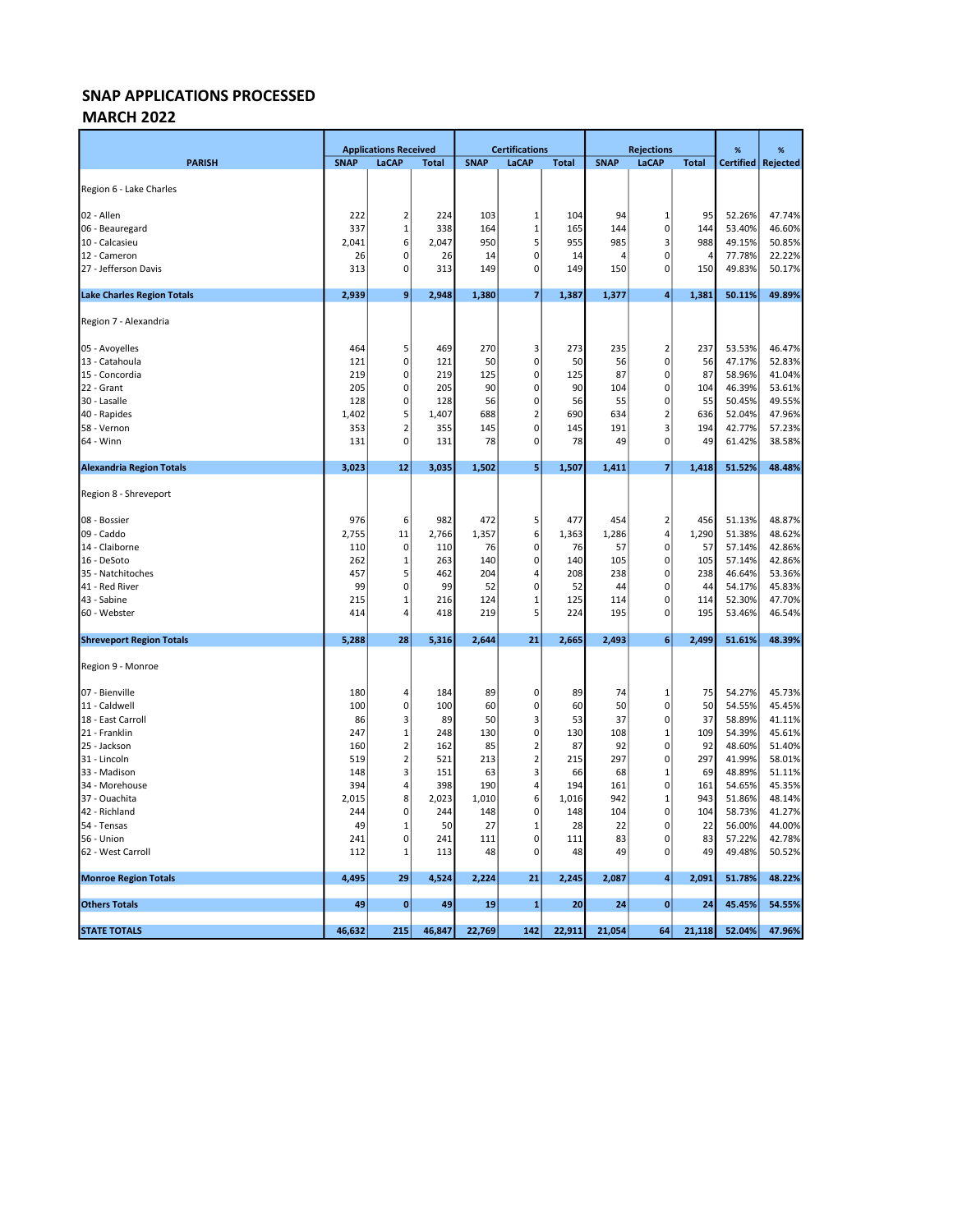### MARCH 2022

|                                   |             | <b>Applications Received</b> |              |             | <b>Certifications</b> |              | <b>Rejections</b> |                         |                | %                | %                |
|-----------------------------------|-------------|------------------------------|--------------|-------------|-----------------------|--------------|-------------------|-------------------------|----------------|------------------|------------------|
| <b>PARISH</b>                     | <b>SNAP</b> | LaCAP                        | <b>Total</b> | <b>SNAP</b> | <b>LaCAP</b>          | <b>Total</b> | <b>SNAP</b>       | LaCAP                   | <b>Total</b>   | <b>Certified</b> | Rejected         |
| Region 6 - Lake Charles           |             |                              |              |             |                       |              |                   |                         |                |                  |                  |
|                                   |             |                              |              |             |                       |              |                   |                         |                |                  |                  |
| 02 - Allen                        | 222         | 2                            | 224          | 103         | 1                     | 104          | 94                | 1                       | 95             | 52.26%           | 47.74%           |
| 06 - Beauregard                   | 337         | 1                            | 338          | 164         | 1                     | 165          | 144               | $\mathbf 0$             | 144            | 53.40%           | 46.60%           |
| 10 - Calcasieu                    | 2,041       | $6 \mid$                     | 2,047        | 950         | 5                     | 955          | 985               | 3                       | 988            | 49.15%           | 50.85%           |
| 12 - Cameron                      | 26          | 0                            | 26           | 14          | 0                     | 14           | $\Delta$          | 0                       | $\overline{a}$ | 77.78%           | 22.22%           |
| 27 - Jefferson Davis              | 313         | $\overline{0}$               | 313          | 149         | $\Omega$              | 149          | 150               | 0                       | 150            | 49.83%           | 50.17%           |
| <b>Lake Charles Region Totals</b> | 2,939       | 9 <sup>1</sup>               | 2,948        | 1,380       | 7                     | 1,387        | 1,377             | $\overline{4}$          | 1,381          | 50.11%           | 49.89%           |
| Region 7 - Alexandria             |             |                              |              |             |                       |              |                   |                         |                |                  |                  |
| 05 - Avoyelles                    | 464         | 5                            | 469          | 270         | 3                     | 273          | 235               | $\overline{\mathbf{c}}$ | 237            | 53.53%           | 46.47%           |
| 13 - Catahoula                    | 121         | $\mathbf{0}$                 | 121          | 50          | 0                     | 50           | 56                | $\pmb{0}$               | 56             | 47.17%           | 52.83%           |
| 15 - Concordia                    | 219         | 0                            | 219          | 125         | 0                     | 125          | 87                | $\mathbf 0$             | 87             | 58.96%           | 41.04%           |
| 22 - Grant                        | 205         | 0                            | 205          | 90          | 0                     | 90           | 104               | 0                       | 104            | 46.39%           | 53.61%           |
| 30 - Lasalle                      | 128         | $\overline{0}$               | 128          | 56          | 0                     | 56           | 55                | 0                       | 55             | 50.45%           | 49.55%           |
| 40 - Rapides                      | 1,402       | 5                            | 1,407        | 688         | 2                     | 690          | 634               | $\overline{2}$          | 636            | 52.04%           | 47.96%           |
| 58 - Vernon                       | 353         | $\overline{\mathbf{c}}$      | 355          | 145         | 0                     | 145          | 191               | 3                       | 194            | 42.77%           | 57.23%           |
| 64 - Winn                         | 131         | $\mathbf{0}$                 | 131          | 78          | 0                     | 78           | 49                | 0                       | 49             | 61.42%           | 38.58%           |
| <b>Alexandria Region Totals</b>   | 3,023       | 12                           | 3,035        | 1,502       | 5                     | 1,507        | 1,411             | $\overline{\mathbf{z}}$ | 1,418          | 51.52%           | 48.48%           |
| Region 8 - Shreveport             |             |                              |              |             |                       |              |                   |                         |                |                  |                  |
| 08 - Bossier                      | 976         | 6                            | 982          | 472         | 5                     | 477          | 454               | $\overline{2}$          | 456            | 51.13%           | 48.87%           |
| 09 - Caddo                        | 2,755       | 11                           | 2,766        | 1,357       | 6                     | 1,363        | 1,286             | 4                       | 1,290          | 51.38%           | 48.62%           |
| 14 - Claiborne                    | 110         | 0                            | 110          | 76          | 0                     | 76           | 57                | $\mathbf 0$             | 57             | 57.14%           | 42.86%           |
| 16 - DeSoto                       | 262         | 1                            | 263          | 140         | 0                     | 140          | 105               | $\mathbf 0$             | 105            | 57.14%           | 42.86%           |
| 35 - Natchitoches                 | 457         | 5                            | 462          | 204         | 4                     | 208          | 238               | $\mathbf 0$             | 238            | 46.64%           | 53.36%           |
| 41 - Red River                    | 99          | $\mathbf{0}$                 | 99           | 52          | 0                     | 52           | 44                | 0                       | 44             | 54.17%           | 45.83%           |
| 43 - Sabine                       | 215         | 1                            | 216          | 124         | 1                     | 125          | 114               | $\mathbf 0$             | 114            | 52.30%           | 47.70%           |
| 60 - Webster                      | 414         | 4                            | 418          | 219         | 5                     | 224          | 195               | $\mathbf 0$             | 195            | 53.46%           | 46.54%           |
| <b>Shreveport Region Totals</b>   | 5,288       | 28                           | 5,316        | 2,644       | 21                    | 2,665        | 2,493             | 6                       | 2,499          | 51.61%           | 48.39%           |
| Region 9 - Monroe                 |             |                              |              |             |                       |              |                   |                         |                |                  |                  |
| 07 - Bienville                    | 180         | 4                            | 184          | 89          | 0                     | 89           | 74                | $\mathbf{1}$            | 75             | 54.27%           | 45.73%           |
| 11 - Caldwell                     | 100         | 0                            | 100          | 60          | 0                     | 60           | 50                | $\mathbf 0$             | 50             | 54.55%           | 45.45%           |
| 18 - East Carroll                 | 86          | 3                            | 89           | 50          | 3                     | 53           | 37                | $\mathbf 0$             | 37             | 58.89%           | 41.11%           |
| 21 - Franklin                     | 247         | $\mathbf 1$                  | 248          | 130         | 0                     | 130          | 108               | $\mathbf{1}$            | 109            | 54.39%           | 45.61%           |
| 25 - Jackson                      | 160         | $\mathbf 2$                  | 162          | 85          | $\mathbf 2$           | 87           | 92                | $\pmb{0}$               | 92             | 48.60%           | 51.40%           |
| 31 - Lincoln                      | 519         | $\mathbf 2$                  | 521          | 213         | $\overline{2}$        | 215          | 297               | $\mathbf 0$             | 297            | 41.99%           | 58.01%           |
| 33 - Madison                      | 148         | 3                            | 151          | 63          | 3                     | 66           | 68                | $\mathbf{1}$            | 69             | 48.89%           | 51.11%           |
| 34 - Morehouse                    | 394         | 4                            | 398          | 190         | 4                     | 194          | 161               | $\mathbf 0$             | 161            | 54.65%           | 45.35%           |
| 37 - Ouachita                     | 2,015       | 8                            | 2,023        | 1,010       | 6                     | 1,016        | 942               | $\mathbf{1}$            | 943            | 51.86%           | 48.14%           |
| 42 - Richland                     | 244         | $\overline{0}$               | 244          | 148         | 0                     | 148          | 104               | $\mathbf 0$             | 104            | 58.73%           | 41.27%           |
| 54 - Tensas<br>56 - Union         | 49<br>241   | $\mathbf 1$<br>0             | 50<br>241    | 27<br>111   | $\mathbf 1$<br>0      | 28<br>111    | 22<br>83          | 0<br>0                  | 22<br>83       | 56.00%<br>57.22% | 44.00%<br>42.78% |
| 62 - West Carroll                 | 112         | 1                            | 113          | 48          | 0                     | 48           | 49                | $\mathbf 0$             | 49             | 49.48%           | 50.52%           |
| <b>Monroe Region Totals</b>       | 4,495       | 29                           | 4,524        | 2,224       | 21                    | 2,245        | 2,087             | 4                       | 2,091          | 51.78%           | 48.22%           |
|                                   |             |                              |              |             |                       |              |                   |                         |                |                  |                  |
| <b>Others Totals</b>              | 49          | $\bf{0}$                     | 49           | 19          | 1                     | 20           | 24                | $\mathbf{0}$            | 24             | 45.45%           | 54.55%           |
| <b>STATE TOTALS</b>               | 46,632      | 215                          | 46,847       | 22,769      | 142                   | 22,911       | 21,054            | 64                      | 21,118         | 52.04%           | 47.96%           |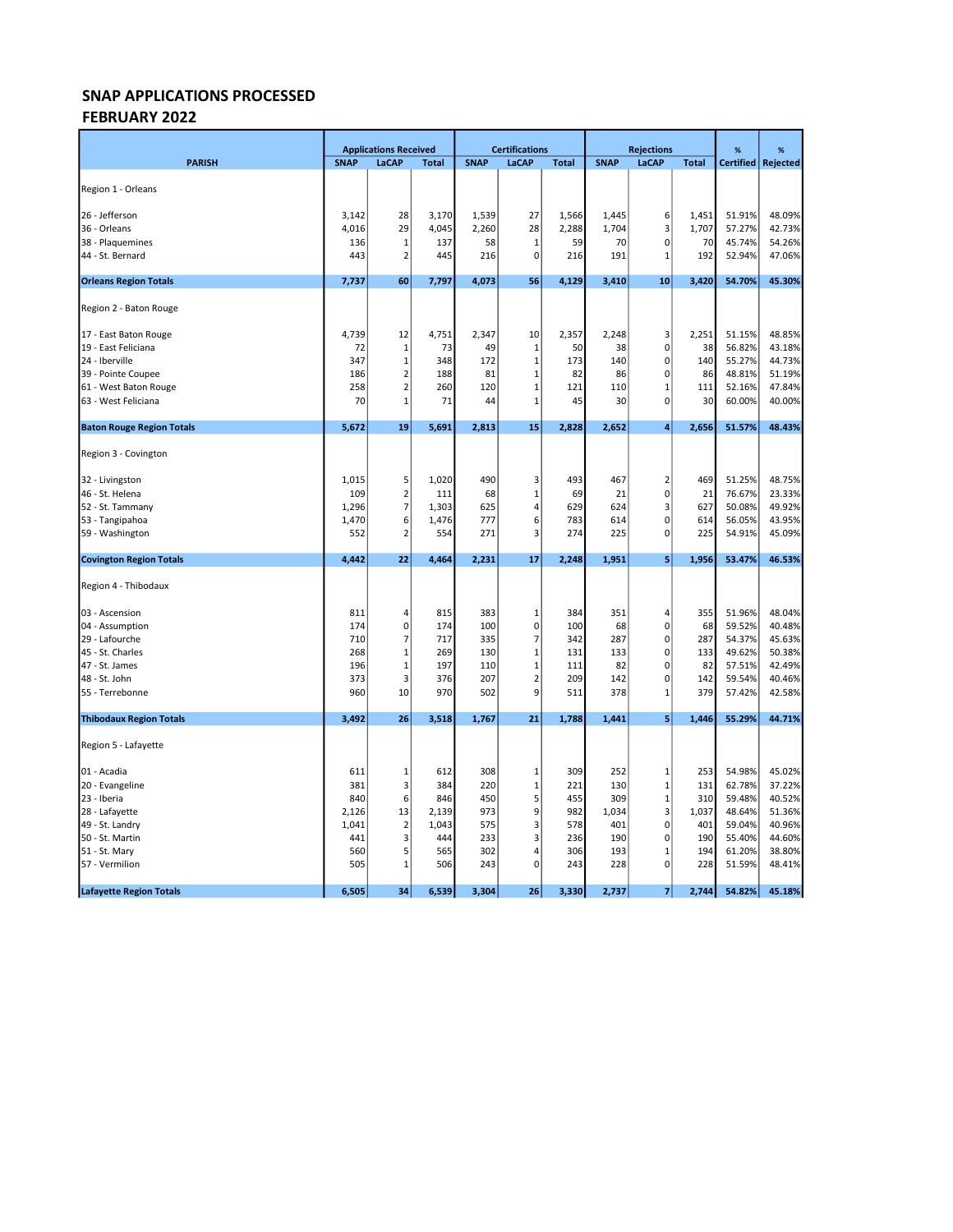### SNAP APPLICATIONS PROCESSED FEBRUARY 2022

|                                  |                | <b>Applications Received</b> |                |                | <b>Certifications</b> |                |                | <b>Rejections</b>          |                | %                | %                    |
|----------------------------------|----------------|------------------------------|----------------|----------------|-----------------------|----------------|----------------|----------------------------|----------------|------------------|----------------------|
| <b>PARISH</b>                    | <b>SNAP</b>    | <b>LaCAP</b>                 | <b>Total</b>   | <b>SNAP</b>    | LaCAP                 | <b>Total</b>   | <b>SNAP</b>    | LaCAP                      | <b>Total</b>   |                  | Certified   Rejected |
|                                  |                |                              |                |                |                       |                |                |                            |                |                  |                      |
| Region 1 - Orleans               |                |                              |                |                |                       |                |                |                            |                |                  |                      |
|                                  |                |                              |                |                | 27                    |                |                |                            |                |                  | 48.09%               |
| 26 - Jefferson<br>36 - Orleans   | 3,142<br>4,016 | 28<br>29                     | 3,170<br>4,045 | 1,539<br>2,260 | 28                    | 1,566<br>2,288 | 1,445<br>1,704 | 6<br>3                     | 1,451<br>1,707 | 51.91%<br>57.27% | 42.73%               |
| 38 - Plaquemines                 | 136            | 1                            | 137            | 58             | 1                     | 59             | 70             | $\mathbf 0$                | 70             | 45.74%           | 54.26%               |
| 44 - St. Bernard                 | 443            | 2                            | 445            | 216            | $\mathbf 0$           | 216            | 191            | 1                          | 192            | 52.94%           | 47.06%               |
|                                  |                |                              |                |                |                       |                |                |                            |                |                  |                      |
| <b>Orleans Region Totals</b>     | 7,737          | 60                           | 7,797          | 4,073          | 56                    | 4,129          | 3,410          | 10                         | 3,420          | 54.70%           | 45.30%               |
| Region 2 - Baton Rouge           |                |                              |                |                |                       |                |                |                            |                |                  |                      |
| 17 - East Baton Rouge            | 4,739          | 12                           | 4,751          | 2,347          | 10                    | 2,357          | 2,248          | 3                          | 2,251          | 51.15%           | 48.85%               |
| 19 - East Feliciana              | 72             | $\mathbf 1$                  | 73             | 49             | $\mathbf 1$           | 50             | 38             | $\pmb{0}$                  | 38             | 56.82%           | 43.18%               |
| 24 - Iberville                   | 347            | $\mathbf{1}$                 | 348            | 172            | $\mathbf 1$           | 173            | 140            | $\mathbf 0$                | 140            | 55.27%           | 44.73%               |
| 39 - Pointe Coupee               | 186            | $\overline{2}$               | 188            | 81             | $\mathbf 1$           | 82             | 86             | $\pmb{0}$                  | 86             | 48.81%           | 51.19%               |
| 61 - West Baton Rouge            | 258            | $\overline{2}$               | 260            | 120            | $\mathbf 1$           | 121            | 110            | $\mathbf 1$                | 111            | 52.16%           | 47.84%               |
| 63 - West Feliciana              | 70             | $\overline{1}$               | 71             | 44             | $\mathbf{1}$          | 45             | 30             | $\mathbf 0$                | 30             | 60.00%           | 40.00%               |
| <b>Baton Rouge Region Totals</b> | 5,672          | 19                           | 5,691          | 2,813          | 15                    | 2,828          | 2,652          | $\overline{4}$             | 2,656          | 51.57%           | 48.43%               |
|                                  |                |                              |                |                |                       |                |                |                            |                |                  |                      |
| Region 3 - Covington             |                |                              |                |                |                       |                |                |                            |                |                  |                      |
| 32 - Livingston                  | 1,015          | 5                            | 1,020          | 490            | 3                     | 493            | 467            | $\overline{2}$             | 469            | 51.25%           | 48.75%               |
| 46 - St. Helena                  | 109            | 2                            | 111            | 68             | $\mathbf 1$           | 69             | 21             | $\pmb{0}$                  | 21             | 76.67%           | 23.33%               |
| 52 - St. Tammany                 | 1,296          | $\overline{7}$               | 1,303          | 625            | 4                     | 629            | 624            | 3                          | 627            | 50.08%           | 49.92%               |
| 53 - Tangipahoa                  | 1,470          | 6                            | 1,476          | 777            | 6                     | 783            | 614            | 0                          | 614            | 56.05%           | 43.95%               |
| 59 - Washington                  | 552            | $\overline{2}$               | 554            | 271            | 3                     | 274            | 225            | $\mathbf 0$                | 225            | 54.91%           | 45.09%               |
| <b>Covington Region Totals</b>   | 4,442          | 22                           | 4,464          | 2,231          | 17                    | 2,248          | 1,951          | 5                          | 1,956          | 53.47%           | 46.53%               |
|                                  |                |                              |                |                |                       |                |                |                            |                |                  |                      |
| Region 4 - Thibodaux             |                |                              |                |                |                       |                |                |                            |                |                  |                      |
| 03 - Ascension                   | 811            | 4                            | 815            | 383            | 1                     | 384            | 351            | 4                          | 355            | 51.96%           | 48.04%               |
| 04 - Assumption                  | 174            | 0                            | 174            | 100            | 0                     | 100            | 68             | $\mathbf 0$                | 68             | 59.52%           | 40.48%               |
| 29 - Lafourche                   | 710            | 7                            | 717            | 335            | 7                     | 342            | 287            | $\pmb{0}$                  | 287            | 54.37%           | 45.63%               |
| 45 - St. Charles                 | 268            | $\mathbf 1$                  | 269            | 130            | 1                     | 131            | 133            | 0                          | 133            | 49.62%           | 50.38%               |
| 47 - St. James                   | 196            | $\mathbf{1}$                 | 197            | 110            | $\mathbf{1}$          | 111            | 82             | 0                          | 82             | 57.51%           | 42.49%               |
| 48 - St. John                    | 373            | 3                            | 376            | 207            | $\overline{2}$        | 209            | 142            | 0                          | 142            | 59.54%           | 40.46%               |
| 55 - Terrebonne                  | 960            | 10                           | 970            | 502            | 9                     | 511            | 378            | $\mathbf{1}$               | 379            | 57.42%           | 42.58%               |
| <b>Thibodaux Region Totals</b>   | 3,492          | 26                           | 3,518          | 1,767          | 21                    | 1,788          | 1,441          | 5                          | 1,446          | 55.29%           | 44.71%               |
| Region 5 - Lafayette             |                |                              |                |                |                       |                |                |                            |                |                  |                      |
|                                  |                |                              |                |                |                       |                |                |                            |                |                  |                      |
| 01 - Acadia                      | 611            | 1                            | 612            | 308            | 1                     | 309            | 252            | $\mathbf 1$                | 253            | 54.98%           | 45.02%               |
| 20 - Evangeline<br>23 - Iberia   | 381<br>840     | 3<br>6                       | 384<br>846     | 220<br>450     | 1<br>5                | 221<br>455     | 130<br>309     | $\mathbf 1$<br>$\mathbf 1$ | 131<br>310     | 62.78%<br>59.48% | 37.22%<br>40.52%     |
| 28 - Lafayette                   | 2,126          | 13                           | 2,139          | 973            | 9                     | 982            | 1,034          | 3                          | 1,037          | 48.64%           | 51.36%               |
| 49 - St. Landry                  | 1,041          | $\overline{2}$               | 1,043          | 575            | 3                     | 578            | 401            | $\mathbf 0$                | 401            | 59.04%           | 40.96%               |
| 50 - St. Martin                  | 441            | 3                            | 444            | 233            | 3                     | 236            | 190            | $\mathbf 0$                | 190            | 55.40%           | 44.60%               |
| 51 - St. Mary                    | 560            | 5                            | 565            | 302            | 4                     | 306            | 193            | $\mathbf{1}$               | 194            | 61.20%           | 38.80%               |
| 57 - Vermilion                   | 505            | $\mathbf{1}$                 | 506            | 243            | $\mathbf 0$           | 243            | 228            | $\pmb{0}$                  | 228            | 51.59%           | 48.41%               |
| <b>Lafayette Region Totals</b>   | 6,505          | 34                           | 6,539          | 3,304          | 26                    | 3,330          | 2,737          | $\overline{7}$             | 2,744          | 54.82%           | 45.18%               |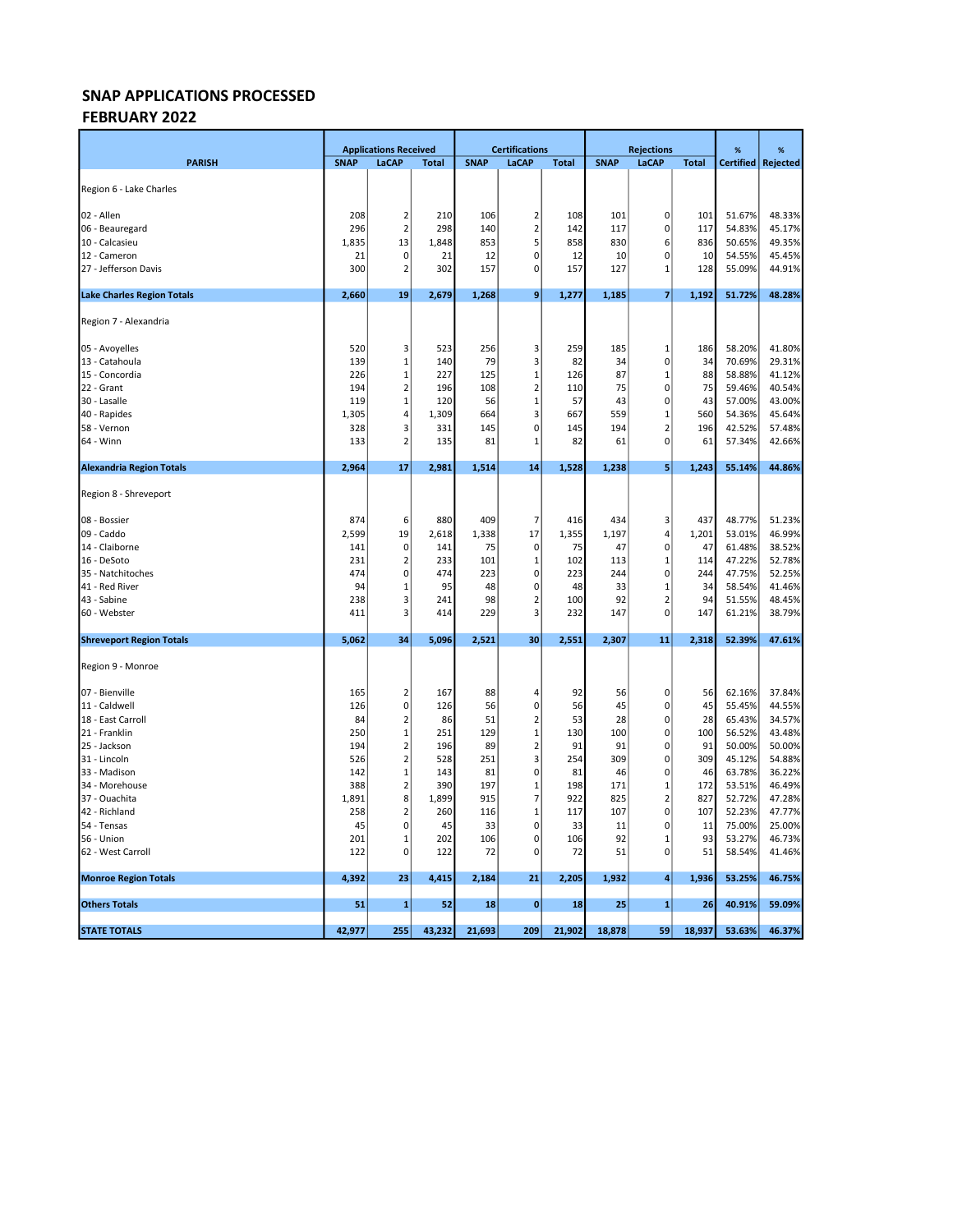## FEBRUARY 2022

|                                   |              | <b>Applications Received</b> |              | <b>Certifications</b> |                         | <b>Rejections</b> |             |                                | %            | %                |                  |
|-----------------------------------|--------------|------------------------------|--------------|-----------------------|-------------------------|-------------------|-------------|--------------------------------|--------------|------------------|------------------|
| <b>PARISH</b>                     | <b>SNAP</b>  | LaCAP                        | <b>Total</b> | <b>SNAP</b>           | <b>LaCAP</b>            | <b>Total</b>      | <b>SNAP</b> | LaCAP                          | <b>Total</b> | <b>Certified</b> | Rejected         |
| Region 6 - Lake Charles           |              |                              |              |                       |                         |                   |             |                                |              |                  |                  |
|                                   |              |                              |              |                       |                         |                   |             |                                |              |                  |                  |
| 02 - Allen                        | 208          | 2                            | 210          | 106                   | $\overline{2}$          | 108               | 101         | $\pmb{0}$                      | 101          | 51.67%           | 48.33%           |
| 06 - Beauregard                   | 296          | $\overline{2}$               | 298          | 140                   | $\overline{2}$          | 142               | 117         | $\pmb{0}$                      | 117          | 54.83%           | 45.17%           |
| 10 - Calcasieu                    | 1,835        | 13                           | 1,848        | 853                   | 5                       | 858               | 830         | 6                              | 836          | 50.65%           | 49.35%           |
| 12 - Cameron                      | 21           | 0                            | 21           | 12                    | 0                       | 12                | 10          | 0                              | 10           | 54.55%           | 45.45%           |
| 27 - Jefferson Davis              | 300          | 2                            | 302          | 157                   | $\mathbf 0$             | 157               | 127         | $\mathbf{1}$                   | 128          | 55.09%           | 44.91%           |
| <b>Lake Charles Region Totals</b> | 2,660        | 19                           | 2,679        | 1,268                 | $\boldsymbol{9}$        | 1,277             | 1,185       | $\overline{\mathbf{z}}$        | 1,192        | 51.72%           | 48.28%           |
| Region 7 - Alexandria             |              |                              |              |                       |                         |                   |             |                                |              |                  |                  |
| 05 - Avoyelles                    | 520          | 3                            | 523          | 256                   | 3                       | 259               | 185         | $\mathbf{1}$                   | 186          | 58.20%           | 41.80%           |
| 13 - Catahoula                    | 139          | 1                            | 140          | 79                    | 3                       | 82                | 34          | 0                              | 34           | 70.69%           | 29.31%           |
| 15 - Concordia                    | 226          | $\mathbf{1}$                 | 227          | 125                   | $\mathbf{1}$            | 126               | 87          | $\mathbf{1}$                   | 88           | 58.88%           | 41.12%           |
| 22 - Grant                        | 194          | $\overline{2}$               | 196          | 108                   | $\overline{2}$          | 110               | 75          | 0                              | 75           | 59.46%           | 40.54%           |
| 30 - Lasalle                      | 119          | 1                            | 120          | 56                    | $\mathbf{1}$            | 57                | 43          | 0                              | 43           | 57.00%           | 43.00%           |
| 40 - Rapides                      | 1,305        | 4                            | 1,309        | 664                   | 3                       | 667               | 559         | $\mathbf{1}$                   | 560          | 54.36%           | 45.64%           |
| 58 - Vernon                       | 328          | 3                            | 331          | 145                   | $\mathbf 0$             | 145               | 194         | $\overline{2}$                 | 196          | 42.52%           | 57.48%           |
| 64 - Winn                         | 133          | $\overline{2}$               | 135          | 81                    | 1                       | 82                | 61          | $\pmb{0}$                      | 61           | 57.34%           | 42.66%           |
| <b>Alexandria Region Totals</b>   | 2,964        | 17                           | 2,981        | 1,514                 | 14                      | 1,528             | 1,238       | 5                              | 1,243        | 55.14%           | 44.86%           |
| Region 8 - Shreveport             |              |                              |              |                       |                         |                   |             |                                |              |                  |                  |
| 08 - Bossier                      | 874          | 6                            | 880          | 409                   | 7                       | 416               | 434         | 3                              | 437          | 48.77%           | 51.23%           |
| 09 - Caddo                        | 2,599        | 19                           | 2,618        | 1,338                 | 17                      | 1,355             | 1,197       | 4                              | 1,201        | 53.01%           | 46.99%           |
| 14 - Claiborne                    | 141          | 0                            | 141          | 75                    | $\mathbf 0$             | 75                | 47          | $\mathbf 0$                    | 47           | 61.48%           | 38.52%           |
| 16 - DeSoto                       | 231          | 2                            | 233          | 101                   | $\mathbf 1$             | 102               | 113         | $\mathbf{1}$                   | 114          | 47.22%           | 52.78%           |
| 35 - Natchitoches                 | 474          | 0                            | 474          | 223                   | $\mathbf 0$             | 223               | 244         | $\pmb{0}$                      | 244          | 47.75%           | 52.25%           |
| 41 - Red River                    | 94           | 1                            | 95           | 48                    | $\mathbf 0$             | 48                | 33          | $\mathbf{1}$                   | 34           | 58.54%           | 41.46%           |
| 43 - Sabine                       | 238          | 3                            | 241          | 98                    | $\overline{2}$          | 100               | 92          | $\overline{2}$                 | 94           | 51.55%           | 48.45%           |
| 60 - Webster                      | 411          | 3                            | 414          | 229                   | $\overline{3}$          | 232               | 147         | $\mathbf 0$                    | 147          | 61.21%           | 38.79%           |
| <b>Shreveport Region Totals</b>   | 5,062        | 34                           | 5,096        | 2,521                 | 30                      | 2,551             | 2,307       | 11                             | 2,318        | 52.39%           | 47.61%           |
| Region 9 - Monroe                 |              |                              |              |                       |                         |                   |             |                                |              |                  |                  |
| 07 - Bienville                    | 165          | $\overline{2}$               | 167          | 88                    | 4                       | 92                | 56          | 0                              | 56           | 62.16%           | 37.84%           |
| 11 - Caldwell                     | 126          | 0                            | 126          | 56                    | $\mathbf 0$             | 56                | 45          | $\pmb{0}$                      | 45           | 55.45%           | 44.55%           |
| 18 - East Carroll                 | 84           | $\overline{2}$               | 86           | 51                    | $\overline{2}$          | 53                | 28          | $\pmb{0}$                      | 28           | 65.43%           | 34.57%           |
| 21 - Franklin                     | 250          | 1                            | 251          | 129                   | $\mathbf 1$             | 130               | 100         | $\pmb{0}$                      | 100          | 56.52%           | 43.48%           |
| 25 - Jackson                      | 194          | $\mathbf 2$                  | 196          | 89                    | $\mathbf 2$             | 91                | 91          | $\pmb{0}$                      | 91           | 50.00%           | 50.00%           |
| 31 - Lincoln                      | 526          | $\overline{2}$               | 528          | 251                   | $\overline{\mathbf{3}}$ | 254               | 309         | $\pmb{0}$                      | 309          | 45.12%           | 54.88%           |
| 33 - Madison                      | 142          | $\mathbf 1$                  | 143          | 81                    | $\mathbf 0$             | 81                | 46          | $\pmb{0}$                      | 46           | 63.78%           | 36.22%           |
| 34 - Morehouse                    | 388          | $\overline{2}$               | 390          | 197                   | $\mathbf{1}$            | 198               | 171         | $\mathbf{1}$<br>$\overline{2}$ | 172          | 53.51%           | 46.49%           |
| 37 - Ouachita<br>42 - Richland    | 1,891<br>258 | 8<br>$\overline{2}$          | 1,899<br>260 | 915<br>116            | 7<br>$\mathbf{1}$       | 922<br>117        | 825<br>107  | $\pmb{0}$                      | 827<br>107   | 52.72%<br>52.23% | 47.28%<br>47.77% |
| 54 - Tensas                       | 45           | 0                            | 45           | 33                    | $\mathbf 0$             | 33                | 11          | $\mathbf 0$                    | 11           | 75.00%           | 25.00%           |
| 56 - Union                        | 201          | $\mathbf{1}$                 | 202          | 106                   | 0                       | 106               | 92          | $\mathbf{1}$                   | 93           | 53.27%           | 46.73%           |
| 62 - West Carroll                 | 122          | 0                            | 122          | 72                    | $\mathbf 0$             | 72                | 51          | $\pmb{0}$                      | 51           | 58.54%           | 41.46%           |
| <b>Monroe Region Totals</b>       | 4,392        | 23                           | 4,415        | 2,184                 | 21                      | 2,205             | 1,932       | 4                              | 1,936        | 53.25%           | 46.75%           |
| <b>Others Totals</b>              | 51           | $\mathbf{1}$                 | 52           | 18                    | $\mathbf 0$             | 18                | 25          | $\mathbf{1}$                   | 26           | 40.91%           | 59.09%           |
|                                   |              |                              |              |                       |                         |                   |             |                                |              |                  |                  |
| <b>STATE TOTALS</b>               | 42,977       | 255                          | 43,232       | 21,693                | 209                     | 21,902            | 18,878      | 59                             | 18,937       | 53.63%           | 46.37%           |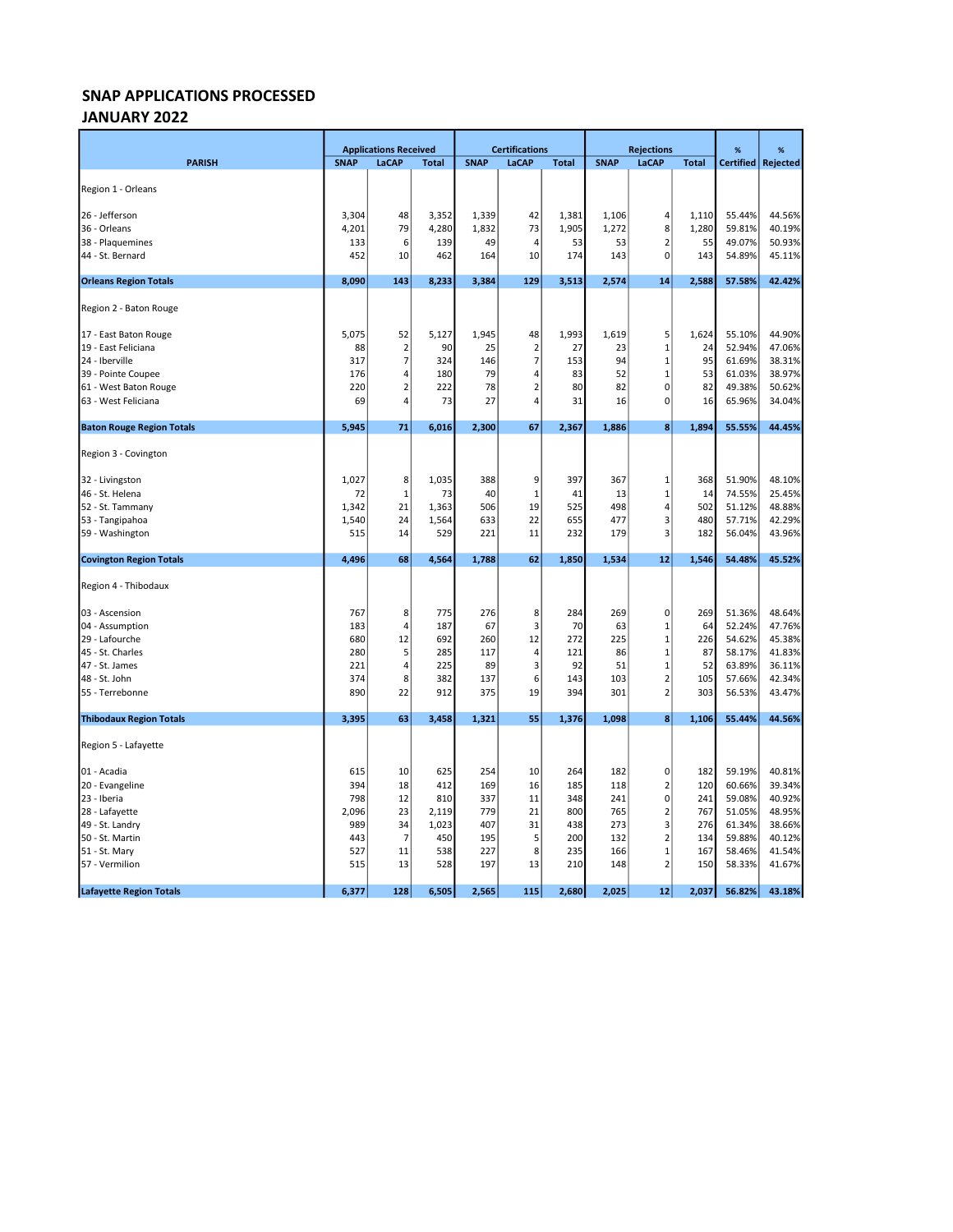### JANUARY 2022

|                                  |             | <b>Applications Received</b> |              |             | <b>Certifications</b>   |              |             | <b>Rejections</b>       |              | %                | %        |
|----------------------------------|-------------|------------------------------|--------------|-------------|-------------------------|--------------|-------------|-------------------------|--------------|------------------|----------|
| <b>PARISH</b>                    | <b>SNAP</b> | LaCAP                        | <b>Total</b> | <b>SNAP</b> | LaCAP                   | <b>Total</b> | <b>SNAP</b> | LaCAP                   | <b>Total</b> | <b>Certified</b> | Rejected |
|                                  |             |                              |              |             |                         |              |             |                         |              |                  |          |
| Region 1 - Orleans               |             |                              |              |             |                         |              |             |                         |              |                  |          |
| 26 - Jefferson                   | 3,304       | 48                           | 3,352        | 1,339       | 42                      | 1,381        | 1,106       | 4                       | 1,110        | 55.44%           | 44.56%   |
| 36 - Orleans                     | 4,201       | 79                           | 4,280        | 1,832       | 73                      | 1,905        | 1,272       | 8                       | 1,280        | 59.81%           | 40.19%   |
| 38 - Plaquemines                 | 133         | 6                            | 139          | 49          | $\overline{4}$          | 53           | 53          | $\overline{2}$          | 55           | 49.07%           | 50.93%   |
| 44 - St. Bernard                 | 452         | 10                           | 462          | 164         | 10                      | 174          | 143         | 0                       | 143          | 54.89%           | 45.11%   |
| <b>Orleans Region Totals</b>     | 8,090       | 143                          | 8,233        | 3,384       | 129                     | 3,513        | 2,574       | 14                      | 2,588        | 57.58%           | 42.42%   |
| Region 2 - Baton Rouge           |             |                              |              |             |                         |              |             |                         |              |                  |          |
| 17 - East Baton Rouge            | 5,075       | 52                           | 5,127        | 1,945       | 48                      | 1,993        | 1,619       | 5                       | 1,624        | 55.10%           | 44.90%   |
| 19 - East Feliciana              | 88          | $\overline{2}$               | 90           | 25          | $\overline{2}$          | 27           | 23          | $\mathbf{1}$            | 24           | 52.94%           | 47.06%   |
| 24 - Iberville                   | 317         | $\overline{7}$               | 324          | 146         | $\overline{7}$          | 153          | 94          | $\mathbf{1}$            | 95           | 61.69%           | 38.31%   |
| 39 - Pointe Coupee               | 176         | 4                            | 180          | 79          | 4                       | 83           | 52          | $\mathbf{1}$            | 53           | 61.03%           | 38.97%   |
| 61 - West Baton Rouge            | 220         | $\overline{2}$               | 222          | 78          | $\overline{2}$          | 80           | 82          | 0                       | 82           | 49.38%           | 50.62%   |
| 63 - West Feliciana              | 69          | 4                            | 73           | 27          | $\overline{4}$          | 31           | 16          | $\mathbf 0$             | 16           | 65.96%           | 34.04%   |
| <b>Baton Rouge Region Totals</b> | 5,945       | 71                           | 6,016        | 2,300       | 67                      | 2,367        | 1,886       | 8                       | 1,894        | 55.55%           | 44.45%   |
| Region 3 - Covington             |             |                              |              |             |                         |              |             |                         |              |                  |          |
| 32 - Livingston                  | 1,027       | 8                            | 1,035        | 388         | 9                       | 397          | 367         | $\mathbf 1$             | 368          | 51.90%           | 48.10%   |
| 46 - St. Helena                  | 72          | $\mathbf 1$                  | 73           | 40          | $\mathbf{1}$            | 41           | 13          | $\mathbf{1}$            | 14           | 74.55%           | 25.45%   |
| 52 - St. Tammany                 | 1,342       | 21                           | 1,363        | 506         | 19                      | 525          | 498         | $\overline{4}$          | 502          | 51.12%           | 48.88%   |
| 53 - Tangipahoa                  | 1,540       | 24                           | 1,564        | 633         | 22                      | 655          | 477         | 3                       | 480          | 57.71%           | 42.29%   |
| 59 - Washington                  | 515         | 14                           | 529          | 221         | 11                      | 232          | 179         | 3                       | 182          | 56.04%           | 43.96%   |
| <b>Covington Region Totals</b>   | 4,496       | 68                           | 4,564        | 1,788       | 62                      | 1,850        | 1,534       | 12                      | 1,546        | 54.48%           | 45.52%   |
| Region 4 - Thibodaux             |             |                              |              |             |                         |              |             |                         |              |                  |          |
| 03 - Ascension                   | 767         | 8                            | 775          | 276         | 8                       | 284          | 269         | 0                       | 269          | 51.36%           | 48.64%   |
| 04 - Assumption                  | 183         | 4                            | 187          | 67          | $\overline{\mathbf{3}}$ | 70           | 63          | $\mathbf{1}$            | 64           | 52.24%           | 47.76%   |
| 29 - Lafourche                   | 680         | 12                           | 692          | 260         | 12                      | 272          | 225         | $\mathbf{1}$            | 226          | 54.62%           | 45.38%   |
| 45 - St. Charles                 | 280         | 5                            | 285          | 117         | 4                       | 121          | 86          | $\mathbf{1}$            | 87           | 58.17%           | 41.83%   |
| 47 - St. James                   | 221         | 4                            | 225          | 89          | 3                       | 92           | 51          | $\mathbf 1$             | 52           | 63.89%           | 36.11%   |
| 48 - St. John                    | 374         | 8                            | 382          | 137         | 6                       | 143          | 103         | $\overline{\mathbf{c}}$ | 105          | 57.66%           | 42.34%   |
| 55 - Terrebonne                  | 890         | 22                           | 912          | 375         | 19                      | 394          | 301         | $\overline{\mathbf{c}}$ | 303          | 56.53%           | 43.47%   |
| <b>Thibodaux Region Totals</b>   | 3,395       | 63                           | 3,458        | 1,321       | 55                      | 1,376        | 1,098       | 8                       | 1,106        | 55.44%           | 44.56%   |
| Region 5 - Lafayette             |             |                              |              |             |                         |              |             |                         |              |                  |          |
| 01 - Acadia                      | 615         | 10                           | 625          | 254         | 10                      | 264          | 182         | 0                       | 182          | 59.19%           | 40.81%   |
| 20 - Evangeline                  | 394         | 18                           | 412          | 169         | 16                      | 185          | 118         | $\mathbf 2$             | 120          | 60.66%           | 39.34%   |
| 23 - Iberia                      | 798         | 12                           | 810          | 337         | 11                      | 348          | 241         | 0                       | 241          | 59.08%           | 40.92%   |
| 28 - Lafayette                   | 2,096       | 23                           | 2,119        | 779         | 21                      | 800          | 765         | $\overline{\mathbf{c}}$ | 767          | 51.05%           | 48.95%   |
| 49 - St. Landry                  | 989         | 34                           | 1,023        | 407         | 31                      | 438          | 273         | 3                       | 276          | 61.34%           | 38.66%   |
| 50 - St. Martin                  | 443         | 7                            | 450          | 195         | 5                       | 200          | 132         | $\mathbf 2$             | 134          | 59.88%           | 40.12%   |
| 51 - St. Mary                    | 527         | 11                           | 538          | 227         | 8                       | 235          | 166         | $\mathbf{1}$            | 167          | 58.46%           | 41.54%   |
| 57 - Vermilion                   | 515         | 13                           | 528          | 197         | 13                      | 210          | 148         | $\overline{2}$          | 150          | 58.33%           | 41.67%   |
| <b>Lafayette Region Totals</b>   | 6,377       | 128                          | 6,505        | 2,565       | 115                     | 2,680        | 2,025       | 12                      | 2,037        | 56.82%           | 43.18%   |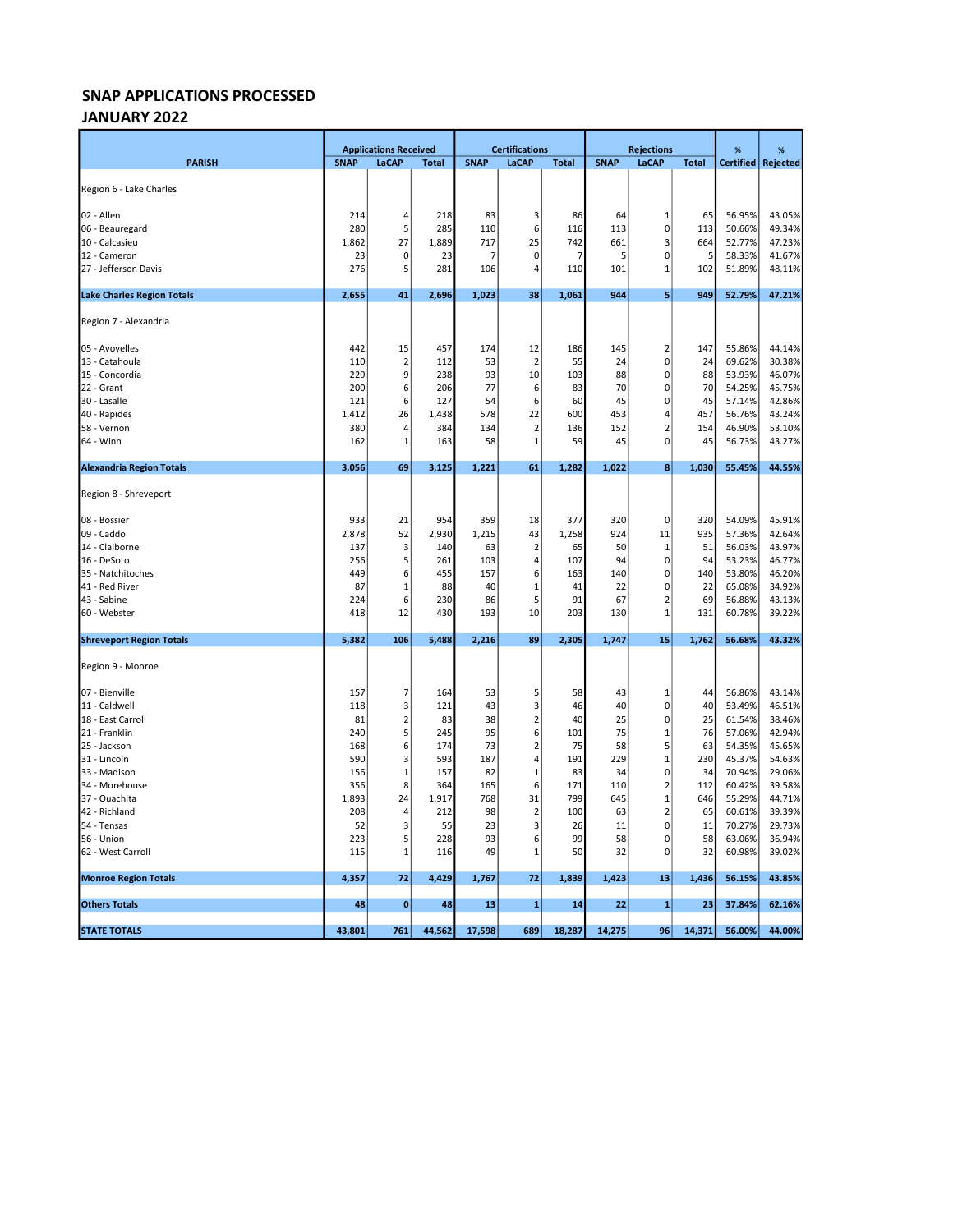### JANUARY 2022

|                                   |             | <b>Applications Received</b> |              | <b>Certifications</b> |                | <b>Rejections</b> |             |                         | %            | %                |          |
|-----------------------------------|-------------|------------------------------|--------------|-----------------------|----------------|-------------------|-------------|-------------------------|--------------|------------------|----------|
| <b>PARISH</b>                     | <b>SNAP</b> | LaCAP                        | <b>Total</b> | <b>SNAP</b>           | <b>LaCAP</b>   | <b>Total</b>      | <b>SNAP</b> | LaCAP                   | <b>Total</b> | <b>Certified</b> | Rejected |
| Region 6 - Lake Charles           |             |                              |              |                       |                |                   |             |                         |              |                  |          |
|                                   |             |                              |              |                       |                |                   |             |                         |              |                  |          |
| 02 - Allen                        | 214         | 4                            | 218          | 83                    | 3              | 86                | 64          | $\mathbf 1$             | 65           | 56.95%           | 43.05%   |
| 06 - Beauregard                   | 280         | 5                            | 285          | 110                   | 6              | 116               | 113         | $\mathbf 0$             | 113          | 50.66%           | 49.34%   |
| 10 - Calcasieu                    | 1,862       | 27                           | 1,889        | 717                   | 25             | 742               | 661         | 3                       | 664          | 52.77%           | 47.23%   |
| 12 - Cameron                      | 23          | 0                            | 23           | 7                     | 0              |                   | 5           | $\mathbf 0$             | 5            | 58.33%           | 41.67%   |
| 27 - Jefferson Davis              | 276         | 5                            | 281          | 106                   | 4              | 110               | 101         | 1                       | 102          | 51.89%           | 48.11%   |
| <b>Lake Charles Region Totals</b> | 2,655       | 41                           | 2,696        | 1,023                 | 38             | 1,061             | 944         | 5                       | 949          | 52.79%           | 47.21%   |
| Region 7 - Alexandria             |             |                              |              |                       |                |                   |             |                         |              |                  |          |
| 05 - Avoyelles                    | 442         | 15                           | 457          | 174                   | 12             | 186               | 145         | $\overline{2}$          | 147          | 55.86%           | 44.14%   |
| 13 - Catahoula                    | 110         | $\overline{2}$               | 112          | 53                    | $\overline{2}$ | 55                | 24          | $\pmb{0}$               | 24           | 69.62%           | 30.38%   |
| 15 - Concordia                    | 229         | 9                            | 238          | 93                    | 10             | 103               | 88          | 0                       | 88           | 53.93%           | 46.07%   |
| 22 - Grant                        | 200         | 6                            | 206          | 77                    | 6              | 83                | 70          | $\mathbf 0$             | 70           | 54.25%           | 45.75%   |
| 30 - Lasalle                      | 121         | 6                            | 127          | 54                    | 6              | 60                | 45          | $\mathbf 0$             | 45           | 57.14%           | 42.86%   |
| 40 - Rapides                      | 1,412       | 26                           | 1,438        | 578                   | 22             | 600               | 453         | 4                       | 457          | 56.76%           | 43.24%   |
| 58 - Vernon                       | 380         | 4                            | 384          | 134                   | $\overline{2}$ | 136               | 152         | $\overline{2}$          | 154          | 46.90%           | 53.10%   |
| 64 - Winn                         | 162         | 1                            | 163          | 58                    | $\mathbf{1}$   | 59                | 45          | $\pmb{0}$               | 45           | 56.73%           | 43.27%   |
| <b>Alexandria Region Totals</b>   | 3,056       | 69                           | 3,125        | 1,221                 | 61             | 1,282             | 1,022       | 8                       | 1,030        | 55.45%           | 44.55%   |
| Region 8 - Shreveport             |             |                              |              |                       |                |                   |             |                         |              |                  |          |
| 08 - Bossier                      | 933         | 21                           | 954          | 359                   | 18             | 377               | 320         | 0                       | 320          | 54.09%           | 45.91%   |
| 09 - Caddo                        | 2,878       | 52                           | 2,930        | 1,215                 | 43             | 1,258             | 924         | 11                      | 935          | 57.36%           | 42.64%   |
| 14 - Claiborne                    | 137         | 3                            | 140          | 63                    | $\overline{2}$ | 65                | 50          | 1                       | 51           | 56.03%           | 43.97%   |
| 16 - DeSoto                       | 256         | 5                            | 261          | 103                   | $\overline{4}$ | 107               | 94          | $\mathbf 0$             | 94           | 53.23%           | 46.77%   |
| 35 - Natchitoches                 | 449         | 6                            | 455          | 157                   | 6              | 163               | 140         | $\pmb{0}$               | 140          | 53.80%           | 46.20%   |
| 41 - Red River                    | 87          | 1                            | 88           | 40                    | $\mathbf 1$    | 41                | 22          | $\pmb{0}$               | 22           | 65.08%           | 34.92%   |
| 43 - Sabine                       | 224         | 6                            | 230          | 86                    | 5              | 91                | 67          | $\overline{\mathbf{c}}$ | 69           | 56.88%           | 43.13%   |
| 60 - Webster                      | 418         | 12                           | 430          | 193                   | 10             | 203               | 130         | $\mathbf{1}$            | 131          | 60.78%           | 39.22%   |
| <b>Shreveport Region Totals</b>   | 5,382       | 106                          | 5,488        | 2,216                 | 89             | 2,305             | 1,747       | 15                      | 1,762        | 56.68%           | 43.32%   |
| Region 9 - Monroe                 |             |                              |              |                       |                |                   |             |                         |              |                  |          |
| 07 - Bienville                    | 157         | 7                            | 164          | 53                    | 5              | 58                | 43          | $\mathbf{1}$            | 44           | 56.86%           | 43.14%   |
| 11 - Caldwell                     | 118         | 3                            | 121          | 43                    | 3              | 46                | 40          | $\mathbf 0$             | 40           | 53.49%           | 46.51%   |
| 18 - East Carroll                 | 81          | $\overline{2}$               | 83           | 38                    | $\mathbf 2$    | 40                | 25          | $\mathbf 0$             | 25           | 61.54%           | 38.46%   |
| 21 - Franklin                     | 240         | 5                            | 245          | 95                    | 6              | 101               | 75          | $\mathbf{1}$            | 76           | 57.06%           | 42.94%   |
| 25 - Jackson                      | 168         | 6                            | 174          | 73                    | $\overline{2}$ | 75                | 58          | 5                       | 63           | 54.35%           | 45.65%   |
| 31 - Lincoln                      | 590         | 3                            | 593          | 187                   | $\overline{4}$ | 191               | 229         | $\mathbf{1}$            | 230          | 45.37%           | 54.63%   |
| 33 - Madison                      | 156         | $\mathbf{1}$                 | 157          | 82                    | $\mathbf{1}$   | 83                | 34          | $\pmb{0}$               | 34           | 70.94%           | 29.06%   |
| 34 - Morehouse                    | 356         | 8                            | 364          | 165                   | 6              | 171               | 110         | $\overline{2}$          | 112          | 60.42%           | 39.58%   |
| 37 - Ouachita                     | 1,893       | 24                           | 1,917        | 768                   | 31             | 799               | 645         | $\mathbf{1}$            | 646          | 55.29%           | 44.71%   |
| 42 - Richland                     | 208         | 4                            | 212          | 98                    | $\overline{2}$ | 100               | 63          | $\overline{2}$          | 65           | 60.61%           | 39.39%   |
| 54 - Tensas                       | 52          | 3                            | 55           | 23                    | 3              | 26                | 11          | $\mathbf 0$             | 11           | 70.27%           | 29.73%   |
| 56 - Union                        | 223         | 5                            | 228          | 93                    | 6              | 99                | 58          | 0                       | 58           | 63.06%           | 36.94%   |
| 62 - West Carroll                 | 115         | 1                            | 116          | 49                    | 1              | 50                | 32          | $\mathbf 0$             | 32           | 60.98%           | 39.02%   |
| <b>Monroe Region Totals</b>       | 4,357       | 72                           | 4,429        | 1,767                 | 72             | 1,839             | 1,423       | 13                      | 1,436        | 56.15%           | 43.85%   |
| <b>Others Totals</b>              | 48          | $\mathbf{0}$                 | 48           | 13                    | $\mathbf{1}$   | 14                | 22          | $\mathbf{1}$            | 23           | 37.84%           | 62.16%   |
| <b>STATE TOTALS</b>               | 43,801      | 761                          | 44,562       | 17,598                | 689            | 18,287            | 14,275      | 96                      | 14,371       | 56.00%           | 44.00%   |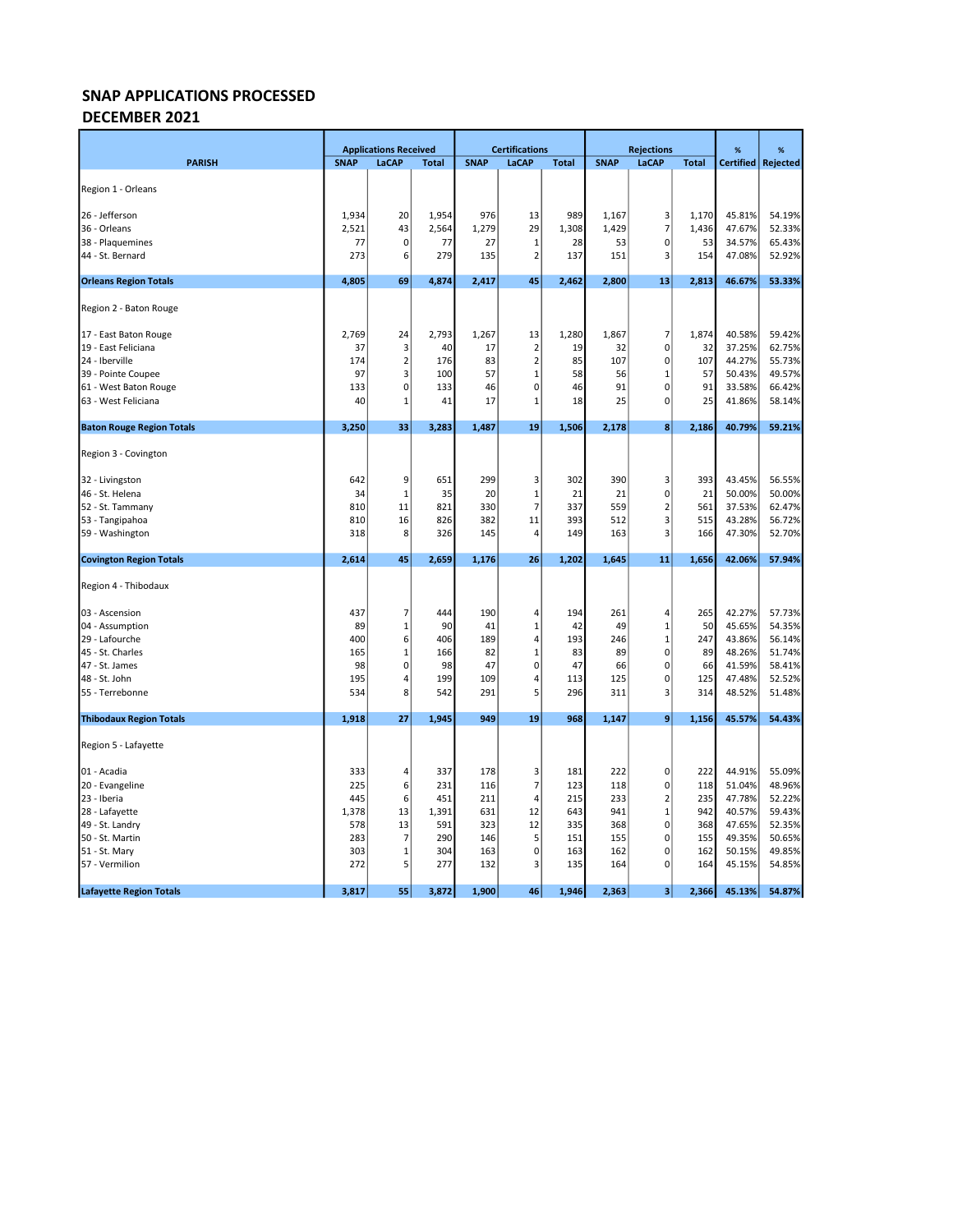## DECEMBER 2021

|                                  |             | <b>Applications Received</b> |              |             | <b>Certifications</b> |              | <b>Rejections</b> |                |              | %                | %        |
|----------------------------------|-------------|------------------------------|--------------|-------------|-----------------------|--------------|-------------------|----------------|--------------|------------------|----------|
| <b>PARISH</b>                    | <b>SNAP</b> | LaCAP                        | <b>Total</b> | <b>SNAP</b> | LaCAP                 | <b>Total</b> | <b>SNAP</b>       | LaCAP          | <b>Total</b> | <b>Certified</b> | Rejected |
|                                  |             |                              |              |             |                       |              |                   |                |              |                  |          |
| Region 1 - Orleans               |             |                              |              |             |                       |              |                   |                |              |                  |          |
| 26 - Jefferson                   | 1,934       | 20                           | 1,954        | 976         | 13                    | 989          | 1,167             | 3              | 1,170        | 45.81%           | 54.19%   |
| 36 - Orleans                     | 2,521       | 43                           | 2,564        | 1,279       | 29                    | 1,308        | 1,429             | $\overline{7}$ | 1,436        | 47.67%           | 52.33%   |
| 38 - Plaquemines                 | 77          | 0                            | 77           | 27          | 1                     | 28           | 53                | $\pmb{0}$      | 53           | 34.57%           | 65.43%   |
| 44 - St. Bernard                 | 273         | 6                            | 279          | 135         | $\overline{2}$        | 137          | 151               | 3              | 154          | 47.08%           | 52.92%   |
| <b>Orleans Region Totals</b>     | 4,805       | 69                           | 4,874        | 2,417       | 45                    | 2,462        | 2,800             | 13             | 2,813        | 46.67%           | 53.33%   |
|                                  |             |                              |              |             |                       |              |                   |                |              |                  |          |
| Region 2 - Baton Rouge           |             |                              |              |             |                       |              |                   |                |              |                  |          |
| 17 - East Baton Rouge            | 2,769       | 24                           | 2,793        | 1,267       | 13                    | 1,280        | 1,867             | $\overline{7}$ | 1,874        | 40.58%           | 59.42%   |
| 19 - East Feliciana              | 37          | 3                            | 40           | 17          | $\overline{2}$        | 19           | 32                | $\pmb{0}$      | 32           | 37.25%           | 62.75%   |
| 24 - Iberville                   | 174         | $\mathbf 2$                  | 176          | 83          | $\overline{2}$        | 85           | 107               | $\mathbf 0$    | 107          | 44.27%           | 55.73%   |
| 39 - Pointe Coupee               | 97          | 3                            | 100          | 57          | $1\,$                 | 58           | 56                | $\mathbf 1$    | 57           | 50.43%           | 49.57%   |
| 61 - West Baton Rouge            | 133         | $\mathbf{0}$                 | 133          | 46          | $\mathbf 0$           | 46           | 91                | $\pmb{0}$      | 91           | 33.58%           | 66.42%   |
| 63 - West Feliciana              | 40          | 1                            | 41           | 17          | 1                     | 18           | 25                | $\mathbf 0$    | 25           | 41.86%           | 58.14%   |
| <b>Baton Rouge Region Totals</b> | 3,250       | 33                           | 3,283        | 1,487       | 19                    | 1,506        | 2,178             | 8              | 2,186        | 40.79%           | 59.21%   |
|                                  |             |                              |              |             |                       |              |                   |                |              |                  |          |
| Region 3 - Covington             |             |                              |              |             |                       |              |                   |                |              |                  |          |
| 32 - Livingston                  | 642         | 9                            | 651          | 299         | 3                     | 302          | 390               | 3              | 393          | 43.45%           | 56.55%   |
| 46 - St. Helena                  | 34          | $\mathbf{1}$                 | 35           | 20          | $1\,$                 | 21           | 21                | $\mathbf 0$    | 21           | 50.00%           | 50.00%   |
| 52 - St. Tammany                 | 810         | 11                           | 821          | 330         | $\overline{7}$        | 337          | 559               | $\overline{2}$ | 561          | 37.53%           | 62.47%   |
| 53 - Tangipahoa                  | 810         | 16                           | 826          | 382         | 11                    | 393          | 512               | 3              | 515          | 43.28%           | 56.72%   |
| 59 - Washington                  | 318         | 8                            | 326          | 145         | $\overline{4}$        | 149          | 163               | 3              | 166          | 47.30%           | 52.70%   |
| <b>Covington Region Totals</b>   | 2,614       | 45                           | 2,659        | 1,176       | 26                    | 1,202        | 1,645             | 11             | 1,656        | 42.06%           | 57.94%   |
| Region 4 - Thibodaux             |             |                              |              |             |                       |              |                   |                |              |                  |          |
|                                  |             |                              |              |             |                       |              |                   |                |              |                  |          |
| 03 - Ascension                   | 437         | 7                            | 444          | 190         | 4                     | 194          | 261               | 4              | 265          | 42.27%           | 57.73%   |
| 04 - Assumption                  | 89          | $\mathbf 1$                  | 90           | 41          | $\mathbf{1}$          | 42           | 49                | $\mathbf{1}$   | 50           | 45.65%           | 54.35%   |
| 29 - Lafourche                   | 400         | 6                            | 406          | 189         | 4                     | 193          | 246               | $\mathbf 1$    | 247          | 43.86%           | 56.14%   |
| 45 - St. Charles                 | 165         | $\mathbf{1}$                 | 166          | 82          | $\mathbf{1}$          | 83           | 89                | $\mathbf 0$    | 89           | 48.26%           | 51.74%   |
| 47 - St. James                   | 98          | $\mathbf{0}$                 | 98           | 47          | $\mathbf 0$           | 47           | 66                | $\mathbf 0$    | 66           | 41.59%           | 58.41%   |
| 48 - St. John                    | 195         | 4                            | 199          | 109         | 4                     | 113          | 125               | $\mathbf 0$    | 125          | 47.48%           | 52.52%   |
| 55 - Terrebonne                  | 534         | 8                            | 542          | 291         | 5                     | 296          | 311               | 3              | 314          | 48.52%           | 51.48%   |
| <b>Thibodaux Region Totals</b>   | 1,918       | 27                           | 1,945        | 949         | 19                    | 968          | 1,147             | 9              | 1,156        | 45.57%           | 54.43%   |
| Region 5 - Lafayette             |             |                              |              |             |                       |              |                   |                |              |                  |          |
| 01 - Acadia                      | 333         | 4                            | 337          | 178         | 3                     | 181          | 222               | $\pmb{0}$      | 222          | 44.91%           | 55.09%   |
| 20 - Evangeline                  | 225         | 6                            | 231          | 116         | $\overline{7}$        | 123          | 118               | $\pmb{0}$      | 118          | 51.04%           | 48.96%   |
| 23 - Iberia                      | 445         | $6 \mid$                     | 451          | 211         | 4                     | 215          | 233               | $\mathbf 2$    | 235          | 47.78%           | 52.22%   |
| 28 - Lafayette                   | 1,378       | 13                           | 1,391        | 631         | 12                    | 643          | 941               | $\mathbf{1}$   | 942          | 40.57%           | 59.43%   |
| 49 - St. Landry                  | 578         | 13                           | 591          | 323         | 12                    | 335          | 368               | $\pmb{0}$      | 368          | 47.65%           | 52.35%   |
| 50 - St. Martin                  | 283         | 7                            | 290          | 146         | 5                     | 151          | 155               | $\pmb{0}$      | 155          | 49.35%           | 50.65%   |
| 51 - St. Mary                    | 303         | 1                            | 304          | 163         | $\mathbf 0$           | 163          | 162               | 0              | 162          | 50.15%           | 49.85%   |
| 57 - Vermilion                   | 272         | 5                            | 277          | 132         | $\overline{3}$        | 135          | 164               | $\mathbf 0$    | 164          | 45.15%           | 54.85%   |
|                                  |             |                              |              |             |                       |              |                   |                |              |                  |          |
| <b>Lafayette Region Totals</b>   | 3,817       | 55                           | 3,872        | 1,900       | 46                    | 1,946        | 2,363             | 3              | 2,366        | 45.13%           | 54.87%   |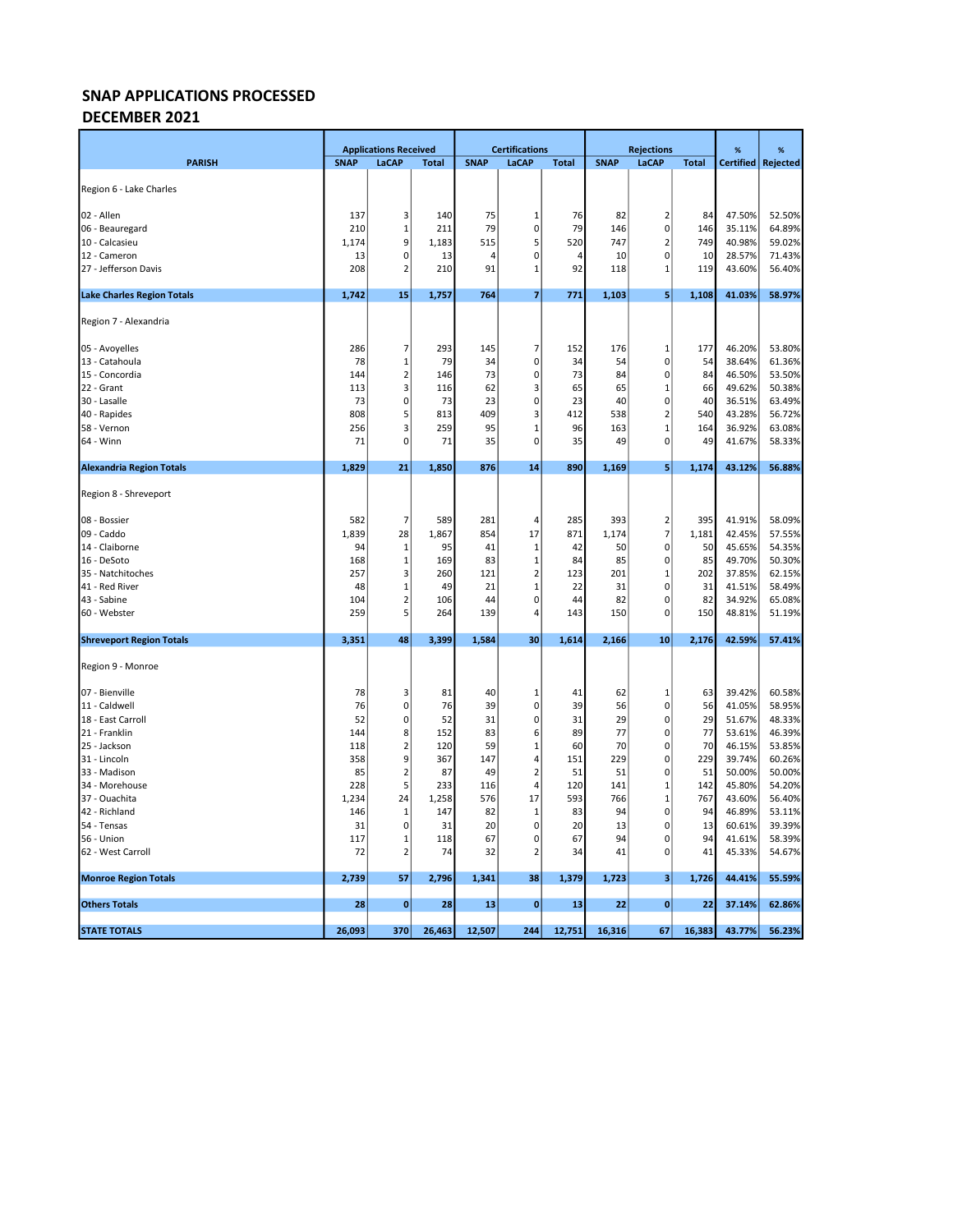### DECEMBER 2021

|                                   |             | <b>Applications Received</b>  |              | <b>Certifications</b> |                         |                | <b>Rejections</b> |                |              | %                | %                |
|-----------------------------------|-------------|-------------------------------|--------------|-----------------------|-------------------------|----------------|-------------------|----------------|--------------|------------------|------------------|
| <b>PARISH</b>                     | <b>SNAP</b> | LaCAP                         | <b>Total</b> | <b>SNAP</b>           | LaCAP                   | <b>Total</b>   | <b>SNAP</b>       | LaCAP          | <b>Total</b> | <b>Certified</b> | Rejected         |
|                                   |             |                               |              |                       |                         |                |                   |                |              |                  |                  |
| Region 6 - Lake Charles           |             |                               |              |                       |                         |                |                   |                |              |                  |                  |
| 02 - Allen                        | 137         | 3                             | 140          | 75                    | 1                       | 76             | 82                | $\overline{2}$ | 84           | 47.50%           | 52.50%           |
| 06 - Beauregard                   | 210         | 1                             | 211          | 79                    | $\mathbf 0$             | 79             | 146               | $\pmb{0}$      | 146          | 35.11%           | 64.89%           |
| 10 - Calcasieu                    | 1,174       | 9                             | 1,183        | 515                   | 5                       | 520            | 747               | $\mathbf 2$    | 749          | 40.98%           | 59.02%           |
| 12 - Cameron                      | 13          | 0                             | 13           | $\overline{4}$        | $\mathbf 0$             | $\overline{4}$ | 10                | $\mathbf 0$    | 10           | 28.57%           | 71.43%           |
| 27 - Jefferson Davis              | 208         | $\overline{2}$                | 210          | 91                    | $\mathbf{1}$            | 92             | 118               | $\mathbf{1}$   | 119          | 43.60%           | 56.40%           |
| <b>Lake Charles Region Totals</b> | 1,742       | 15                            | 1,757        | 764                   | $\overline{7}$          | 771            | 1,103             | 5              | 1,108        | 41.03%           | 58.97%           |
| Region 7 - Alexandria             |             |                               |              |                       |                         |                |                   |                |              |                  |                  |
| 05 - Avoyelles                    | 286         | 7                             | 293          | 145                   | 7                       | 152            | 176               | 1              | 177          | 46.20%           | 53.80%           |
| 13 - Catahoula                    | 78          | 1                             | 79           | 34                    | $\pmb{0}$               | 34             | 54                | $\pmb{0}$      | 54           | 38.64%           | 61.36%           |
| 15 - Concordia                    | 144         | $\mathbf 2$                   | 146          | 73                    | $\mathbf 0$             | 73             | 84                | $\pmb{0}$      | 84           | 46.50%           | 53.50%           |
| 22 - Grant                        | 113         | 3                             | 116          | 62                    | $\overline{\mathbf{3}}$ | 65             | 65                | $\mathbf{1}$   | 66           | 49.62%           | 50.38%           |
| 30 - Lasalle                      | 73          | 0                             | 73           | 23                    | $\mathbf 0$             | 23             | 40                | $\pmb{0}$      | 40           | 36.51%           | 63.49%           |
| 40 - Rapides                      | 808         | 5                             | 813          | 409                   | 3                       | 412            | 538               | $\overline{2}$ | 540          | 43.28%           | 56.72%           |
| 58 - Vernon                       | 256         | 3                             | 259          | 95                    | 1                       | 96             | 163               | $\mathbf{1}$   | 164          | 36.92%           | 63.08%           |
| 64 - Winn                         | 71          | 0                             | 71           | 35                    | 0                       | 35             | 49                | 0              | 49           | 41.67%           | 58.33%           |
| <b>Alexandria Region Totals</b>   | 1,829       | 21                            | 1,850        | 876                   | 14                      | 890            | 1,169             | 5              | 1,174        | 43.12%           | 56.88%           |
|                                   |             |                               |              |                       |                         |                |                   |                |              |                  |                  |
| Region 8 - Shreveport             |             |                               |              |                       |                         |                |                   |                |              |                  |                  |
| 08 - Bossier                      | 582         | $\overline{7}$                | 589          | 281                   | $\overline{4}$          | 285            | 393               | $\mathbf 2$    | 395          | 41.91%           | 58.09%           |
| 09 - Caddo                        | 1,839       | 28                            | 1,867        | 854                   | 17                      | 871            | 1,174             | $\overline{7}$ | 1,181        | 42.45%           | 57.55%           |
| 14 - Claiborne                    | 94          | 1                             | 95           | 41                    | 1                       | 42             | 50                | 0              | 50           | 45.65%           | 54.35%           |
| 16 - DeSoto                       | 168         | 1                             | 169          | 83                    | 1                       | 84             | 85                | 0              | 85           | 49.70%           | 50.30%           |
| 35 - Natchitoches                 | 257         | 3                             | 260          | 121                   | $\overline{2}$          | 123            | 201               | $\mathbf{1}$   | 202          | 37.85%           | 62.15%           |
| 41 - Red River                    | 48          | 1                             | 49           | 21                    | $\mathbf{1}$            | 22             | 31                | $\pmb{0}$      | 31           | 41.51%           | 58.49%           |
| 43 - Sabine                       | 104         | $\overline{2}$                | 106          | 44                    | $\mathbf 0$             | 44             | 82                | $\pmb{0}$      | 82           | 34.92%           | 65.08%           |
| 60 - Webster                      | 259         | 5                             | 264          | 139                   | $\overline{4}$          | 143            | 150               | $\pmb{0}$      | 150          | 48.81%           | 51.19%           |
| <b>Shreveport Region Totals</b>   | 3,351       | 48                            | 3,399        | 1,584                 | 30                      | 1,614          | 2,166             | 10             | 2,176        | 42.59%           | 57.41%           |
| Region 9 - Monroe                 |             |                               |              |                       |                         |                |                   |                |              |                  |                  |
| 07 - Bienville                    | 78          | 3                             | 81           | 40                    | $\mathbf{1}$            | 41             | 62                | $\mathbf{1}$   | 63           | 39.42%           | 60.58%           |
| 11 - Caldwell                     | 76          | 0                             | 76           | 39                    | $\mathbf 0$             | 39             | 56                | 0              | 56           | 41.05%           | 58.95%           |
| 18 - East Carroll                 | 52          | 0                             | 52           | 31                    | $\mathbf 0$             | 31             | 29                | $\pmb{0}$      | 29           | 51.67%           | 48.33%           |
| 21 - Franklin                     | 144         | 8                             | 152          | 83                    | 6                       | 89             | 77                | $\pmb{0}$      | 77           | 53.61%           | 46.39%           |
| 25 - Jackson                      | 118         | $\mathbf 2$                   | 120          | 59                    | $\mathbf{1}$            | 60             | 70                | $\pmb{0}$      | 70           | 46.15%           | 53.85%           |
| 31 - Lincoln                      | 358         | 9                             | 367          | 147                   | $\overline{4}$          | 151            | 229               | $\mathbf 0$    | 229          | 39.74%           | 60.26%           |
| 33 - Madison                      | 85          | $\overline{2}$                | 87           | 49                    | $\overline{2}$          | 51             | 51                | $\pmb{0}$      | 51           | 50.00%           | 50.00%           |
| 34 - Morehouse                    | 228         | 5                             | 233          | 116                   | $\overline{4}$          | 120            | 141               | $\mathbf 1$    | 142          | 45.80%           | 54.20%           |
| 37 - Ouachita                     | 1,234       | 24                            | 1,258        | 576                   | 17                      | 593            | 766               | $\mathbf{1}$   | 767          | 43.60%           | 56.40%           |
| 42 - Richland                     | 146         | 1                             | 147          | 82                    | 1                       | 83             | 94                | 0              | 94           | 46.89%           | 53.11%           |
| 54 - Tensas                       | 31          | 0                             | 31           | 20                    | $\mathbf 0$             | 20             | 13                | 0              | 13           | 60.61%           | 39.39%           |
| 56 - Union<br>62 - West Carroll   | 117<br>72   | $\mathbf 1$<br>$\overline{2}$ | 118<br>74    | 67<br>32              | 0<br>$\overline{2}$     | 67<br>34       | 94<br>41          | 0<br>$\pmb{0}$ | 94<br>41     | 41.61%<br>45.33% | 58.39%<br>54.67% |
|                                   |             |                               |              |                       |                         |                |                   |                |              |                  |                  |
| <b>Monroe Region Totals</b>       | 2,739       | 57                            | 2,796        | 1,341                 | 38                      | 1,379          | 1,723             | 3              | 1,726        | 44.41%           | 55.59%           |
| <b>Others Totals</b>              | 28          | $\bf{0}$                      | 28           | 13                    | $\mathbf 0$             | 13             | 22                | $\bf{0}$       | 22           | 37.14%           | 62.86%           |
| <b>STATE TOTALS</b>               | 26,093      | 370                           | 26,463       | 12,507                | 244                     | 12,751         | 16,316            | 67             | 16,383       | 43.77%           | 56.23%           |
|                                   |             |                               |              |                       |                         |                |                   |                |              |                  |                  |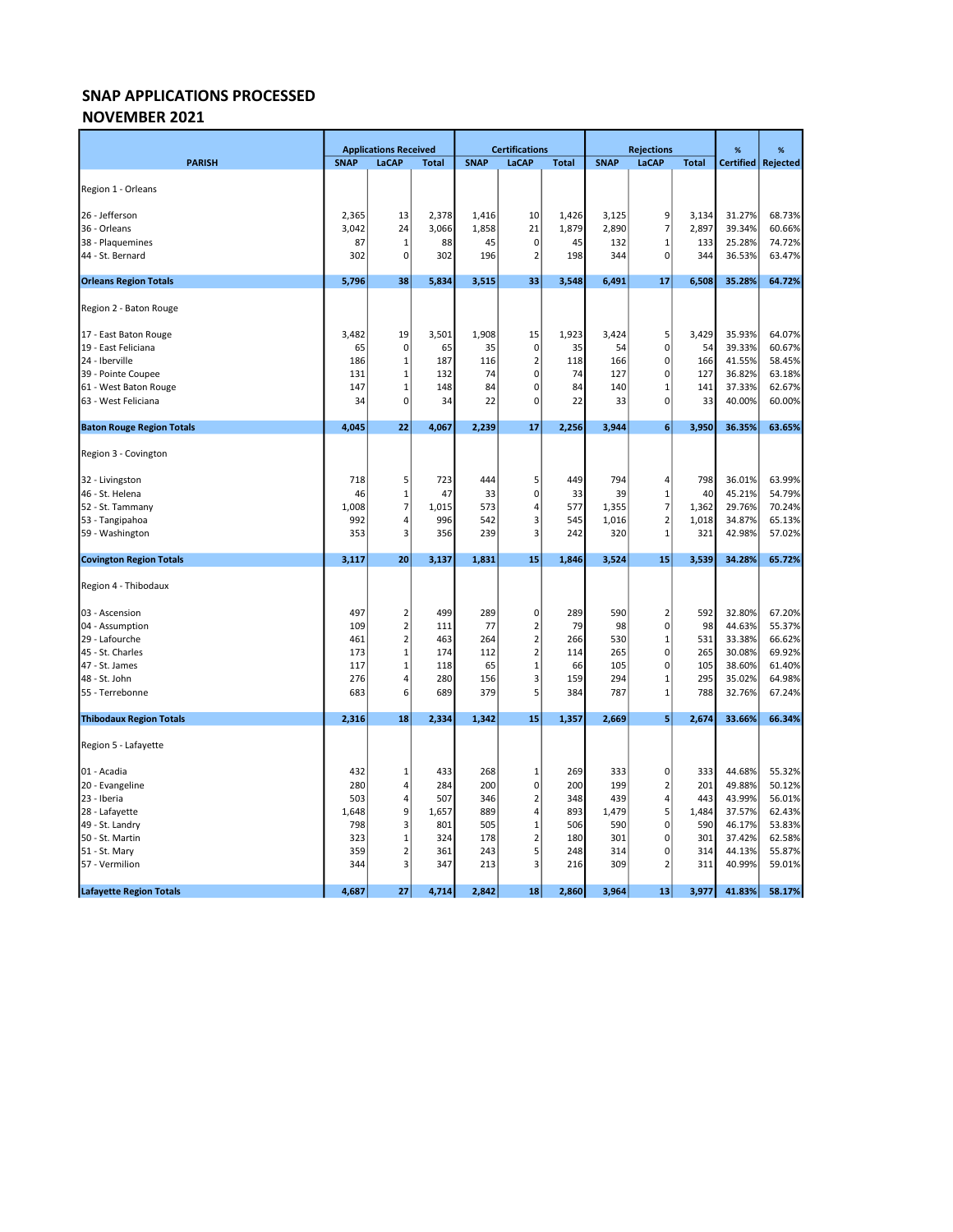### NOVEMBER 2021

|                                  |             | <b>Applications Received</b> |              |             | <b>Certifications</b> |              |             | <b>Rejections</b> |              | %                | %        |
|----------------------------------|-------------|------------------------------|--------------|-------------|-----------------------|--------------|-------------|-------------------|--------------|------------------|----------|
| <b>PARISH</b>                    | <b>SNAP</b> | LaCAP                        | <b>Total</b> | <b>SNAP</b> | LaCAP                 | <b>Total</b> | <b>SNAP</b> | LaCAP             | <b>Total</b> | <b>Certified</b> | Rejected |
|                                  |             |                              |              |             |                       |              |             |                   |              |                  |          |
| Region 1 - Orleans               |             |                              |              |             |                       |              |             |                   |              |                  |          |
| 26 - Jefferson                   | 2,365       | 13                           | 2,378        | 1,416       | 10                    | 1,426        | 3,125       | 9                 | 3,134        | 31.27%           | 68.73%   |
| 36 - Orleans                     | 3,042       | 24                           | 3,066        | 1,858       | 21                    | 1,879        | 2,890       | $\overline{7}$    | 2,897        | 39.34%           | 60.66%   |
| 38 - Plaquemines                 | 87          | 1                            | 88           | 45          | $\mathbf 0$           | 45           | 132         | $\mathbf 1$       | 133          | 25.28%           | 74.72%   |
| 44 - St. Bernard                 | 302         | $\Omega$                     | 302          | 196         | $\overline{2}$        | 198          | 344         | 0                 | 344          | 36.53%           | 63.47%   |
| <b>Orleans Region Totals</b>     | 5,796       | 38                           | 5,834        | 3,515       | 33                    | 3,548        | 6,491       | 17                | 6,508        | 35.28%           | 64.72%   |
| Region 2 - Baton Rouge           |             |                              |              |             |                       |              |             |                   |              |                  |          |
|                                  |             |                              |              |             |                       |              |             |                   |              |                  |          |
| 17 - East Baton Rouge            | 3,482       | 19                           | 3,501        | 1,908       | 15                    | 1,923        | 3,424       | 5                 | 3,429        | 35.93%           | 64.07%   |
| 19 - East Feliciana              | 65          | 0                            | 65           | 35          | 0                     | 35           | 54          | $\pmb{0}$         | 54           | 39.33%           | 60.67%   |
| 24 - Iberville                   | 186         | 1                            | 187          | 116         | $\overline{2}$        | 118          | 166         | $\mathbf 0$       | 166          | 41.55%           | 58.45%   |
| 39 - Pointe Coupee               | 131         | $\mathbf{1}$                 | 132          | 74          | $\Omega$              | 74           | 127         | $\pmb{0}$         | 127          | 36.82%           | 63.18%   |
| 61 - West Baton Rouge            | 147         | $\mathbf 1$                  | 148          | 84          | $\mathbf 0$           | 84           | 140         | $\mathbf 1$       | 141          | 37.33%           | 62.67%   |
| 63 - West Feliciana              | 34          | 0                            | 34           | 22          | $\mathbf 0$           | 22           | 33          | $\mathbf 0$       | 33           | 40.00%           | 60.00%   |
| <b>Baton Rouge Region Totals</b> | 4,045       | 22                           | 4,067        | 2,239       | 17                    | 2,256        | 3,944       | 6                 | 3,950        | 36.35%           | 63.65%   |
|                                  |             |                              |              |             |                       |              |             |                   |              |                  |          |
| Region 3 - Covington             |             |                              |              |             |                       |              |             |                   |              |                  |          |
| 32 - Livingston                  | 718         | 5                            | 723          | 444         | 5                     | 449          | 794         | 4                 | 798          | 36.01%           | 63.99%   |
| 46 - St. Helena                  | 46          | $\mathbf 1$                  | 47           | 33          | 0                     | 33           | 39          | $\mathbf{1}$      | 40           | 45.21%           | 54.79%   |
| 52 - St. Tammany                 | 1,008       | $\overline{7}$               | 1,015        | 573         | 4                     | 577          | 1,355       | $\overline{7}$    | 1,362        | 29.76%           | 70.24%   |
| 53 - Tangipahoa                  | 992         | $\overline{4}$               | 996          | 542         | 3                     | 545          | 1,016       | $\mathbf 2$       | 1,018        | 34.87%           | 65.13%   |
| 59 - Washington                  | 353         | 3                            | 356          | 239         | $\overline{3}$        | 242          | 320         | $\mathbf 1$       | 321          | 42.98%           | 57.02%   |
| <b>Covington Region Totals</b>   | 3,117       | 20                           | 3,137        | 1,831       | 15                    | 1,846        | 3,524       | 15                | 3,539        | 34.28%           | 65.72%   |
| Region 4 - Thibodaux             |             |                              |              |             |                       |              |             |                   |              |                  |          |
|                                  |             |                              |              |             |                       |              |             |                   |              |                  |          |
| 03 - Ascension                   | 497         | $\overline{2}$               | 499          | 289         | 0                     | 289          | 590         | $\mathbf 2$       | 592          | 32.80%           | 67.20%   |
| 04 - Assumption                  | 109         | $\overline{2}$               | 111          | 77          | $\overline{2}$        | 79           | 98          | $\mathbf 0$       | 98           | 44.63%           | 55.37%   |
| 29 - Lafourche                   | 461         | $\overline{2}$               | 463          | 264         | $\overline{2}$        | 266          | 530         | $\mathbf 1$       | 531          | 33.38%           | 66.62%   |
| 45 - St. Charles                 | 173         | $\mathbf{1}$                 | 174          | 112         | $\overline{2}$        | 114          | 265         | $\mathbf 0$       | 265          | 30.08%           | 69.92%   |
| 47 - St. James                   | 117         | $\mathbf 1$                  | 118          | 65          | $\mathbf{1}$          | 66           | 105         | $\pmb{0}$         | 105          | 38.60%           | 61.40%   |
| 48 - St. John                    | 276         | 4                            | 280          | 156         | 3                     | 159          | 294         | $\mathbf{1}$      | 295          | 35.02%           | 64.98%   |
| 55 - Terrebonne                  | 683         | 6                            | 689          | 379         | 5                     | 384          | 787         | $\mathbf 1$       | 788          | 32.76%           | 67.24%   |
| <b>Thibodaux Region Totals</b>   | 2,316       | 18                           | 2,334        | 1,342       | 15                    | 1,357        | 2,669       | 5                 | 2,674        | 33.66%           | 66.34%   |
| Region 5 - Lafayette             |             |                              |              |             |                       |              |             |                   |              |                  |          |
| 01 - Acadia                      | 432         | 1                            | 433          | 268         | $\mathbf{1}$          | 269          | 333         | 0                 | 333          | 44.68%           | 55.32%   |
| 20 - Evangeline                  | 280         | 4                            | 284          | 200         | $\mathbf 0$           | 200          | 199         | $\overline{2}$    | 201          | 49.88%           | 50.12%   |
| 23 - Iberia                      | 503         | 4                            | 507          | 346         | $\overline{2}$        | 348          | 439         | 4                 | 443          | 43.99%           | 56.01%   |
| 28 - Lafayette                   | 1,648       | 9                            | 1,657        | 889         | 4                     | 893          | 1,479       | 5                 | 1,484        | 37.57%           | 62.43%   |
| 49 - St. Landry                  | 798         | 3                            | 801          | 505         | $\mathbf{1}$          | 506          | 590         | $\mathbf 0$       | 590          | 46.17%           | 53.83%   |
| 50 - St. Martin                  | 323         | 1                            | 324          | 178         | $\overline{2}$        | 180          | 301         | $\pmb{0}$         | 301          | 37.42%           | 62.58%   |
| 51 - St. Mary                    | 359         | $\overline{2}$               | 361          | 243         | 5                     | 248          | 314         | 0                 | 314          | 44.13%           | 55.87%   |
| 57 - Vermilion                   | 344         | 3                            | 347          | 213         | 3                     | 216          | 309         | $\overline{2}$    | 311          | 40.99%           | 59.01%   |
|                                  |             |                              |              |             |                       |              |             |                   |              |                  |          |
| <b>Lafayette Region Totals</b>   | 4,687       | 27                           | 4,714        | 2,842       | 18                    | 2,860        | 3,964       | 13                | 3,977        | 41.83%           | 58.17%   |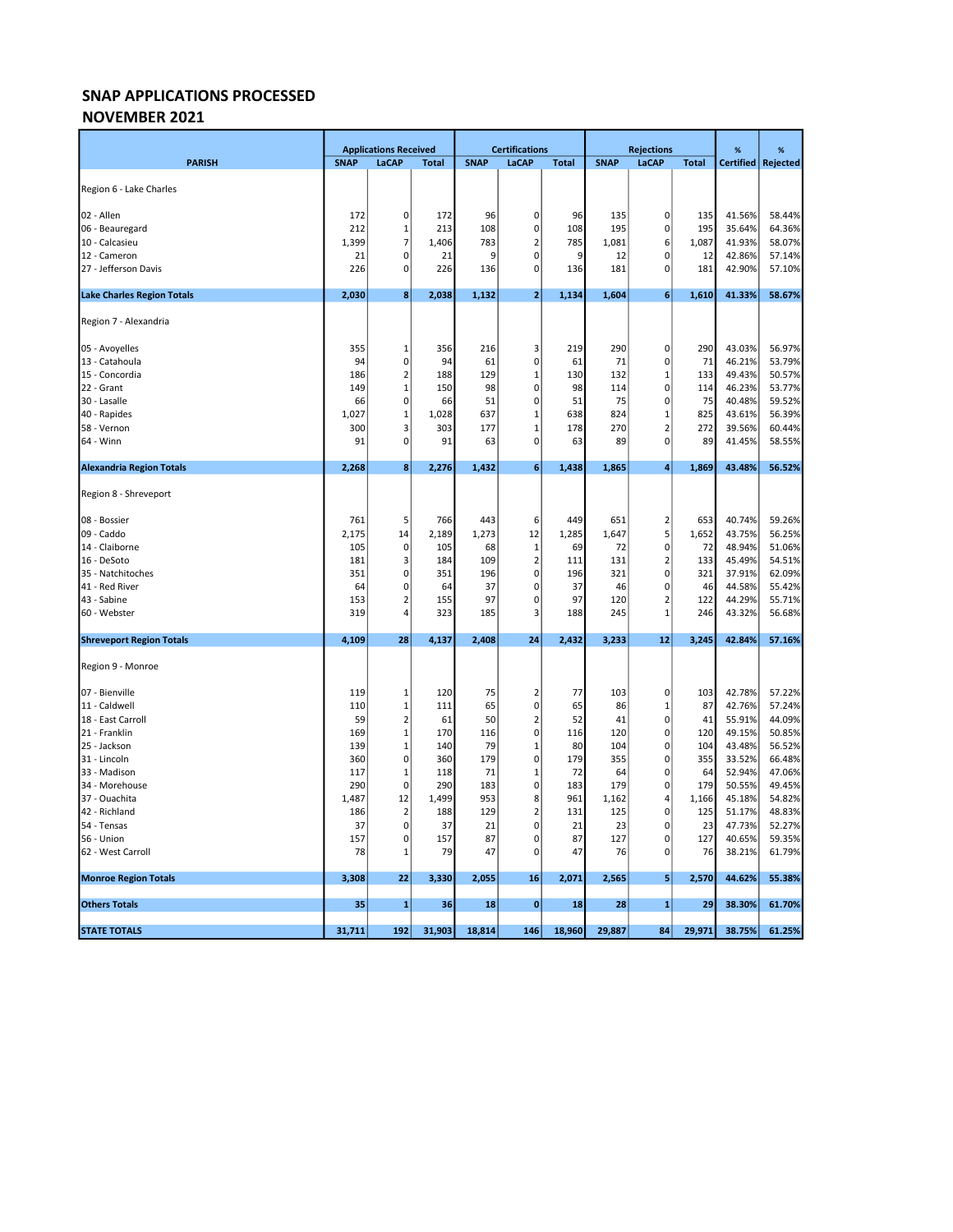### NOVEMBER 2021

|                                   | <b>Applications Received</b> |                | <b>Certifications</b> |             |                               | <b>Rejections</b> |             |                            | %            | %                |                  |
|-----------------------------------|------------------------------|----------------|-----------------------|-------------|-------------------------------|-------------------|-------------|----------------------------|--------------|------------------|------------------|
| <b>PARISH</b>                     | <b>SNAP</b>                  | LaCAP          | <b>Total</b>          | <b>SNAP</b> | <b>LaCAP</b>                  | <b>Total</b>      | <b>SNAP</b> | LaCAP                      | <b>Total</b> | <b>Certified</b> | Rejected         |
| Region 6 - Lake Charles           |                              |                |                       |             |                               |                   |             |                            |              |                  |                  |
|                                   |                              |                |                       |             |                               |                   |             |                            |              |                  |                  |
| 02 - Allen                        | 172                          | $\pmb{0}$      | 172                   | 96          | 0                             | 96                | 135         | $\pmb{0}$                  | 135          | 41.56%           | 58.44%           |
| 06 - Beauregard                   | 212                          | 1              | 213                   | 108         | $\mathbf 0$                   | 108               | 195         | $\mathbf 0$                | 195          | 35.64%           | 64.36%           |
| 10 - Calcasieu                    | 1,399                        | 7              | 1,406                 | 783         | $\overline{2}$                | 785               | 1,081       | 6                          | 1,087        | 41.93%           | 58.07%           |
| 12 - Cameron                      | 21                           | 0              | 21                    | 9           | 0                             | 9                 | 12          | 0                          | 12           | 42.86%           | 57.14%           |
| 27 - Jefferson Davis              | 226                          | 0              | 226                   | 136         | 0                             | 136               | 181         | 0                          | 181          | 42.90%           | 57.10%           |
| <b>Lake Charles Region Totals</b> | 2,030                        | 8 <sup>1</sup> | 2,038                 | 1,132       | $\overline{\mathbf{2}}$       | 1,134             | 1,604       | 6                          | 1,610        | 41.33%           | 58.67%           |
| Region 7 - Alexandria             |                              |                |                       |             |                               |                   |             |                            |              |                  |                  |
| 05 - Avoyelles                    | 355                          | 1              | 356                   | 216         | 3                             | 219               | 290         | $\pmb{0}$                  | 290          | 43.03%           | 56.97%           |
| 13 - Catahoula                    | 94                           | $\mathbf 0$    | 94                    | 61          | 0                             | 61                | 71          | $\pmb{0}$                  | 71           | 46.21%           | 53.79%           |
| 15 - Concordia                    | 186                          | $\overline{2}$ | 188                   | 129         | $\mathbf{1}$                  | 130               | 132         | $\mathbf 1$                | 133          | 49.43%           | 50.57%           |
| 22 - Grant                        | 149                          | $\mathbf{1}$   | 150                   | 98          | 0                             | 98                | 114         | $\pmb{0}$                  | 114          | 46.23%           | 53.77%           |
| 30 - Lasalle                      | 66                           | 0              | 66                    | 51          | 0                             | 51                | 75          | $\mathbf 0$                | 75           | 40.48%           | 59.52%           |
| 40 - Rapides                      | 1,027                        | $\mathbf 1$    | 1,028                 | 637         | $\mathbf 1$                   | 638               | 824         | $\mathbf 1$                | 825          | 43.61%           | 56.39%           |
| 58 - Vernon                       | 300                          | 3              | 303                   | 177         | $\mathbf{1}$                  | 178               | 270         | $\overline{2}$             | 272          | 39.56%           | 60.44%           |
| 64 - Winn                         | 91                           | 0              | 91                    | 63          | $\mathbf 0$                   | 63                | 89          | $\mathbf 0$                | 89           | 41.45%           | 58.55%           |
| <b>Alexandria Region Totals</b>   | 2,268                        | 8 <sup>1</sup> | 2,276                 | 1,432       | $\boldsymbol{6}$              | 1,438             | 1,865       | 4                          | 1,869        | 43.48%           | 56.52%           |
| Region 8 - Shreveport             |                              |                |                       |             |                               |                   |             |                            |              |                  |                  |
| 08 - Bossier                      | 761                          | 5              | 766                   | 443         | 6                             | 449               | 651         | $\overline{2}$             | 653          | 40.74%           | 59.26%           |
| 09 - Caddo                        | 2,175                        | 14             | 2,189                 | 1,273       | 12                            | 1,285             | 1,647       | 5                          | 1,652        | 43.75%           | 56.25%           |
| 14 - Claiborne                    | 105                          | 0              | 105                   | 68          | $\mathbf{1}$                  | 69                | 72          | $\mathbf 0$                | 72           | 48.94%           | 51.06%           |
| 16 - DeSoto                       | 181                          | 3              | 184                   | 109         | $\mathbf 2$                   | 111               | 131         | $\overline{2}$             | 133          | 45.49%           | 54.51%           |
| 35 - Natchitoches                 | 351                          | $\pmb{0}$      | 351                   | 196         | $\mathbf 0$                   | 196               | 321         | $\mathbf 0$                | 321          | 37.91%           | 62.09%           |
| 41 - Red River                    | 64                           | 0              | 64                    | 37          | $\mathbf 0$                   | 37                | 46          | $\mathbf 0$                | 46           | 44.58%           | 55.42%           |
| 43 - Sabine                       | 153                          | $\overline{2}$ | 155                   | 97          | $\mathbf 0$                   | 97                | 120         | $\overline{\mathbf{c}}$    | 122          | 44.29%           | 55.71%           |
| 60 - Webster                      | 319                          | $\overline{4}$ | 323                   | 185         | 3                             | 188               | 245         | $\mathbf{1}$               | 246          | 43.32%           | 56.68%           |
| <b>Shreveport Region Totals</b>   | 4,109                        | 28             | 4,137                 | 2,408       | 24                            | 2,432             | 3,233       | 12                         | 3,245        | 42.84%           | 57.16%           |
| Region 9 - Monroe                 |                              |                |                       |             |                               |                   |             |                            |              |                  |                  |
| 07 - Bienville                    | 119                          | 1              | 120                   | 75          | $\overline{2}$                | 77                | 103         | 0                          | 103          | 42.78%           | 57.22%           |
| 11 - Caldwell                     | 110                          | $\mathbf 1$    | 111                   | 65          | $\mathbf 0$                   | 65                | 86          | $\mathbf 1$                | 87           | 42.76%           | 57.24%           |
| 18 - East Carroll                 | 59                           | $\overline{2}$ | 61                    | 50          | $\mathbf 2$                   | 52                | 41          | $\mathbf 0$                | 41           | 55.91%           | 44.09%           |
| 21 - Franklin                     | 169                          | $\overline{1}$ | 170                   | 116         | $\pmb{0}$                     | 116               | 120         | $\pmb{0}$                  | 120          | 49.15%           | 50.85%           |
| 25 - Jackson                      | 139                          | $\mathbf 1$    | 140                   | 79          | $\mathbf 1$                   | 80                | 104         | $\pmb{0}$                  | 104          | 43.48%           | 56.52%           |
| 31 - Lincoln                      | 360                          | 0              | 360                   | 179         | $\mathbf 0$                   | 179               | 355         | $\pmb{0}$                  | 355          | 33.52%           | 66.48%           |
| 33 - Madison                      | 117                          | $\mathbf{1}$   | 118                   | 71          | $\mathbf 1$                   | 72                | 64          | $\pmb{0}$                  | 64           | 52.94%           | 47.06%           |
| 34 - Morehouse                    | 290                          | $\mathbf 0$    | 290                   | 183         | $\mathbf 0$                   | 183               | 179         | $\mathbf 0$                | 179          | 50.55%           | 49.45%           |
| 37 - Ouachita                     | 1,487                        | 12             | 1,499                 | 953         | 8                             | 961               | 1,162       | 4                          | 1,166        | 45.18%           | 54.82%           |
| 42 - Richland                     | 186                          | $\overline{2}$ | 188                   | 129         | $\overline{2}$<br>$\mathbf 0$ | 131               | 125         | $\mathbf 0$<br>$\mathbf 0$ | 125          | 51.17%           | 48.83%           |
| 54 - Tensas<br>56 - Union         | 37<br>157                    | 0<br>0         | 37<br>157             | 21<br>87    | $\mathbf 0$                   | 21<br>87          | 23<br>127   | $\mathbf 0$                | 23<br>127    | 47.73%<br>40.65% | 52.27%<br>59.35% |
| 62 - West Carroll                 | 78                           | $\mathbf{1}$   | 79                    | 47          | $\mathbf 0$                   | 47                | 76          | $\mathbf 0$                | 76           | 38.21%           | 61.79%           |
| <b>Monroe Region Totals</b>       | 3,308                        | 22             | 3,330                 | 2,055       | 16                            | 2,071             | 2,565       | 5                          | 2,570        | 44.62%           | 55.38%           |
|                                   |                              |                |                       |             |                               |                   |             |                            |              |                  |                  |
| <b>Others Totals</b>              | 35                           | $\mathbf{1}$   | 36                    | 18          | $\bf{0}$                      | 18                | 28          | $\mathbf{1}$               | 29           | 38.30%           | 61.70%           |
| <b>STATE TOTALS</b>               | 31,711                       | 192            | 31,903                | 18,814      | 146                           | 18,960            | 29,887      | 84                         | 29,971       | 38.75%           | 61.25%           |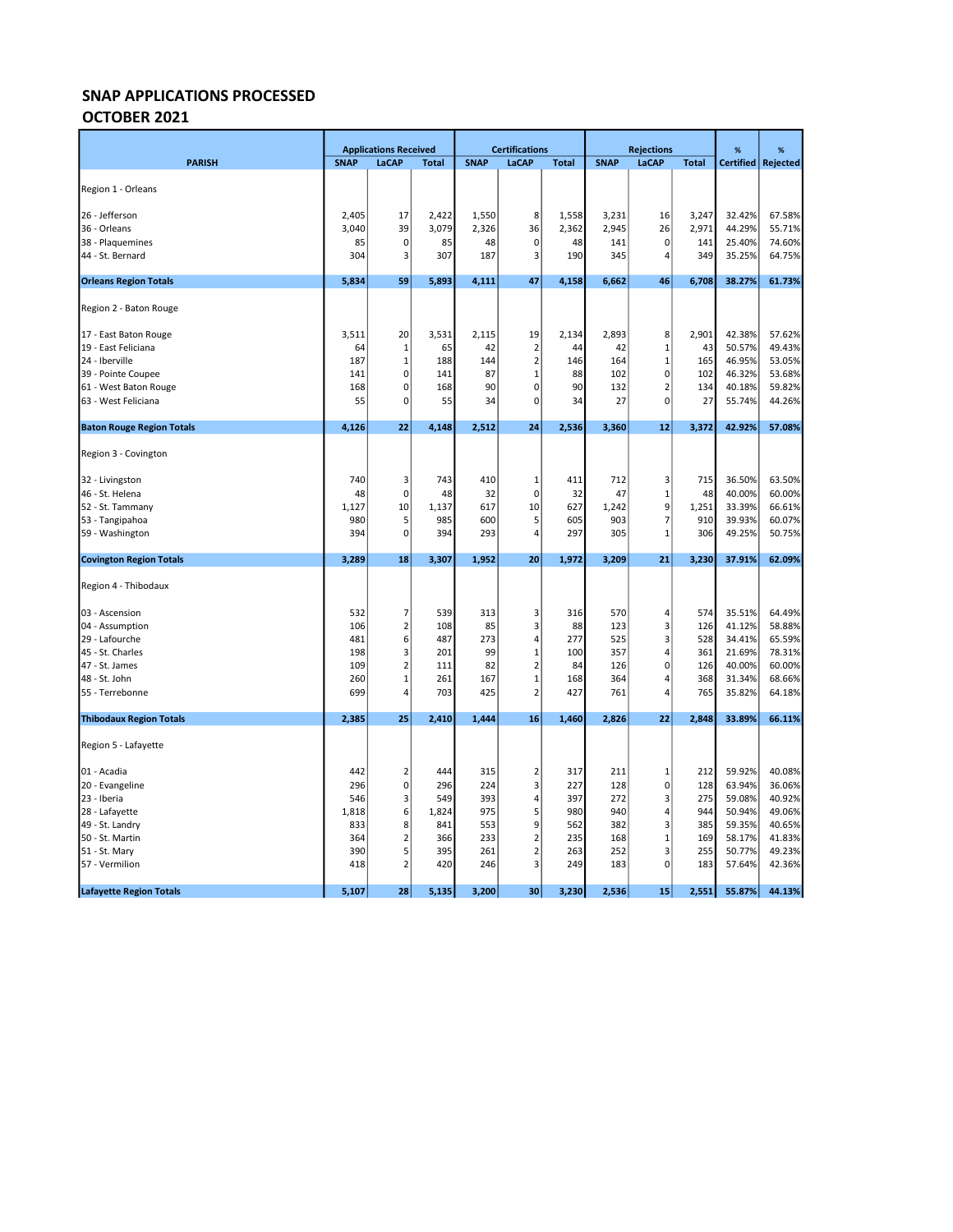### OCTOBER 2021

|                                  |             | <b>Applications Received</b> |              |             | <b>Certifications</b>   |              |             | <b>Rejections</b> |              | %                | %        |
|----------------------------------|-------------|------------------------------|--------------|-------------|-------------------------|--------------|-------------|-------------------|--------------|------------------|----------|
| <b>PARISH</b>                    | <b>SNAP</b> | LaCAP                        | <b>Total</b> | <b>SNAP</b> | LaCAP                   | <b>Total</b> | <b>SNAP</b> | LaCAP             | <b>Total</b> | <b>Certified</b> | Rejected |
|                                  |             |                              |              |             |                         |              |             |                   |              |                  |          |
| Region 1 - Orleans               |             |                              |              |             |                         |              |             |                   |              |                  |          |
| 26 - Jefferson                   | 2,405       | 17                           | 2,422        | 1,550       | 8                       | 1,558        | 3,231       | 16                | 3,247        | 32.42%           | 67.58%   |
| 36 - Orleans                     | 3,040       | 39                           | 3,079        | 2,326       | 36                      | 2,362        | 2,945       | 26                | 2,971        | 44.29%           | 55.71%   |
| 38 - Plaquemines                 | 85          | $\pmb{0}$                    | 85           | 48          | $\pmb{0}$               | 48           | 141         | $\pmb{0}$         | 141          | 25.40%           | 74.60%   |
| 44 - St. Bernard                 | 304         | 3                            | 307          | 187         | $\overline{3}$          | 190          | 345         | 4                 | 349          | 35.25%           | 64.75%   |
|                                  |             |                              |              |             |                         |              |             |                   |              |                  |          |
| <b>Orleans Region Totals</b>     | 5,834       | 59                           | 5,893        | 4,111       | 47                      | 4,158        | 6,662       | 46                | 6,708        | 38.27%           | 61.73%   |
| Region 2 - Baton Rouge           |             |                              |              |             |                         |              |             |                   |              |                  |          |
| 17 - East Baton Rouge            | 3,511       | 20                           | 3,531        | 2,115       | 19                      | 2,134        | 2,893       | 8                 | 2,901        | 42.38%           | 57.62%   |
| 19 - East Feliciana              | 64          | 1                            | 65           | 42          | $\overline{2}$          | 44           | 42          | $\mathbf{1}$      | 43           | 50.57%           | 49.43%   |
| 24 - Iberville                   | 187         | 1                            | 188          | 144         | $\overline{2}$          | 146          | 164         | $\mathbf{1}$      | 165          | 46.95%           | 53.05%   |
| 39 - Pointe Coupee               | 141         | 0                            | 141          | 87          | $\mathbf{1}$            | 88           | 102         | $\pmb{0}$         | 102          | 46.32%           | 53.68%   |
| 61 - West Baton Rouge            | 168         | 0                            | 168          | 90          | $\mathbf 0$             | 90           | 132         | $\overline{2}$    | 134          | 40.18%           | 59.82%   |
| 63 - West Feliciana              | 55          | 0                            | 55           | 34          | $\mathbf 0$             | 34           | 27          | $\pmb{0}$         | 27           | 55.74%           | 44.26%   |
| <b>Baton Rouge Region Totals</b> | 4,126       | 22                           | 4,148        | 2,512       | 24                      | 2,536        | 3,360       | 12                | 3,372        | 42.92%           | 57.08%   |
| Region 3 - Covington             |             |                              |              |             |                         |              |             |                   |              |                  |          |
| 32 - Livingston                  | 740         | 3                            | 743          | 410         | 1                       | 411          | 712         | 3                 | 715          | 36.50%           | 63.50%   |
| 46 - St. Helena                  | 48          | $\pmb{0}$                    | 48           | 32          | $\mathbf 0$             | 32           | 47          | $\mathbf{1}$      | 48           | 40.00%           | 60.00%   |
| 52 - St. Tammany                 | 1,127       | 10                           | 1,137        | 617         | 10                      | 627          | 1,242       | 9                 | 1,251        | 33.39%           | 66.61%   |
| 53 - Tangipahoa                  | 980         | 5                            | 985          | 600         | 5                       | 605          | 903         | 7                 | 910          | 39.93%           | 60.07%   |
| 59 - Washington                  | 394         | $\mathbf 0$                  | 394          | 293         | $\overline{4}$          | 297          | 305         | $\mathbf{1}$      | 306          | 49.25%           | 50.75%   |
| <b>Covington Region Totals</b>   | 3,289       | 18                           | 3,307        | 1,952       | 20                      | 1,972        | 3,209       | 21                | 3,230        | 37.91%           | 62.09%   |
| Region 4 - Thibodaux             |             |                              |              |             |                         |              |             |                   |              |                  |          |
| 03 - Ascension                   | 532         | 7                            | 539          | 313         | 3                       | 316          | 570         | 4                 | 574          | 35.51%           | 64.49%   |
| 04 - Assumption                  | 106         | $\overline{2}$               | 108          | 85          | 3                       | 88           | 123         | 3                 | 126          | 41.12%           | 58.88%   |
| 29 - Lafourche                   | 481         | 6                            | 487          | 273         | 4                       | 277          | 525         | 3                 | 528          | 34.41%           | 65.59%   |
| 45 - St. Charles                 | 198         | 3                            | 201          | 99          | $\mathbf{1}$            | 100          | 357         | 4                 | 361          | 21.69%           | 78.31%   |
| 47 - St. James                   | 109         | $\overline{2}$               | 111          | 82          | $\mathbf 2$             | 84           | 126         | $\pmb{0}$         | 126          | 40.00%           | 60.00%   |
| 48 - St. John                    | 260         | $\mathbf 1$                  | 261          | 167         | $\mathbf{1}$            | 168          | 364         | 4                 | 368          | 31.34%           | 68.66%   |
| 55 - Terrebonne                  | 699         | $\overline{4}$               | 703          | 425         | $\overline{2}$          | 427          | 761         | 4                 | 765          | 35.82%           | 64.18%   |
| <b>Thibodaux Region Totals</b>   | 2,385       | 25                           | 2,410        | 1,444       | 16                      | 1,460        | 2,826       | 22                | 2,848        | 33.89%           | 66.11%   |
| Region 5 - Lafayette             |             |                              |              |             |                         |              |             |                   |              |                  |          |
| 01 - Acadia                      | 442         | $\overline{2}$               | 444          | 315         | $\overline{2}$          | 317          | 211         | $\mathbf 1$       | 212          | 59.92%           | 40.08%   |
| 20 - Evangeline                  | 296         | $\pmb{0}$                    | 296          | 224         | $\overline{\mathbf{3}}$ | 227          | 128         | 0                 | 128          | 63.94%           | 36.06%   |
| 23 - Iberia                      | 546         | 3                            | 549          | 393         | $\sqrt{4}$              | 397          | 272         | 3                 | 275          | 59.08%           | 40.92%   |
| 28 - Lafayette                   | 1,818       | 6                            | 1,824        | 975         | 5                       | 980          | 940         | 4                 | 944          | 50.94%           | 49.06%   |
| 49 - St. Landry                  | 833         | 8                            | 841          | 553         | 9                       | 562          | 382         | 3                 | 385          | 59.35%           | 40.65%   |
| 50 - St. Martin                  | 364         | $\overline{2}$               | 366          | 233         | $\overline{2}$          | 235          | 168         | $\mathbf{1}$      | 169          | 58.17%           | 41.83%   |
| 51 - St. Mary                    | 390         | 5                            | 395          | 261         | $\overline{2}$          | 263          | 252         | 3                 | 255          | 50.77%           | 49.23%   |
| 57 - Vermilion                   | 418         | $\overline{2}$               | 420          | 246         | 3                       | 249          | 183         | $\mathbf 0$       | 183          | 57.64%           | 42.36%   |
| <b>Lafayette Region Totals</b>   | 5,107       | 28                           | 5,135        | 3,200       | 30                      | 3,230        | 2,536       | 15                | 2,551        | 55.87%           | 44.13%   |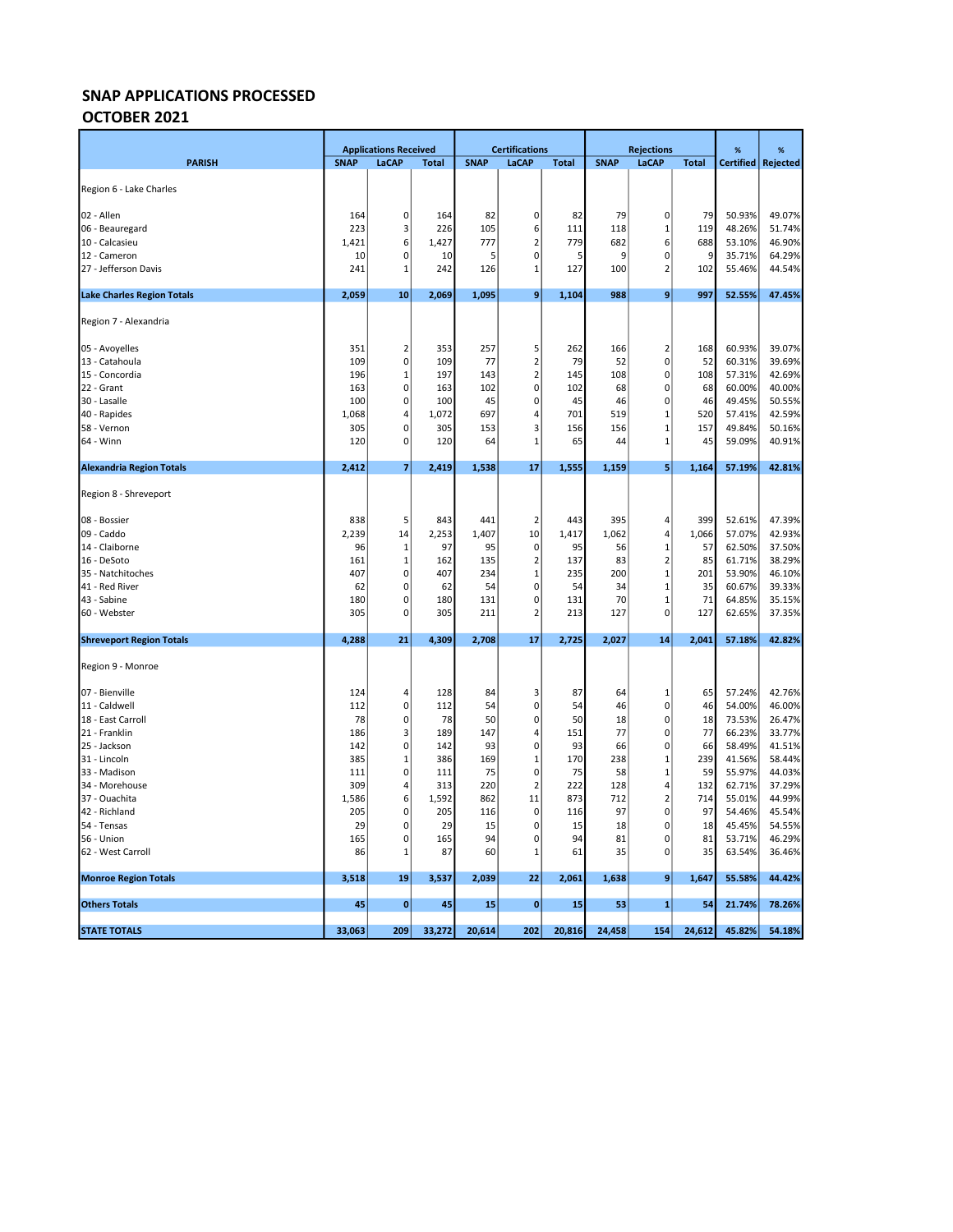### OCTOBER 2021

|                                   | <b>Applications Received</b> |           | <b>Certifications</b> |             |                |              | <b>Rejections</b> | %                             | %            |                  |                      |
|-----------------------------------|------------------------------|-----------|-----------------------|-------------|----------------|--------------|-------------------|-------------------------------|--------------|------------------|----------------------|
| <b>PARISH</b>                     | <b>SNAP</b>                  | LaCAP     | <b>Total</b>          | <b>SNAP</b> | <b>LaCAP</b>   | <b>Total</b> | <b>SNAP</b>       | LaCAP                         | <b>Total</b> |                  | Certified   Rejected |
| Region 6 - Lake Charles           |                              |           |                       |             |                |              |                   |                               |              |                  |                      |
|                                   |                              |           |                       |             |                |              |                   |                               |              |                  |                      |
| 02 - Allen                        | 164                          | 0         | 164                   | 82          | $\mathbf 0$    | 82           | 79                | $\pmb{0}$                     | 79           | 50.93%           | 49.07%               |
| 06 - Beauregard                   | 223                          | 3         | 226                   | 105         | 6              | 111          | 118               | 1                             | 119          | 48.26%           | 51.74%               |
| 10 - Calcasieu                    | 1,421                        | 6         | 1,427                 | 777         | $\overline{2}$ | 779          | 682               | 6                             | 688          | 53.10%           | 46.90%               |
| 12 - Cameron                      | 10                           | 0         | 10                    | 5           | 0              | 5            | 9                 | $\mathbf 0$                   | 9            | 35.71%           | 64.29%               |
| 27 - Jefferson Davis              | 241                          | 1         | 242                   | 126         | $\mathbf{1}$   | 127          | 100               | $\overline{2}$                | 102          | 55.46%           | 44.54%               |
| <b>Lake Charles Region Totals</b> | 2,059                        | 10        | 2,069                 | 1,095       | 9              | 1,104        | 988               | 9                             | 997          | 52.55%           | 47.45%               |
| Region 7 - Alexandria             |                              |           |                       |             |                |              |                   |                               |              |                  |                      |
| 05 - Avoyelles                    | 351                          | 2         | 353                   | 257         | 5              | 262          | 166               | $\mathbf 2$                   | 168          | 60.93%           | 39.07%               |
| 13 - Catahoula                    | 109                          | 0         | 109                   | 77          | $\overline{2}$ | 79           | 52                | $\pmb{0}$                     | 52           | 60.31%           | 39.69%               |
| 15 - Concordia                    | 196                          | 1         | 197                   | 143         | $\overline{2}$ | 145          | 108               | $\mathbf 0$                   | 108          | 57.31%           | 42.69%               |
| 22 - Grant                        | 163                          | 0         | 163                   | 102         | 0              | 102          | 68                | $\mathbf 0$                   | 68           | 60.00%           | 40.00%               |
| 30 - Lasalle                      | 100                          | 0         | 100                   | 45          | 0              | 45           | 46                | $\mathbf 0$                   | 46           | 49.45%           | 50.55%               |
| 40 - Rapides                      | 1,068                        | 4         | 1,072                 | 697         | 4              | 701          | 519               | 1                             | 520          | 57.41%           | 42.59%               |
| 58 - Vernon                       | 305                          | 0         | 305                   | 153         | 3              | 156          | 156               | $\mathbf{1}$                  | 157          | 49.84%           | 50.16%               |
| 64 - Winn                         | 120                          | 0         | 120                   | 64          | $\mathbf{1}$   | 65           | 44                | $\mathbf{1}$                  | 45           | 59.09%           | 40.91%               |
| <b>Alexandria Region Totals</b>   | 2,412                        | 7         | 2,419                 | 1,538       | 17             | 1,555        | 1,159             | 5                             | 1,164        | 57.19%           | 42.81%               |
| Region 8 - Shreveport             |                              |           |                       |             |                |              |                   |                               |              |                  |                      |
| 08 - Bossier                      | 838                          | 5         | 843                   | 441         | $\overline{2}$ | 443          | 395               | $\overline{4}$                | 399          | 52.61%           | 47.39%               |
| 09 - Caddo                        | 2,239                        | 14        | 2,253                 | 1,407       | 10             | 1,417        | 1,062             | $\overline{4}$                | 1,066        | 57.07%           | 42.93%               |
| 14 - Claiborne                    | 96                           | 1         | 97                    | 95          | 0              | 95           | 56                | $\mathbf{1}$                  | 57           | 62.50%           | 37.50%               |
| 16 - DeSoto                       | 161                          | 1         | 162                   | 135         | $\overline{2}$ | 137          | 83                | $\overline{2}$                | 85           | 61.71%           | 38.29%               |
| 35 - Natchitoches                 | 407                          | 0         | 407                   | 234         | $\mathbf{1}$   | 235          | 200               | $\mathbf 1$                   | 201          | 53.90%           | 46.10%               |
| 41 - Red River                    | 62                           | 0         | 62                    | 54          | 0              | 54           | 34                | $\mathbf{1}$                  | 35           | 60.67%           | 39.33%               |
| 43 - Sabine                       | 180                          | 0         | 180                   | 131         | $\mathbf 0$    | 131          | 70                | $\mathbf{1}$                  | 71           | 64.85%           | 35.15%               |
| 60 - Webster                      | 305                          | 0         | 305                   | 211         | $\overline{2}$ | 213          | 127               | $\mathbf 0$                   | 127          | 62.65%           | 37.35%               |
| <b>Shreveport Region Totals</b>   | 4,288                        | 21        | 4,309                 | 2,708       | 17             | 2,725        | 2,027             | 14                            | 2,041        | 57.18%           | 42.82%               |
| Region 9 - Monroe                 |                              |           |                       |             |                |              |                   |                               |              |                  |                      |
| 07 - Bienville                    | 124                          | 4         | 128                   | 84          | 3              | 87           | 64                | $\mathbf{1}$                  | 65           | 57.24%           | 42.76%               |
| 11 - Caldwell                     | 112                          | 0         | 112                   | 54          | 0              | 54           | 46                | $\mathbf 0$                   | 46           | 54.00%           | 46.00%               |
| 18 - East Carroll                 | 78                           | 0         | 78                    | 50          | $\mathbf 0$    | 50           | 18                | $\pmb{0}$                     | 18           | 73.53%           | 26.47%               |
| 21 - Franklin                     | 186                          | 3         | 189                   | 147         | $\Delta$       | 151          | 77                | $\pmb{0}$                     | 77           | 66.23%           | 33.77%               |
| 25 - Jackson                      | 142                          | 0         | 142                   | 93          | $\mathbf 0$    | 93           | 66                | $\pmb{0}$                     | 66           | 58.49%           | 41.51%               |
| 31 - Lincoln                      | 385                          | 1         | 386                   | 169         | $\mathbf{1}$   | 170          | 238               | $\mathbf 1$                   | 239          | 41.56%           | 58.44%               |
| 33 - Madison                      | 111                          | 0         | 111                   | 75          | 0              | 75           | 58                | $\mathbf 1$                   | 59           | 55.97%           | 44.03%               |
| 34 - Morehouse                    | 309                          | 4         | 313                   | 220         | $\overline{2}$ | 222          | 128               | $\overline{4}$                | 132          | 62.71%           | 37.29%               |
| 37 - Ouachita<br>42 - Richland    | 1,586<br>205                 | 6<br>0    | 1,592<br>205          | 862<br>116  | 11<br>0        | 873<br>116   | 712<br>97         | $\overline{2}$<br>$\mathbf 0$ | 714<br>97    | 55.01%<br>54.46% | 44.99%<br>45.54%     |
| 54 - Tensas                       | 29                           | 0         | 29                    | 15          | $\mathbf 0$    | 15           | 18                | $\mathbf 0$                   | 18           | 45.45%           | 54.55%               |
| 56 - Union                        | 165                          | 0         | 165                   | 94          | $\mathbf 0$    | 94           | 81                | $\mathbf 0$                   | 81           | 53.71%           | 46.29%               |
| 62 - West Carroll                 | 86                           | 1         | 87                    | 60          | 1              | 61           | 35                | $\pmb{0}$                     | 35           | 63.54%           | 36.46%               |
| <b>Monroe Region Totals</b>       | 3,518                        | 19        | 3,537                 | 2,039       | 22             | 2,061        | 1,638             | 9                             | 1,647        | 55.58%           | 44.42%               |
|                                   |                              |           |                       |             |                |              |                   |                               |              |                  |                      |
| <b>Others Totals</b>              | 45                           | $\pmb{0}$ | 45                    | 15          | $\bf{0}$       | 15           | 53                | $\mathbf{1}$                  | 54           | 21.74%           | 78.26%               |
| <b>STATE TOTALS</b>               | 33,063                       | 209       | 33,272                | 20,614      | 202            | 20,816       | 24,458            | 154                           | 24,612       | 45.82%           | 54.18%               |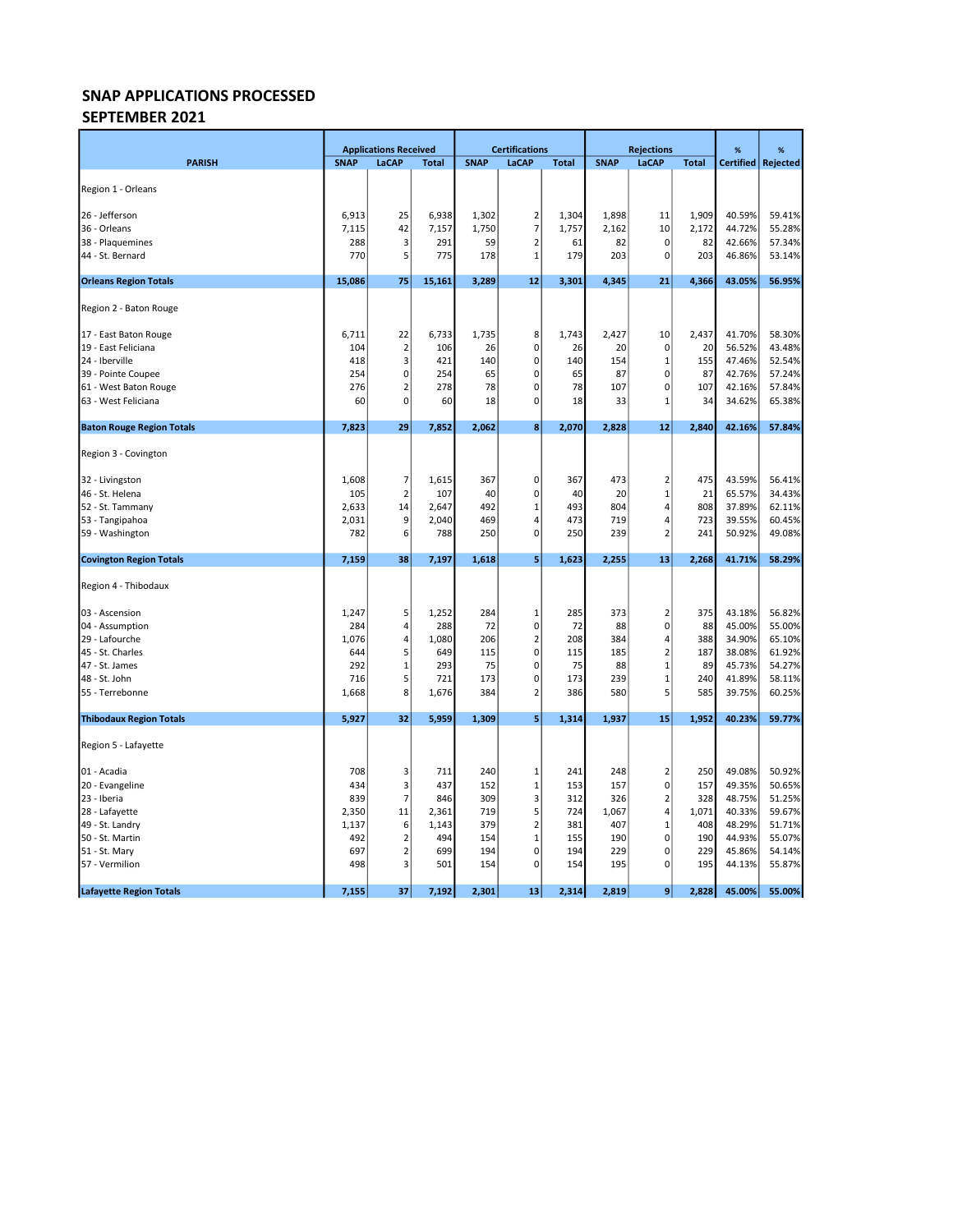### SNAP APPLICATIONS PROCESSED SEPTEMBER 2021

|                                  |             | <b>Applications Received</b> |              |             | <b>Certifications</b> |              |             | <b>Rejections</b>       |              | %      | %                    |
|----------------------------------|-------------|------------------------------|--------------|-------------|-----------------------|--------------|-------------|-------------------------|--------------|--------|----------------------|
| <b>PARISH</b>                    | <b>SNAP</b> | LaCAP                        | <b>Total</b> | <b>SNAP</b> | LaCAP                 | <b>Total</b> | <b>SNAP</b> | LaCAP                   | <b>Total</b> |        | Certified   Rejected |
|                                  |             |                              |              |             |                       |              |             |                         |              |        |                      |
| Region 1 - Orleans               |             |                              |              |             |                       |              |             |                         |              |        |                      |
| 26 - Jefferson                   | 6,913       | 25                           | 6,938        | 1,302       | $\overline{2}$        | 1,304        | 1,898       | 11                      | 1,909        | 40.59% | 59.41%               |
| 36 - Orleans                     | 7,115       | 42                           | 7,157        | 1,750       | $\overline{7}$        | 1,757        | 2,162       | 10                      | 2,172        | 44.72% | 55.28%               |
| 38 - Plaquemines                 | 288         | 3                            | 291          | 59          | $\overline{2}$        | 61           | 82          | $\mathbf 0$             | 82           | 42.66% | 57.34%               |
| 44 - St. Bernard                 | 770         | 5                            | 775          | 178         | $1\,$                 | 179          | 203         | $\mathbf 0$             | 203          | 46.86% | 53.14%               |
| <b>Orleans Region Totals</b>     | 15,086      | 75                           | 15,161       | 3,289       | 12                    | 3,301        | 4,345       | 21                      | 4,366        | 43.05% | 56.95%               |
| Region 2 - Baton Rouge           |             |                              |              |             |                       |              |             |                         |              |        |                      |
| 17 - East Baton Rouge            | 6,711       | 22                           | 6,733        | 1,735       | 8                     | 1,743        | 2,427       | 10                      | 2,437        | 41.70% | 58.30%               |
| 19 - East Feliciana              | 104         | $\overline{2}$               | 106          | 26          | $\mathbf 0$           | 26           | 20          | $\pmb{0}$               | 20           | 56.52% | 43.48%               |
| 24 - Iberville                   | 418         | 3                            | 421          | 140         | $\mathbf 0$           | 140          | 154         | $\mathbf{1}$            | 155          | 47.46% | 52.54%               |
| 39 - Pointe Coupee               | 254         | 0                            | 254          | 65          | 0                     | 65           | 87          | $\mathbf 0$             | 87           | 42.76% | 57.24%               |
| 61 - West Baton Rouge            | 276         | $\overline{2}$               | 278          | 78          | 0                     | 78           | 107         | $\mathbf 0$             | 107          | 42.16% | 57.84%               |
| 63 - West Feliciana              | 60          | 0                            | 60           | 18          | 0                     | 18           | 33          | $\mathbf{1}$            | 34           | 34.62% | 65.38%               |
| <b>Baton Rouge Region Totals</b> | 7,823       | 29                           | 7,852        | 2,062       | 8 <sup>1</sup>        | 2,070        | 2,828       | 12                      | 2,840        | 42.16% | 57.84%               |
| Region 3 - Covington             |             |                              |              |             |                       |              |             |                         |              |        |                      |
| 32 - Livingston                  | 1,608       | 7                            | 1,615        | 367         | 0                     | 367          | 473         | $\overline{\mathbf{c}}$ | 475          | 43.59% | 56.41%               |
| 46 - St. Helena                  | 105         | $\overline{2}$               | 107          | 40          | $\mathbf 0$           | 40           | 20          | $\mathbf{1}$            | 21           | 65.57% | 34.43%               |
| 52 - St. Tammany                 | 2,633       | 14                           | 2,647        | 492         | $\mathbf{1}$          | 493          | 804         | $\overline{4}$          | 808          | 37.89% | 62.11%               |
| 53 - Tangipahoa                  | 2,031       | 9                            | 2,040        | 469         | 4                     | 473          | 719         | $\overline{4}$          | 723          | 39.55% | 60.45%               |
| 59 - Washington                  | 782         | 6                            | 788          | 250         | $\mathbf 0$           | 250          | 239         | $\overline{2}$          | 241          | 50.92% | 49.08%               |
| <b>Covington Region Totals</b>   | 7,159       | 38                           | 7,197        | 1,618       | 5                     | 1,623        | 2,255       | 13                      | 2,268        | 41.71% | 58.29%               |
| Region 4 - Thibodaux             |             |                              |              |             |                       |              |             |                         |              |        |                      |
| 03 - Ascension                   | 1,247       | 5                            | 1,252        | 284         | 1                     | 285          | 373         | $\overline{2}$          | 375          | 43.18% | 56.82%               |
| 04 - Assumption                  | 284         | 4                            | 288          | 72          | $\mathbf 0$           | 72           | 88          | $\mathbf 0$             | 88           | 45.00% | 55.00%               |
| 29 - Lafourche                   | 1,076       | 4                            | 1,080        | 206         | $\mathbf 2$           | 208          | 384         | 4                       | 388          | 34.90% | 65.10%               |
| 45 - St. Charles                 | 644         | 5                            | 649          | 115         | $\mathbf 0$           | 115          | 185         | $\mathbf 2$             | 187          | 38.08% | 61.92%               |
| 47 - St. James                   | 292         | $\mathbf 1$                  | 293          | 75          | $\mathbf 0$           | 75           | 88          | $\mathbf{1}$            | 89           | 45.73% | 54.27%               |
| 48 - St. John                    | 716         | 5                            | 721          | 173         | $\mathbf 0$           | 173          | 239         | $\mathbf{1}$            | 240          | 41.89% | 58.11%               |
| 55 - Terrebonne                  | 1,668       | 8                            | 1,676        | 384         | $\overline{2}$        | 386          | 580         | 5                       | 585          | 39.75% | 60.25%               |
| <b>Thibodaux Region Totals</b>   | 5,927       | 32                           | 5,959        | 1,309       | 5 <sup>1</sup>        | 1,314        | 1,937       | 15                      | 1,952        | 40.23% | 59.77%               |
| Region 5 - Lafayette             |             |                              |              |             |                       |              |             |                         |              |        |                      |
| 01 - Acadia                      | 708         | 3                            | 711          | 240         | 1                     | 241          | 248         | $\overline{2}$          | 250          | 49.08% | 50.92%               |
| 20 - Evangeline                  | 434         | 3                            | 437          | 152         | $\mathbf{1}$          | 153          | 157         | $\mathsf 0$             | 157          | 49.35% | 50.65%               |
| 23 - Iberia                      | 839         | $\overline{7}$               | 846          | 309         | 3                     | 312          | 326         | $\overline{\mathbf{c}}$ | 328          | 48.75% | 51.25%               |
| 28 - Lafayette                   | 2,350       | 11                           | 2,361        | 719         | 5                     | 724          | 1,067       | $\overline{4}$          | 1,071        | 40.33% | 59.67%               |
| 49 - St. Landry                  | 1,137       | 6                            | 1,143        | 379         | $\overline{2}$        | 381          | 407         | $\mathbf{1}$            | 408          | 48.29% | 51.71%               |
| 50 - St. Martin                  | 492         | $\overline{2}$               | 494          | 154         | $\mathbf{1}$          | 155          | 190         | $\mathbf 0$             | 190          | 44.93% | 55.07%               |
| 51 - St. Mary                    | 697         | $\overline{2}$               | 699          | 194         | $\mathbf 0$           | 194          | 229         | $\mathbf 0$             | 229          | 45.86% | 54.14%               |
| 57 - Vermilion                   | 498         | 3                            | 501          | 154         | $\mathbf 0$           | 154          | 195         | $\mathsf 0$             | 195          | 44.13% | 55.87%               |
| <b>Lafayette Region Totals</b>   | 7,155       | 37                           | 7,192        | 2,301       | 13                    | 2,314        | 2,819       | 9 <sub>l</sub>          | 2,828        | 45.00% | 55.00%               |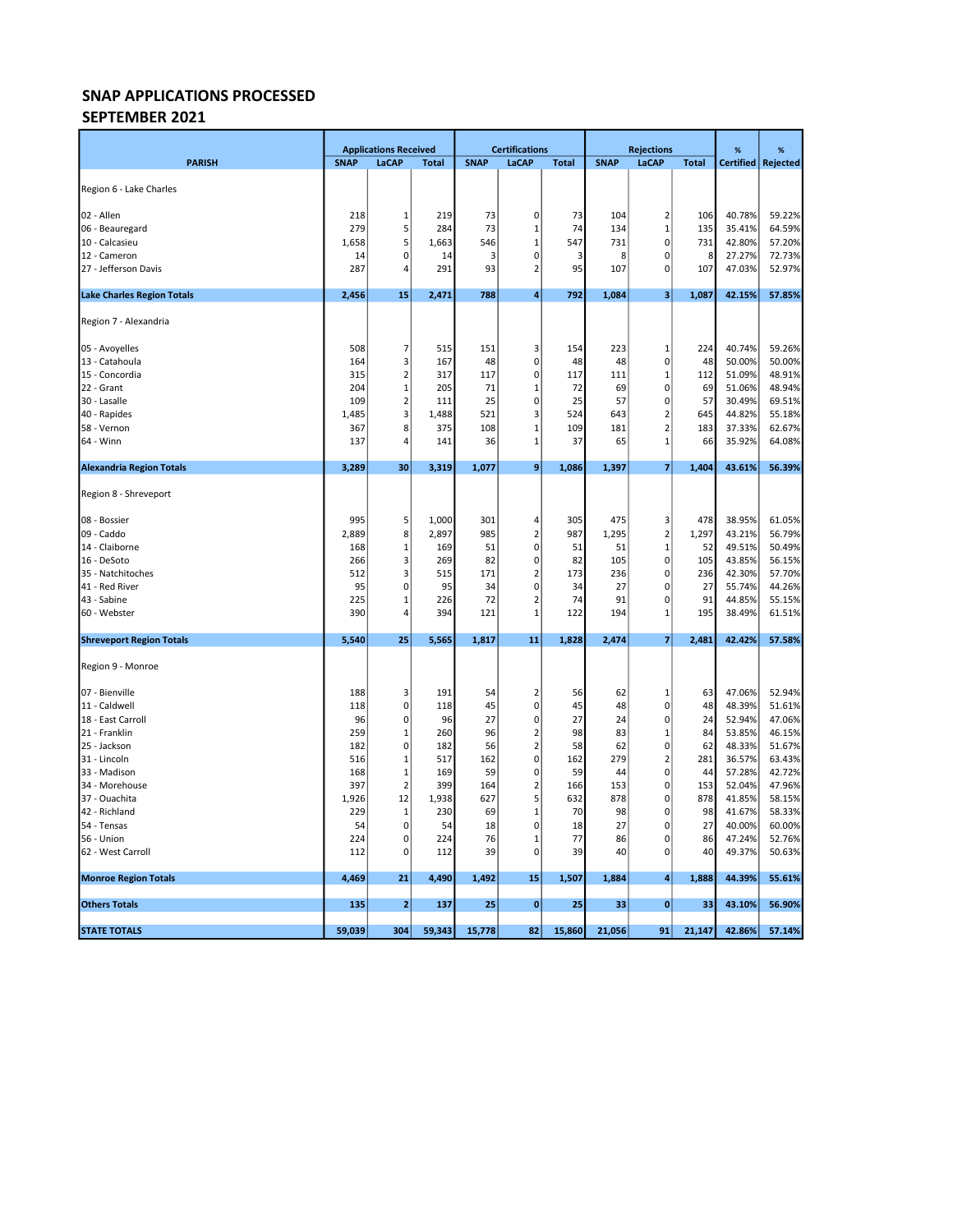## SEPTEMBER 2021

|                                   |             | <b>Applications Received</b> |              |             | <b>Certifications</b>       |              |             | <b>Rejections</b>       |              | %                | %                |
|-----------------------------------|-------------|------------------------------|--------------|-------------|-----------------------------|--------------|-------------|-------------------------|--------------|------------------|------------------|
| <b>PARISH</b>                     | <b>SNAP</b> | LaCAP                        | <b>Total</b> | <b>SNAP</b> | LaCAP                       | <b>Total</b> | <b>SNAP</b> | LaCAP                   | <b>Total</b> | <b>Certified</b> | Rejected         |
|                                   |             |                              |              |             |                             |              |             |                         |              |                  |                  |
| Region 6 - Lake Charles           |             |                              |              |             |                             |              |             |                         |              |                  |                  |
| 02 - Allen                        | 218         | 1                            | 219          | 73          | 0                           | 73           | 104         | $\overline{\mathbf{2}}$ | 106          | 40.78%           | 59.22%           |
| 06 - Beauregard                   | 279         | 5                            | 284          | 73          | 1                           | 74           | 134         | $\mathbf{1}$            | 135          | 35.41%           | 64.59%           |
| 10 - Calcasieu                    | 1,658       | 5                            | 1,663        | 546         | $\mathbf{1}$                | 547          | 731         | 0                       | 731          | 42.80%           | 57.20%           |
| 12 - Cameron                      | 14          | 0                            | 14           | 3           | $\mathbf 0$                 | 3            | 8           | 0                       | 8            | 27.27%           | 72.73%           |
| 27 - Jefferson Davis              | 287         | 4                            | 291          | 93          | $\overline{2}$              | 95           | 107         | 0                       | 107          | 47.03%           | 52.97%           |
| <b>Lake Charles Region Totals</b> | 2,456       | 15                           | 2,471        | 788         | 4                           | 792          | 1,084       | 3                       | 1,087        | 42.15%           | 57.85%           |
| Region 7 - Alexandria             |             |                              |              |             |                             |              |             |                         |              |                  |                  |
| 05 - Avoyelles                    | 508         | 7                            | 515          | 151         | 3                           | 154          | 223         | 1                       | 224          | 40.74%           | 59.26%           |
| 13 - Catahoula                    | 164         | 3                            | 167          | 48          | $\pmb{0}$                   | 48           | 48          | 0                       | 48           | 50.00%           | 50.00%           |
| 15 - Concordia                    | 315         | $\overline{2}$               | 317          | 117         | $\mathbf 0$                 | 117          | 111         | $\mathbf{1}$            | 112          | 51.09%           | 48.91%           |
| 22 - Grant                        | 204         | $\mathbf 1$                  | 205          | 71          | $1\,$                       | 72           | 69          | $\pmb{0}$               | 69           | 51.06%           | 48.94%           |
| 30 - Lasalle                      | 109         | $\overline{2}$               | 111          | 25          | $\mathbf 0$                 | 25           | 57          | $\pmb{0}$               | 57           | 30.49%           | 69.51%           |
| 40 - Rapides                      | 1,485       | 3                            | 1,488        | 521         | 3                           | 524          | 643         | $\overline{\mathbf{c}}$ | 645          | 44.82%           | 55.18%           |
| 58 - Vernon                       | 367         | 8                            | 375          | 108         | $\mathbf{1}$                | 109          | 181         | $\overline{2}$          | 183          | 37.33%           | 62.67%           |
| 64 - Winn                         | 137         | 4                            | 141          | 36          | $\mathbf{1}$                | 37           | 65          | $\mathbf 1$             | 66           | 35.92%           | 64.08%           |
| <b>Alexandria Region Totals</b>   | 3,289       | 30                           | 3,319        | 1,077       | 9                           | 1,086        | 1,397       | 7                       | 1,404        | 43.61%           | 56.39%           |
|                                   |             |                              |              |             |                             |              |             |                         |              |                  |                  |
| Region 8 - Shreveport             |             |                              |              |             |                             |              |             |                         |              |                  |                  |
| 08 - Bossier                      | 995         | 5                            | 1,000        | 301         | $\overline{4}$              | 305          | 475         | 3                       | 478          | 38.95%           | 61.05%           |
| 09 - Caddo                        | 2,889       | 8                            | 2,897        | 985         | $\overline{2}$              | 987          | 1,295       | $\mathbf 2$             | 1,297        | 43.21%           | 56.79%           |
| 14 - Claiborne                    | 168         | 1                            | 169          | 51          | 0                           | 51           | 51          | $\mathbf{1}$            | 52           | 49.51%           | 50.49%           |
| 16 - DeSoto                       | 266         | 3                            | 269          | 82          | 0                           | 82           | 105         | $\pmb{0}$               | 105          | 43.85%           | 56.15%           |
| 35 - Natchitoches                 | 512         | 3                            | 515          | 171         | $\overline{2}$              | 173          | 236         | $\pmb{0}$               | 236          | 42.30%           | 57.70%           |
| 41 - Red River                    | 95          | 0                            | 95           | 34          | $\mathbf 0$                 | 34           | 27          | $\pmb{0}$               | 27           | 55.74%           | 44.26%           |
| 43 - Sabine                       | 225         | 1                            | 226          | 72          | $\overline{2}$              | 74           | 91          | $\pmb{0}$               | 91           | 44.85%           | 55.15%           |
| 60 - Webster                      | 390         | 4                            | 394          | 121         | $\mathbf{1}$                | 122          | 194         | $\mathbf{1}$            | 195          | 38.49%           | 61.51%           |
| <b>Shreveport Region Totals</b>   | 5,540       | 25                           | 5,565        | 1,817       | 11                          | 1,828        | 2,474       | $\overline{7}$          | 2,481        | 42.42%           | 57.58%           |
| Region 9 - Monroe                 |             |                              |              |             |                             |              |             |                         |              |                  |                  |
| 07 - Bienville                    | 188         | 3                            | 191          | 54          | $\overline{2}$              | 56           | 62          | $\mathbf{1}$            | 63           | 47.06%           | 52.94%           |
| 11 - Caldwell                     | 118         | 0                            | 118          | 45          | $\mathbf 0$                 | 45           | 48          | 0                       | 48           | 48.39%           | 51.61%           |
| 18 - East Carroll                 | 96          | 0                            | 96           | 27          | $\mathbf 0$                 | 27           | 24          | $\pmb{0}$               | 24           | 52.94%           | 47.06%           |
| 21 - Franklin                     | 259         | $\mathbf 1$                  | 260          | 96          | $\overline{2}$              | 98           | 83          | $\mathbf{1}$            | 84           | 53.85%           | 46.15%           |
| 25 - Jackson                      | 182         | 0                            | 182          | 56          | $\mathbf 2$                 | 58           | 62          | 0                       | 62           | 48.33%           | 51.67%           |
| 31 - Lincoln                      | 516         | 1                            | 517          | 162         | $\mathbf 0$                 | 162          | 279         | $\overline{\mathbf{c}}$ | 281          | 36.57%           | 63.43%           |
| 33 - Madison                      | 168         | $\mathbf 1$                  | 169          | 59          | $\mathbf 0$                 | 59           | 44          | $\pmb{0}$               | 44           | 57.28%           | 42.72%           |
| 34 - Morehouse                    | 397         | $\overline{2}$               | 399          | 164         | $\overline{2}$              | 166          | 153         | $\pmb{0}$               | 153          | 52.04%           | 47.96%           |
| 37 - Ouachita                     | 1,926       | 12                           | 1,938        | 627         | 5                           | 632          | 878         | 0                       | 878          | 41.85%           | 58.15%           |
| 42 - Richland                     | 229         | 1                            | 230          | 69          | $\mathbf{1}$                | 70           | 98          | 0                       | 98           | 41.67%           | 58.33%           |
| 54 - Tensas                       | 54          | 0                            | 54           | 18          | 0                           | 18           | 27          | 0                       | 27           | 40.00%           | 60.00%           |
| 56 - Union<br>62 - West Carroll   | 224<br>112  | 0<br>0                       | 224<br>112   | 76<br>39    | $\mathbf{1}$<br>$\mathbf 0$ | 77<br>39     | 86<br>40    | 0<br>$\pmb{0}$          | 86<br>40     | 47.24%<br>49.37% | 52.76%<br>50.63% |
|                                   |             |                              |              |             |                             |              |             |                         |              |                  |                  |
| <b>Monroe Region Totals</b>       | 4,469       | 21                           | 4,490        | 1,492       | 15                          | 1,507        | 1,884       | 4                       | 1,888        | 44.39%           | 55.61%           |
| <b>Others Totals</b>              | 135         | $\mathbf{2}$                 | 137          | 25          | $\mathbf 0$                 | 25           | 33          | $\bf{0}$                | 33           | 43.10%           | 56.90%           |
| <b>STATE TOTALS</b>               | 59,039      | 304                          | 59,343       | 15,778      | 82                          | 15,860       | 21,056      | 91                      | 21,147       | 42.86%           | 57.14%           |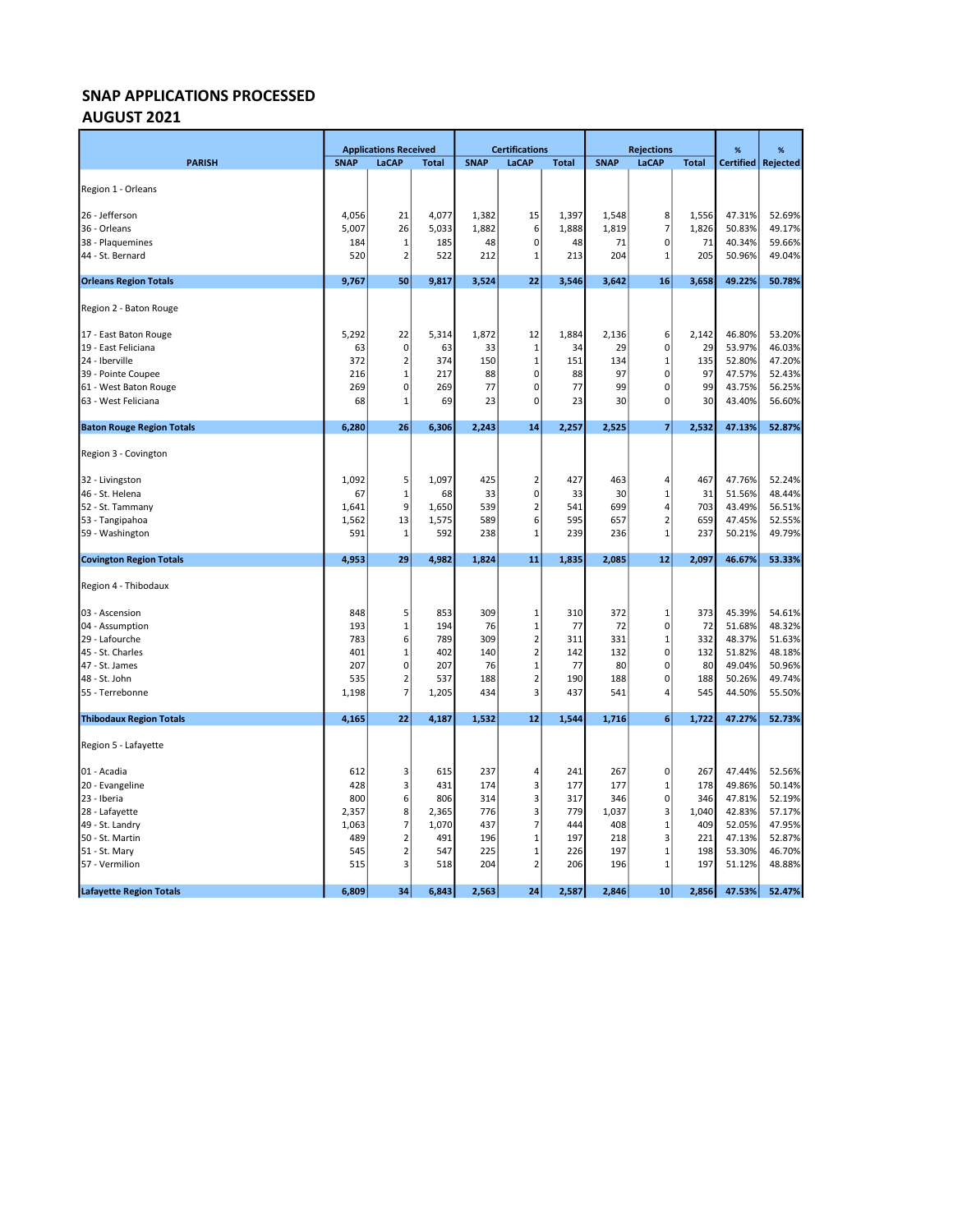# AUGUST 2021

|                                  | <b>Applications Received</b> |                         |              | <b>Certifications</b> |                         |              | <b>Rejections</b> |                         | %            | %      |                      |
|----------------------------------|------------------------------|-------------------------|--------------|-----------------------|-------------------------|--------------|-------------------|-------------------------|--------------|--------|----------------------|
| <b>PARISH</b>                    | <b>SNAP</b>                  | LaCAP                   | <b>Total</b> | <b>SNAP</b>           | LaCAP                   | <b>Total</b> | <b>SNAP</b>       | LaCAP                   | <b>Total</b> |        | Certified   Rejected |
|                                  |                              |                         |              |                       |                         |              |                   |                         |              |        |                      |
| Region 1 - Orleans               |                              |                         |              |                       |                         |              |                   |                         |              |        |                      |
| 26 - Jefferson                   | 4,056                        | 21                      | 4,077        | 1,382                 | 15                      | 1,397        | 1,548             | 8                       | 1,556        | 47.31% | 52.69%               |
| 36 - Orleans                     | 5,007                        | 26                      | 5,033        | 1,882                 | 6                       | 1,888        | 1,819             | $\overline{7}$          | 1,826        | 50.83% | 49.17%               |
| 38 - Plaquemines                 | 184                          | 1                       | 185          | 48                    | 0                       | 48           | 71                | $\pmb{0}$               | 71           | 40.34% | 59.66%               |
| 44 - St. Bernard                 | 520                          | 2                       | 522          | 212                   | 1                       | 213          | 204               | $\mathbf 1$             | 205          | 50.96% | 49.04%               |
|                                  |                              |                         |              |                       |                         |              |                   |                         |              |        |                      |
| <b>Orleans Region Totals</b>     | 9,767                        | 50                      | 9,817        | 3,524                 | 22                      | 3,546        | 3,642             | 16                      | 3,658        | 49.22% | 50.78%               |
| Region 2 - Baton Rouge           |                              |                         |              |                       |                         |              |                   |                         |              |        |                      |
| 17 - East Baton Rouge            | 5,292                        | 22                      | 5,314        | 1,872                 | 12                      | 1,884        | 2,136             | 6                       | 2,142        | 46.80% | 53.20%               |
| 19 - East Feliciana              | 63                           | $\overline{0}$          | 63           | 33                    | $\mathbf 1$             | 34           | 29                | $\pmb{0}$               | 29           | 53.97% | 46.03%               |
| 24 - Iberville                   | 372                          | 2                       | 374          | 150                   | $\mathbf 1$             | 151          | 134               | $\mathbf{1}$            | 135          | 52.80% | 47.20%               |
| 39 - Pointe Coupee               | 216                          | 1                       | 217          | 88                    | 0                       | 88           | 97                | $\mathbf 0$             | 97           | 47.57% | 52.43%               |
| 61 - West Baton Rouge            | 269                          | $\overline{0}$          | 269          | 77                    | 0                       | 77           | 99                | $\mathbf 0$             | 99           | 43.75% | 56.25%               |
| 63 - West Feliciana              | 68                           | 1                       | 69           | 23                    | 0                       | 23           | 30                | $\mathbf 0$             | 30           | 43.40% | 56.60%               |
| <b>Baton Rouge Region Totals</b> | 6,280                        | 26                      | 6,306        | 2,243                 | 14                      | 2,257        | 2,525             | $\overline{7}$          | 2,532        | 47.13% | 52.87%               |
| Region 3 - Covington             |                              |                         |              |                       |                         |              |                   |                         |              |        |                      |
| 32 - Livingston                  | 1,092                        | 5                       | 1,097        | 425                   | 2                       | 427          | 463               | $\overline{4}$          | 467          | 47.76% | 52.24%               |
| 46 - St. Helena                  | 67                           | 1                       | 68           | 33                    | 0                       | 33           | 30                | $\mathbf{1}$            | 31           | 51.56% | 48.44%               |
| 52 - St. Tammany                 | 1,641                        | 9                       | 1,650        | 539                   | $\overline{\mathbf{c}}$ | 541          | 699               | 4                       | 703          | 43.49% | 56.51%               |
| 53 - Tangipahoa                  | 1,562                        | 13                      | 1,575        | 589                   | 6                       | 595          | 657               | $\overline{2}$          | 659          | 47.45% | 52.55%               |
| 59 - Washington                  | 591                          | 1                       | 592          | 238                   | 1                       | 239          | 236               | $\mathbf{1}$            | 237          | 50.21% | 49.79%               |
| <b>Covington Region Totals</b>   | 4,953                        | 29                      | 4,982        | 1,824                 | 11                      | 1,835        | 2,085             | 12                      | 2,097        | 46.67% | 53.33%               |
| Region 4 - Thibodaux             |                              |                         |              |                       |                         |              |                   |                         |              |        |                      |
| 03 - Ascension                   | 848                          | 5                       | 853          | 309                   | $\mathbf{1}$            | 310          | 372               | 1                       | 373          | 45.39% | 54.61%               |
| 04 - Assumption                  | 193                          | $\mathbf 1$             | 194          | 76                    | $\mathbf 1$             | 77           | 72                | $\pmb{0}$               | 72           | 51.68% | 48.32%               |
| 29 - Lafourche                   | 783                          | 6                       | 789          | 309                   | $\overline{\mathbf{c}}$ | 311          | 331               | $\mathbf 1$             | 332          | 48.37% | 51.63%               |
| 45 - St. Charles                 | 401                          | $\mathbf 1$             | 402          | 140                   | $\overline{\mathbf{c}}$ | 142          | 132               | $\mathsf 0$             | 132          | 51.82% | 48.18%               |
| 47 - St. James                   | 207                          | 0                       | 207          | 76                    | $\mathbf{1}$            | 77           | 80                | $\mathbf 0$             | 80           | 49.04% | 50.96%               |
| 48 - St. John                    | 535                          | 2                       | 537          | 188                   | $\overline{2}$          | 190          | 188               | $\mathbf 0$             | 188          | 50.26% | 49.74%               |
| 55 - Terrebonne                  | 1,198                        | 7                       | 1,205        | 434                   | 3                       | 437          | 541               | $\overline{4}$          | 545          | 44.50% | 55.50%               |
| <b>Thibodaux Region Totals</b>   | 4,165                        | 22                      | 4,187        | 1,532                 | 12                      | 1,544        | 1,716             | 6                       | 1,722        | 47.27% | 52.73%               |
| Region 5 - Lafayette             |                              |                         |              |                       |                         |              |                   |                         |              |        |                      |
| 01 - Acadia                      | 612                          | 3                       | 615          | 237                   | 4                       | 241          | 267               | $\mathbf 0$             | 267          | 47.44% | 52.56%               |
| 20 - Evangeline                  | 428                          | 3                       | 431          | 174                   | 3                       | 177          | 177               | $\mathbf 1$             | 178          | 49.86% | 50.14%               |
| 23 - Iberia                      | 800                          | $6 \mid$                | 806          | 314                   | 3                       | 317          | 346               | $\pmb{0}$               | 346          | 47.81% | 52.19%               |
| 28 - Lafayette                   | 2,357                        | 8 <sup>1</sup>          | 2,365        | 776                   | 3                       | 779          | 1,037             | $\overline{\mathbf{3}}$ | 1,040        | 42.83% | 57.17%               |
| 49 - St. Landry                  | 1,063                        | 7                       | 1,070        | 437                   | 7                       | 444          | 408               | $\mathbf{1}$            | 409          | 52.05% | 47.95%               |
| 50 - St. Martin                  | 489                          | $\overline{\mathbf{c}}$ | 491          | 196                   | 1                       | 197          | 218               | $\mathsf 3$             | 221          | 47.13% | 52.87%               |
| 51 - St. Mary                    | 545                          | $\overline{2}$          | 547          | 225                   | $\mathbf{1}$            | 226          | 197               | $\mathbf 1$             | 198          | 53.30% | 46.70%               |
| 57 - Vermilion                   | 515                          | 3                       | 518          | 204                   | $\overline{\mathbf{c}}$ | 206          | 196               | $\mathbf{1}$            | 197          | 51.12% | 48.88%               |
| <b>Lafayette Region Totals</b>   | 6,809                        | 34                      | 6,843        | 2,563                 | 24                      | 2,587        | 2,846             | 10                      | 2,856        | 47.53% | 52.47%               |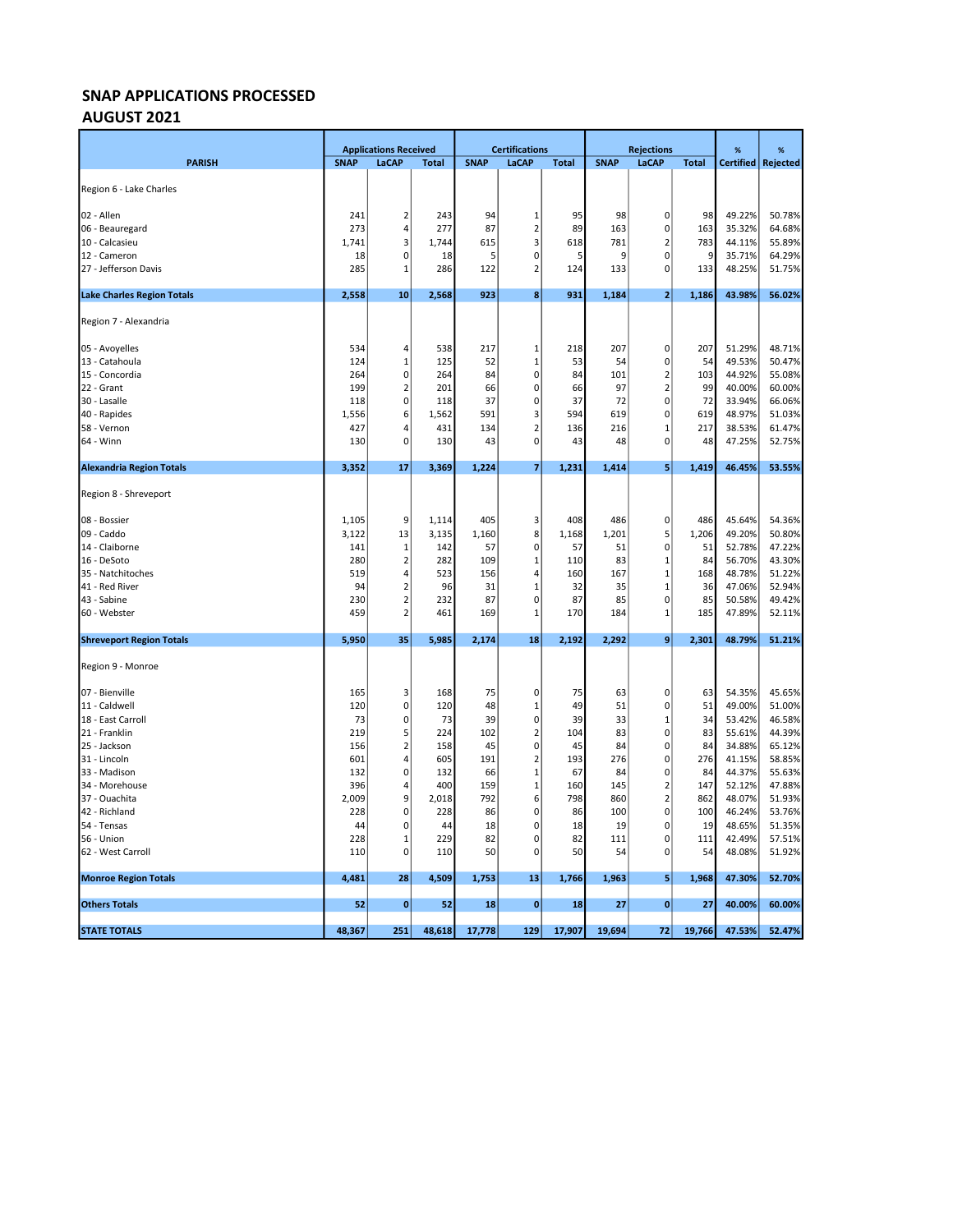# AUGUST 2021

|                                   |             | <b>Applications Received</b> |              |             | <b>Certifications</b> |              |             | <b>Rejections</b>          | %            | %                |                  |
|-----------------------------------|-------------|------------------------------|--------------|-------------|-----------------------|--------------|-------------|----------------------------|--------------|------------------|------------------|
| <b>PARISH</b>                     | <b>SNAP</b> | <b>LaCAP</b>                 | <b>Total</b> | <b>SNAP</b> | <b>LaCAP</b>          | <b>Total</b> | <b>SNAP</b> | LaCAP                      | <b>Total</b> | <b>Certified</b> | Rejected         |
| Region 6 - Lake Charles           |             |                              |              |             |                       |              |             |                            |              |                  |                  |
|                                   |             |                              |              |             |                       |              |             |                            |              |                  |                  |
| 02 - Allen                        | 241         | 2                            | 243          | 94          | 1                     | 95           | 98          | $\mathbf 0$                | 98           | 49.22%           | 50.78%           |
| 06 - Beauregard                   | 273         | 4                            | 277          | 87          | 2                     | 89           | 163         | 0                          | 163          | 35.32%           | 64.68%           |
| 10 - Calcasieu                    | 1,741       | $\overline{\mathbf{3}}$      | 1,744        | 615         | 3                     | 618          | 781         | $\overline{2}$             | 783          | 44.11%           | 55.89%           |
| 12 - Cameron                      | 18          | 0                            | 18           | 5           | 0                     | 5            | q           | 0                          | 9            | 35.71%           | 64.29%           |
| 27 - Jefferson Davis              | 285         | 1                            | 286          | 122         | $\overline{2}$        | 124          | 133         | 0                          | 133          | 48.25%           | 51.75%           |
| <b>Lake Charles Region Totals</b> | 2,558       | 10                           | 2,568        | 923         | 8 <sup>1</sup>        | 931          | 1,184       | $\mathbf{2}$               | 1,186        | 43.98%           | 56.02%           |
| Region 7 - Alexandria             |             |                              |              |             |                       |              |             |                            |              |                  |                  |
| 05 - Avoyelles                    | 534         | 4                            | 538          | 217         | 1                     | 218          | 207         | $\mathbf 0$                | 207          | 51.29%           | 48.71%           |
| 13 - Catahoula                    | 124         | 1                            | 125          | 52          | 1                     | 53           | 54          | $\pmb{0}$                  | 54           | 49.53%           | 50.47%           |
| 15 - Concordia                    | 264         | 0                            | 264          | 84          | 0                     | 84           | 101         | $\overline{2}$             | 103          | 44.92%           | 55.08%           |
| 22 - Grant                        | 199         | 2                            | 201          | 66          | 0                     | 66           | 97          | $\overline{2}$             | 99           | 40.00%           | 60.00%           |
| 30 - Lasalle                      | 118         | $\overline{0}$               | 118          | 37          | 0                     | 37           | 72          | 0                          | 72           | 33.94%           | 66.06%           |
| 40 - Rapides                      | 1,556       | 6                            | 1,562        | 591         | 3                     | 594          | 619         | 0                          | 619          | 48.97%           | 51.03%           |
| 58 - Vernon                       | 427         | 4                            | 431          | 134         | $\overline{2}$        | 136          | 216         | $\overline{1}$             | 217          | 38.53%           | 61.47%           |
| 64 - Winn                         | 130         | 0                            | 130          | 43          | 0                     | 43           | 48          | 0                          | 48           | 47.25%           | 52.75%           |
| <b>Alexandria Region Totals</b>   | 3,352       | 17                           | 3,369        | 1,224       | $\overline{7}$        | 1,231        | 1,414       | 5                          | 1,419        | 46.45%           | 53.55%           |
| Region 8 - Shreveport             |             |                              |              |             |                       |              |             |                            |              |                  |                  |
| 08 - Bossier                      | 1,105       | 9                            | 1,114        | 405         | 3                     | 408          | 486         | $\mathbf 0$                | 486          | 45.64%           | 54.36%           |
| 09 - Caddo                        | 3,122       | 13                           | 3,135        | 1,160       | 8                     | 1,168        | 1,201       | 5                          | 1,206        | 49.20%           | 50.80%           |
| 14 - Claiborne                    | 141         | 1                            | 142          | 57          | 0                     | 57           | 51          | $\mathbf 0$                | 51           | 52.78%           | 47.22%           |
| 16 - DeSoto                       | 280         | 2                            | 282          | 109         | 1                     | 110          | 83          | $\mathbf 1$                | 84           | 56.70%           | 43.30%           |
| 35 - Natchitoches                 | 519         | 4                            | 523          | 156         | 4                     | 160          | 167         | $\mathbf 1$                | 168          | 48.78%           | 51.22%           |
| 41 - Red River                    | 94          | $\overline{\mathbf{c}}$      | 96           | 31          | 1                     | 32           | 35          | $\mathbf{1}$               | 36           | 47.06%           | 52.94%           |
| 43 - Sabine                       | 230         | $\overline{2}$               | 232          | 87          | 0                     | 87           | 85          | $\mathbf 0$                | 85           | 50.58%           | 49.42%           |
| 60 - Webster                      | 459         | $\overline{\mathbf{c}}$      | 461          | 169         | 1                     | 170          | 184         | $\mathbf{1}$               | 185          | 47.89%           | 52.11%           |
| <b>Shreveport Region Totals</b>   | 5,950       | 35                           | 5,985        | 2,174       | 18                    | 2,192        | 2,292       | 9                          | 2,301        | 48.79%           | 51.21%           |
| Region 9 - Monroe                 |             |                              |              |             |                       |              |             |                            |              |                  |                  |
| 07 - Bienville                    | 165         | 3                            | 168          | 75          | 0                     | 75           | 63          | $\mathbf 0$                | 63           | 54.35%           | 45.65%           |
| 11 - Caldwell                     | 120         | 0                            | 120          | 48          | 1                     | 49           | 51          | 0                          | 51           | 49.00%           | 51.00%           |
| 18 - East Carroll                 | 73          | $\mathbf{0}$                 | 73           | 39          | $\mathbf 0$           | 39           | 33          | $\mathbf{1}$               | 34           | 53.42%           | 46.58%           |
| 21 - Franklin                     | 219         | 5                            | 224          | 102         | 2                     | 104          | 83          | $\pmb{0}$                  | 83           | 55.61%           | 44.39%           |
| 25 - Jackson                      | 156         | $\mathbf 2$                  | 158          | 45          | 0                     | 45           | 84          | $\pmb{0}$                  | 84           | 34.88%           | 65.12%           |
| 31 - Lincoln                      | 601         | 4                            | 605          | 191         | $\overline{2}$        | 193          | 276         | $\mathbf 0$                | 276          | 41.15%           | 58.85%           |
| 33 - Madison                      | 132         | $\mathbf{0}$                 | 132          | 66          | $\mathbf 1$           | 67           | 84          | $\mathbf 0$                | 84           | 44.37%           | 55.63%           |
| 34 - Morehouse                    | 396         | 4                            | 400          | 159         | $\mathbf{1}$          | 160          | 145         | $\overline{2}$             | 147          | 52.12%           | 47.88%           |
| 37 - Ouachita                     | 2,009       | 9                            | 2,018        | 792         | 6                     | 798          | 860         | $\overline{2}$             | 862          | 48.07%           | 51.93%           |
| 42 - Richland                     | 228         | $\mathbf{0}$                 | 228          | 86          | 0                     | 86           | 100         | $\mathbf 0$                | 100          | 46.24%           | 53.76%           |
| 54 - Tensas                       | 44          | 0                            | 44           | 18          | 0                     | 18           | 19          | 0                          | 19           | 48.65%           | 51.35%           |
| 56 - Union<br>62 - West Carroll   | 228<br>110  | $\mathbf 1$<br>0             | 229<br>110   | 82<br>50    | 0<br>0                | 82<br>50     | 111<br>54   | $\mathbf 0$<br>$\mathbf 0$ | 111<br>54    | 42.49%<br>48.08% | 57.51%<br>51.92% |
|                                   |             |                              |              |             |                       |              |             |                            |              |                  |                  |
| <b>Monroe Region Totals</b>       | 4,481       | 28                           | 4,509        | 1,753       | 13                    | 1,766        | 1,963       | 5                          | 1,968        | 47.30%           | 52.70%           |
| <b>Others Totals</b>              | 52          | $\mathbf{0}$                 | 52           | 18          | $\bf{0}$              | 18           | 27          | $\mathbf{0}$               | 27           | 40.00%           | 60.00%           |
| <b>STATE TOTALS</b>               | 48,367      | 251                          | 48,618       | 17,778      | 129                   | 17,907       | 19,694      | 72                         | 19,766       | 47.53%           | 52.47%           |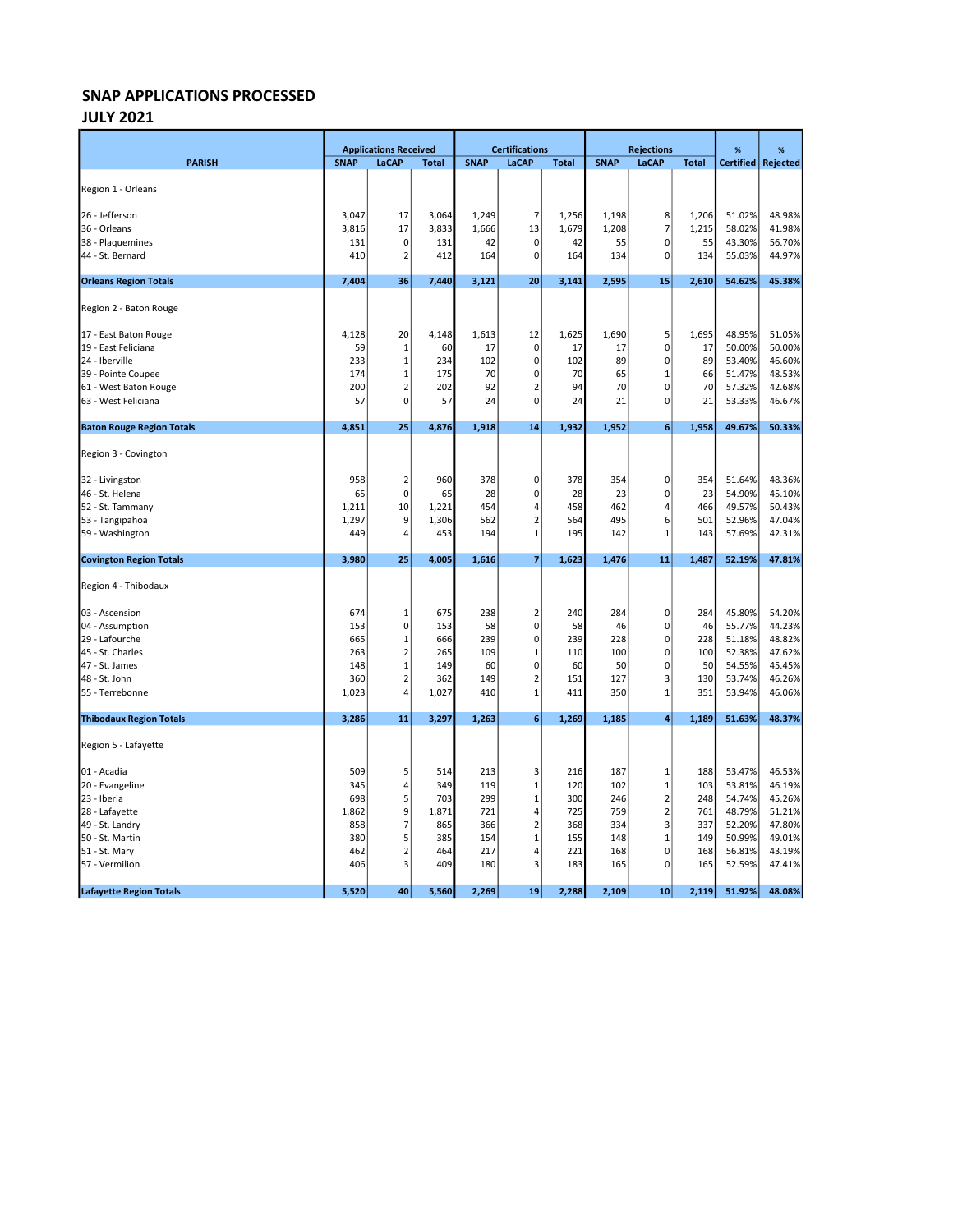### JULY 2021

|                                  |             | <b>Applications Received</b> |              |             | <b>Certifications</b>          |              |             | <b>Rejections</b>       |              | %                | %                |
|----------------------------------|-------------|------------------------------|--------------|-------------|--------------------------------|--------------|-------------|-------------------------|--------------|------------------|------------------|
| <b>PARISH</b>                    | <b>SNAP</b> | LaCAP                        | <b>Total</b> | <b>SNAP</b> | LaCAP                          | <b>Total</b> | <b>SNAP</b> | LaCAP                   | <b>Total</b> | <b>Certified</b> | <b>Rejected</b>  |
|                                  |             |                              |              |             |                                |              |             |                         |              |                  |                  |
| Region 1 - Orleans               |             |                              |              |             |                                |              |             |                         |              |                  |                  |
| 26 - Jefferson                   | 3,047       | 17                           | 3,064        | 1,249       | 7                              | 1,256        | 1,198       | 8                       | 1,206        | 51.02%           | 48.98%           |
| 36 - Orleans                     | 3,816       | 17                           | 3,833        | 1,666       | 13                             | 1,679        | 1,208       | $\overline{7}$          | 1,215        | 58.02%           | 41.98%           |
| 38 - Plaquemines                 | 131         | 0                            | 131          | 42          | $\mathbf 0$                    | 42           | 55          | 0                       | 55           | 43.30%           | 56.70%           |
| 44 - St. Bernard                 | 410         | $\overline{2}$               | 412          | 164         | $\mathbf 0$                    | 164          | 134         | $\pmb{0}$               | 134          | 55.03%           | 44.97%           |
| <b>Orleans Region Totals</b>     | 7,404       | 36                           | 7,440        | 3,121       | 20                             | 3,141        | 2,595       | 15                      | 2,610        | 54.62%           | 45.38%           |
| Region 2 - Baton Rouge           |             |                              |              |             |                                |              |             |                         |              |                  |                  |
| 17 - East Baton Rouge            | 4,128       | 20                           | 4,148        | 1,613       | 12                             | 1,625        | 1,690       | 5                       | 1,695        | 48.95%           | 51.05%           |
| 19 - East Feliciana              | 59          | 1                            | 60           | 17          | $\pmb{0}$                      | 17           | 17          | 0                       | 17           | 50.00%           | 50.00%           |
| 24 - Iberville                   | 233         | 1                            | 234          | 102         | $\mathbf 0$                    | 102          | 89          | $\pmb{0}$               | 89           | 53.40%           | 46.60%           |
| 39 - Pointe Coupee               | 174         | 1                            | 175          | 70          | $\mathbf 0$                    | 70           | 65          | $\mathbf{1}$            | 66           | 51.47%           | 48.53%           |
| 61 - West Baton Rouge            | 200         | $\overline{2}$               | 202          | 92          | $\overline{2}$                 | 94           | 70          | $\mathbf 0$             | 70           | 57.32%           | 42.68%           |
| 63 - West Feliciana              | 57          | 0                            | 57           | 24          | $\mathbf 0$                    | 24           | 21          | 0                       | 21           | 53.33%           | 46.67%           |
| <b>Baton Rouge Region Totals</b> | 4,851       | 25                           | 4,876        | 1,918       | 14                             | 1,932        | 1,952       | 6                       | 1,958        | 49.67%           | 50.33%           |
| Region 3 - Covington             |             |                              |              |             |                                |              |             |                         |              |                  |                  |
| 32 - Livingston                  | 958         | $\overline{2}$               | 960          | 378         | 0                              | 378          | 354         | $\pmb{0}$               | 354          | 51.64%           | 48.36%           |
| 46 - St. Helena                  | 65          | $\mathbf 0$                  | 65           | 28          | $\mathbf 0$                    | 28           | 23          | $\pmb{0}$               | 23           | 54.90%           | 45.10%           |
| 52 - St. Tammany                 | 1,211       | 10                           | 1,221        | 454         | $\overline{4}$                 | 458          | 462         | 4                       | 466          | 49.57%           | 50.43%           |
| 53 - Tangipahoa                  | 1,297       | 9                            | 1,306        | 562         | $\mathbf 2$                    | 564          | 495         | 6                       | 501          | 52.96%           | 47.04%           |
| 59 - Washington                  | 449         | 4                            | 453          | 194         | $\mathbf{1}$                   | 195          | 142         | $\mathbf{1}$            | 143          | 57.69%           | 42.31%           |
| <b>Covington Region Totals</b>   | 3,980       | 25                           | 4,005        | 1,616       | $\overline{7}$                 | 1,623        | 1,476       | 11                      | 1,487        | 52.19%           | 47.81%           |
| Region 4 - Thibodaux             |             |                              |              |             |                                |              |             |                         |              |                  |                  |
|                                  |             |                              |              |             |                                |              |             |                         |              |                  |                  |
| 03 - Ascension                   | 674         | 1                            | 675          | 238         | $\overline{2}$                 | 240          | 284         | 0                       | 284          | 45.80%           | 54.20%           |
| 04 - Assumption                  | 153         | 0                            | 153          | 58          | $\mathbf 0$                    | 58           | 46          | $\mathbf 0$             | 46           | 55.77%           | 44.23%           |
| 29 - Lafourche                   | 665         | $\mathbf 1$                  | 666          | 239         | $\pmb{0}$                      | 239          | 228         | $\pmb{0}$               | 228          | 51.18%           | 48.82%           |
| 45 - St. Charles                 | 263         | $\mathbf 2$                  | 265          | 109         | $\mathbf 1$                    | 110          | 100         | $\pmb{0}$               | 100          | 52.38%           | 47.62%           |
| 47 - St. James                   | 148         | $\mathbf 1$                  | 149          | 60          | $\mathbf 0$                    | 60           | 50          | $\mathbf 0$             | 50           | 54.55%           | 45.45%           |
| 48 - St. John                    | 360         | $\overline{2}$<br>4          | 362          | 149         | $\overline{2}$<br>$\mathbf{1}$ | 151<br>411   | 127<br>350  | 3<br>$\mathbf{1}$       | 130          | 53.74%<br>53.94% | 46.26%<br>46.06% |
| 55 - Terrebonne                  | 1,023       |                              | 1,027        | 410         |                                |              |             |                         | 351          |                  |                  |
| <b>Thibodaux Region Totals</b>   | 3,286       | 11                           | 3,297        | 1,263       | 6                              | 1,269        | 1,185       | $\overline{4}$          | 1,189        | 51.63%           | 48.37%           |
| Region 5 - Lafayette             |             |                              |              |             |                                |              |             |                         |              |                  |                  |
| 01 - Acadia                      | 509         | 5                            | 514          | 213         | 3                              | 216          | 187         | $\mathbf 1$             | 188          | 53.47%           | 46.53%           |
| 20 - Evangeline                  | 345         | 4                            | 349          | 119         | $\mathbf{1}$                   | 120          | 102         | $\mathbf{1}$            | 103          | 53.81%           | 46.19%           |
| 23 - Iberia                      | 698         | 5                            | 703          | 299         | $\mathbf{1}$                   | 300          | 246         | $\mathbf 2$             | 248          | 54.74%           | 45.26%           |
| 28 - Lafayette                   | 1,862       | 9                            | 1,871        | 721         | 4                              | 725          | 759         | $\overline{\mathbf{c}}$ | 761          | 48.79%           | 51.21%           |
| 49 - St. Landry                  | 858         | $\overline{7}$               | 865          | 366         | $\overline{2}$                 | 368          | 334         | $\overline{\mathbf{3}}$ | 337          | 52.20%           | 47.80%           |
| 50 - St. Martin                  | 380         | 5                            | 385          | 154         | $\mathbf{1}$                   | 155          | 148         | $\mathbf 1$             | 149          | 50.99%           | 49.01%           |
| 51 - St. Mary                    | 462         | 2                            | 464          | 217         | 4                              | 221          | 168         | $\mathbf 0$             | 168          | 56.81%           | 43.19%           |
| 57 - Vermilion                   | 406         | 3                            | 409          | 180         | 3                              | 183          | 165         | 0                       | 165          | 52.59%           | 47.41%           |
| <b>Lafayette Region Totals</b>   | 5,520       | 40                           | 5,560        | 2,269       | 19                             | 2,288        | 2,109       | 10                      | 2,119        | 51.92%           | 48.08%           |